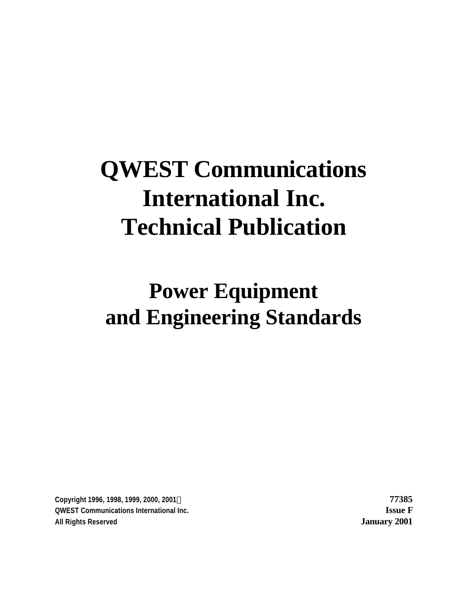# **QWEST Communications International Inc. Technical Publication**

**Power Equipment and Engineering Standards**

**Copyright 1996, 1998, 1999, 2000, 2001Ó 77385 QWEST Communications International Inc. Issue F All Rights Reserved January 2001**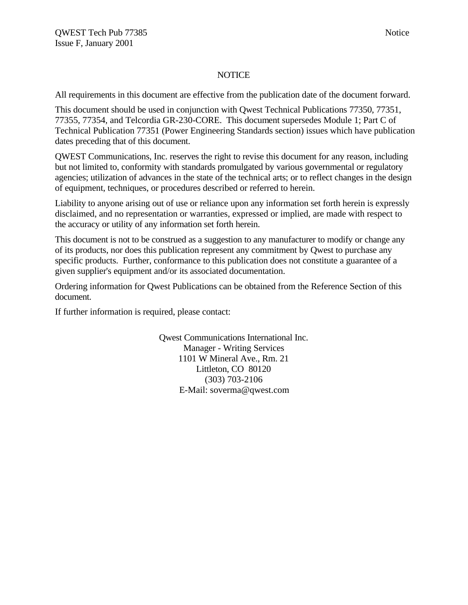#### **NOTICE**

All requirements in this document are effective from the publication date of the document forward.

This document should be used in conjunction with Qwest Technical Publications 77350, 77351, 77355, 77354, and Telcordia GR-230-CORE. This document supersedes Module 1; Part C of Technical Publication 77351 (Power Engineering Standards section) issues which have publication dates preceding that of this document.

QWEST Communications, Inc. reserves the right to revise this document for any reason, including but not limited to, conformity with standards promulgated by various governmental or regulatory agencies; utilization of advances in the state of the technical arts; or to reflect changes in the design of equipment, techniques, or procedures described or referred to herein.

Liability to anyone arising out of use or reliance upon any information set forth herein is expressly disclaimed, and no representation or warranties, expressed or implied, are made with respect to the accuracy or utility of any information set forth herein.

This document is not to be construed as a suggestion to any manufacturer to modify or change any of its products, nor does this publication represent any commitment by Qwest to purchase any specific products. Further, conformance to this publication does not constitute a guarantee of a given supplier's equipment and/or its associated documentation.

Ordering information for Qwest Publications can be obtained from the Reference Section of this document.

If further information is required, please contact:

Qwest Communications International Inc. Manager - Writing Services 1101 W Mineral Ave., Rm. 21 Littleton, CO 80120 (303) 703-2106 E-Mail: soverma@qwest.com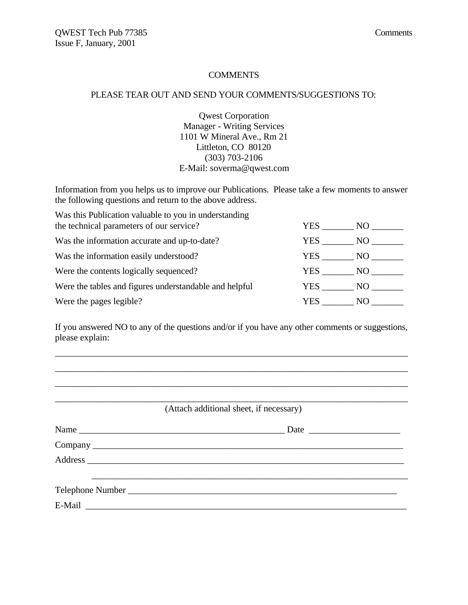#### **COMMENTS**

#### PLEASE TEAR OUT AND SEND YOUR COMMENTS/SUGGESTIONS TO:

Qwest Corporation Manager - Writing Services 1101 W Mineral Ave., Rm 21 Littleton, CO 80120 (303) 703-2106 E-Mail: soverma@qwest.com

Information from you helps us to improve our Publications. Please take a few moments to answer the following questions and return to the above address.

| Was this Publication valuable to you in understanding<br>the technical parameters of our service? | YES.  | NO –     |
|---------------------------------------------------------------------------------------------------|-------|----------|
| Was the information accurate and up-to-date?                                                      | YES . | NO       |
| Was the information easily understood?                                                            | YES   | NO       |
| Were the contents logically sequenced?                                                            | YES   | $NO_{-}$ |
| Were the tables and figures understandable and helpful                                            | YES   | NO –     |
| Were the pages legible?                                                                           | YES.  | NO.      |

If you answered NO to any of the questions and/or if you have any other comments or suggestions, please explain:

\_\_\_\_\_\_\_\_\_\_\_\_\_\_\_\_\_\_\_\_\_\_\_\_\_\_\_\_\_\_\_\_\_\_\_\_\_\_\_\_\_\_\_\_\_\_\_\_\_\_\_\_\_\_\_\_\_\_\_\_\_\_\_\_\_\_\_\_\_\_\_\_\_\_\_\_\_ \_\_\_\_\_\_\_\_\_\_\_\_\_\_\_\_\_\_\_\_\_\_\_\_\_\_\_\_\_\_\_\_\_\_\_\_\_\_\_\_\_\_\_\_\_\_\_\_\_\_\_\_\_\_\_\_\_\_\_\_\_\_\_\_\_\_\_\_\_\_\_\_\_\_\_\_\_ \_\_\_\_\_\_\_\_\_\_\_\_\_\_\_\_\_\_\_\_\_\_\_\_\_\_\_\_\_\_\_\_\_\_\_\_\_\_\_\_\_\_\_\_\_\_\_\_\_\_\_\_\_\_\_\_\_\_\_\_\_\_\_\_\_\_\_\_\_\_\_\_\_\_\_\_\_

| (Attach additional sheet, if necessary) |  |  |
|-----------------------------------------|--|--|
|                                         |  |  |
|                                         |  |  |
|                                         |  |  |
|                                         |  |  |
|                                         |  |  |
|                                         |  |  |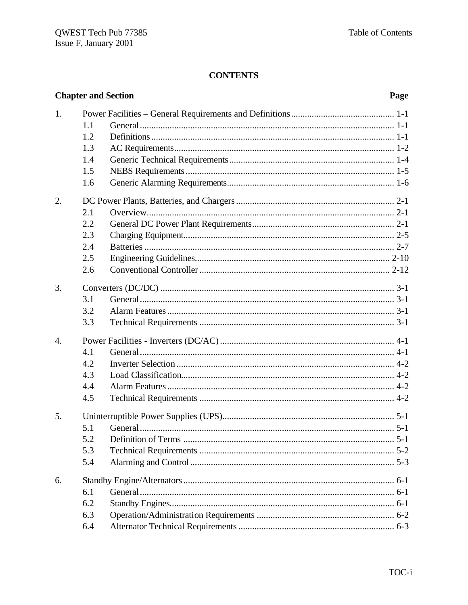# **CONTENTS**

|                  | <b>Chapter and Section</b><br>Page |  |  |
|------------------|------------------------------------|--|--|
| 1.               |                                    |  |  |
|                  | 1.1                                |  |  |
|                  | 1.2                                |  |  |
|                  | 1.3                                |  |  |
|                  | 1.4                                |  |  |
|                  | 1.5                                |  |  |
|                  | 1.6                                |  |  |
| 2.               |                                    |  |  |
|                  | 2.1                                |  |  |
|                  | 2.2                                |  |  |
|                  | 2.3                                |  |  |
|                  | 2.4                                |  |  |
|                  | 2.5                                |  |  |
|                  | 2.6                                |  |  |
| 3.               |                                    |  |  |
|                  | 3.1                                |  |  |
|                  | 3.2                                |  |  |
|                  | 3.3                                |  |  |
| $\overline{4}$ . |                                    |  |  |
|                  | 4.1                                |  |  |
|                  | 4.2                                |  |  |
|                  | 4.3                                |  |  |
|                  | 4.4                                |  |  |
|                  | 4.5                                |  |  |
| 5.               |                                    |  |  |
|                  | 5.1                                |  |  |
|                  | 5.2                                |  |  |
|                  | 5.3                                |  |  |
|                  | 5.4                                |  |  |
| 6.               |                                    |  |  |
|                  | 6.1                                |  |  |
|                  | 6.2                                |  |  |
|                  | 6.3                                |  |  |
|                  | 6.4                                |  |  |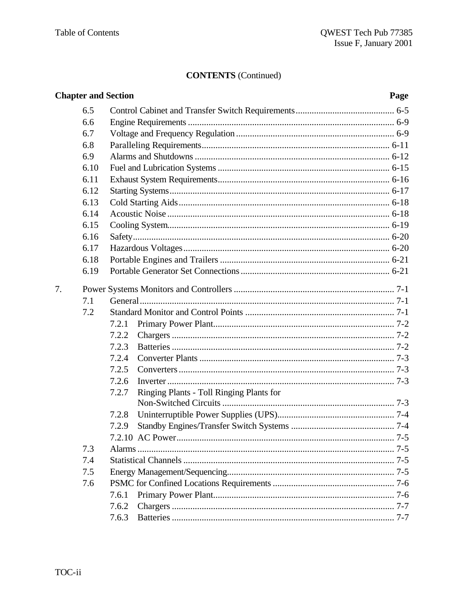|    |      | <b>Chapter and Section</b>                        | Page |
|----|------|---------------------------------------------------|------|
|    | 6.5  |                                                   |      |
|    | 6.6  |                                                   |      |
|    | 6.7  |                                                   |      |
|    | 6.8  |                                                   |      |
|    | 6.9  |                                                   |      |
|    | 6.10 |                                                   |      |
|    | 6.11 |                                                   |      |
|    | 6.12 |                                                   |      |
|    | 6.13 |                                                   |      |
|    | 6.14 |                                                   |      |
|    | 6.15 |                                                   |      |
|    | 6.16 |                                                   |      |
|    | 6.17 |                                                   |      |
|    | 6.18 |                                                   |      |
|    | 6.19 |                                                   |      |
| 7. |      |                                                   |      |
|    | 7.1  |                                                   |      |
|    | 7.2  |                                                   |      |
|    |      | 7.2.1                                             |      |
|    |      | 7.2.2                                             |      |
|    |      | 7.2.3                                             |      |
|    |      | 7.2.4                                             |      |
|    |      | 7.2.5                                             |      |
|    |      | 7.2.6                                             |      |
|    |      | Ringing Plants - Toll Ringing Plants for<br>7.2.7 |      |
|    |      |                                                   |      |
|    |      | 7.2.8                                             |      |
|    |      | 7.2.9                                             |      |
|    |      |                                                   |      |
|    | 7.3  |                                                   |      |
|    | 7.4  |                                                   |      |
|    | 7.5  |                                                   |      |
|    | 7.6  |                                                   |      |
|    |      | 7.6.1                                             |      |
|    |      | 7.6.2                                             |      |
|    |      | 7.6.3                                             |      |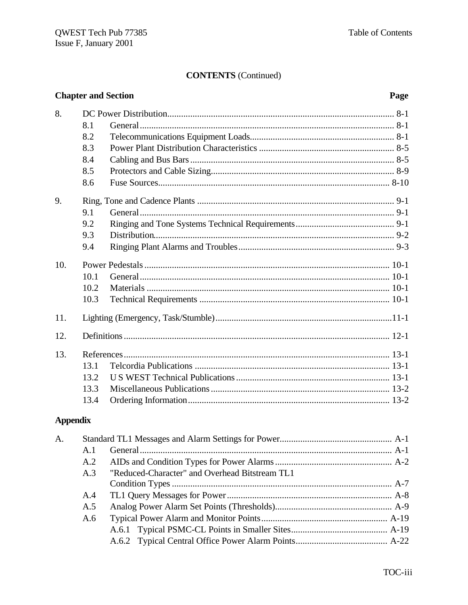| <b>Chapter and Section</b> |      |  | Page |
|----------------------------|------|--|------|
| 8.                         |      |  |      |
|                            | 8.1  |  |      |
|                            | 8.2  |  |      |
|                            | 8.3  |  |      |
|                            | 8.4  |  |      |
|                            | 8.5  |  |      |
|                            | 8.6  |  |      |
| 9.                         |      |  |      |
|                            | 9.1  |  |      |
|                            | 9.2  |  |      |
|                            | 9.3  |  |      |
|                            | 9.4  |  |      |
| 10.                        |      |  |      |
|                            | 10.1 |  |      |
|                            | 10.2 |  |      |
|                            | 10.3 |  |      |
| 11.                        |      |  |      |
| 12.                        |      |  |      |
| 13.                        |      |  |      |
|                            | 13.1 |  |      |
|                            | 13.2 |  |      |
|                            | 13.3 |  |      |
|                            | 13.4 |  |      |

# **Appendix**

| A. |     |                                                |  |
|----|-----|------------------------------------------------|--|
|    | A.1 |                                                |  |
|    | A.2 |                                                |  |
|    | A.3 | "Reduced-Character" and Overhead Bitstream TL1 |  |
|    |     |                                                |  |
|    | A.4 |                                                |  |
|    | A.5 |                                                |  |
|    | A.6 |                                                |  |
|    |     |                                                |  |
|    |     |                                                |  |
|    |     |                                                |  |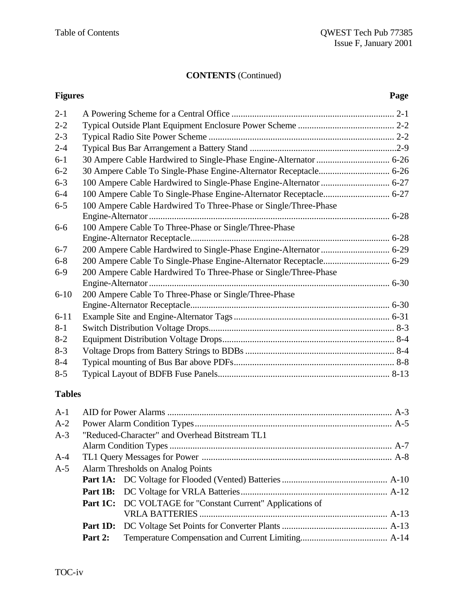# **Figures Page** 2-1 A Powering Scheme for a Central Office ....................................................................... 2-1 2-2 Typical Outside Plant Equipment Enclosure Power Scheme .......................................... 2-2 2-3 Typical Radio Site Power Scheme ................................................................................. 2-2 2-4 Typical Bus Bar Arrangement a Battery Stand ................................................................2-9 6-1 30 Ampere Cable Hardwired to Single-Phase Engine-Alternator................................ 6-26 6-2 30 Ampere Cable To Single-Phase Engine-Alternator Receptacle............................... 6-26 6-3 100 Ampere Cable Hardwired to Single-Phase Engine-Alternator.............................. 6-27 6-4 100 Ampere Cable To Single-Phase Engine-Alternator Receptacle............................. 6-27 6-5 100 Ampere Cable Hardwired To Three-Phase or Single/Three-Phase Engine-Alternator......................................................................................................... 6-28 6-6 100 Ampere Cable To Three-Phase or Single/Three-Phase Engine-Alternator Receptacle....................................................................................... 6-28 6-7 200 Ampere Cable Hardwired to Single-Phase Engine-Alternator.............................. 6-29 6-8 200 Ampere Cable To Single-Phase Engine-Alternator Receptacle............................. 6-29 6-9 200 Ampere Cable Hardwired To Three-Phase or Single/Three-Phase Engine-Alternator......................................................................................................... 6-30 6-10 200 Ampere Cable To Three-Phase or Single/Three-Phase Engine-Alternator Receptacle....................................................................................... 6-30 6-11 Example Site and Engine-Alternator Tags.................................................................... 6-31 8-1 Switch Distribution Voltage Drops................................................................................. 8-3 8-2 Equipment Distribution Voltage Drops........................................................................... 8-4 8-3 Voltage Drops from Battery Strings to BDBs................................................................. 8-4 8-4 Typical mounting of Bus Bar above PDFs...................................................................... 8-8 8-5 Typical Layout of BDFB Fuse Panels........................................................................... 8-13

#### **Tables**

| $A-1$ |         |                                                            |  |
|-------|---------|------------------------------------------------------------|--|
| $A-2$ |         |                                                            |  |
| $A-3$ |         | "Reduced-Character" and Overhead Bitstream TL1             |  |
|       |         |                                                            |  |
| $A-4$ |         |                                                            |  |
| $A-5$ |         | Alarm Thresholds on Analog Points                          |  |
|       |         |                                                            |  |
|       |         |                                                            |  |
|       |         | Part 1C: DC VOLTAGE for "Constant Current" Applications of |  |
|       |         |                                                            |  |
|       |         |                                                            |  |
|       | Part 2: |                                                            |  |
|       |         |                                                            |  |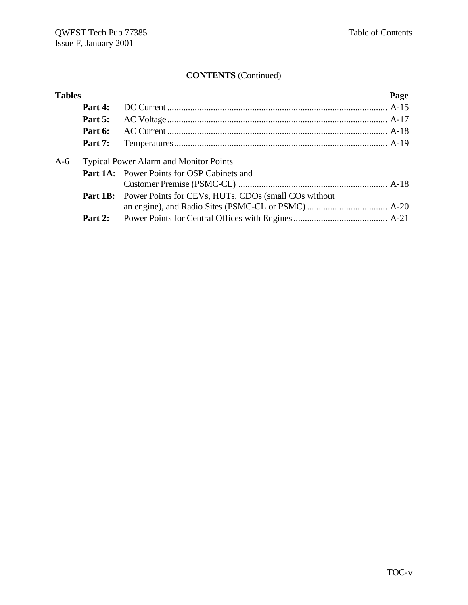| <b>Tables</b> |                |                                                                      | Page |
|---------------|----------------|----------------------------------------------------------------------|------|
|               | Part 4:        |                                                                      |      |
|               | Part 5:        |                                                                      |      |
|               | Part 6:        |                                                                      |      |
|               | <b>Part 7:</b> |                                                                      |      |
| $A-6$         |                | <b>Typical Power Alarm and Monitor Points</b>                        |      |
|               |                | <b>Part 1A:</b> Power Points for OSP Cabinets and                    |      |
|               |                |                                                                      |      |
|               |                | <b>Part 1B:</b> Power Points for CEVs, HUTs, CDOs (small COs without |      |
|               |                |                                                                      |      |
|               |                |                                                                      |      |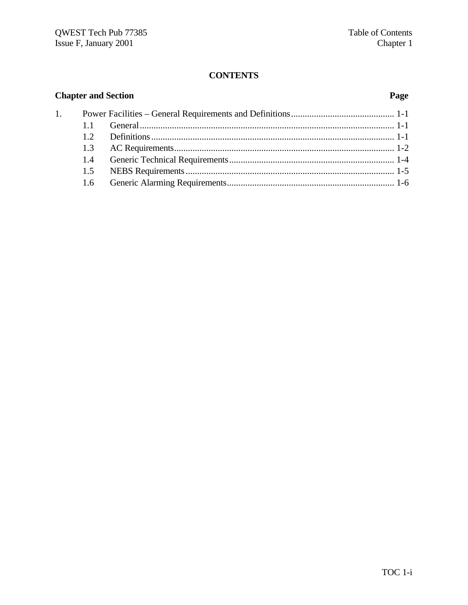# **CONTENTS**

|    | <b>Chapter and Section</b> |  | Page |
|----|----------------------------|--|------|
| 1. |                            |  |      |
|    |                            |  |      |
|    | 12                         |  |      |
|    | 1.3                        |  |      |
|    | 1.4                        |  |      |
|    | 1.5                        |  |      |
|    | $1.6^{\circ}$              |  |      |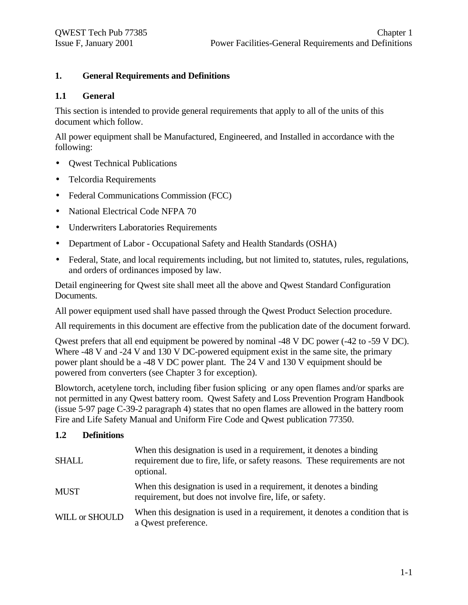#### **1. General Requirements and Definitions**

#### **1.1 General**

This section is intended to provide general requirements that apply to all of the units of this document which follow.

All power equipment shall be Manufactured, Engineered, and Installed in accordance with the following:

- **Owest Technical Publications**
- Telcordia Requirements
- Federal Communications Commission (FCC)
- National Electrical Code NFPA 70
- Underwriters Laboratories Requirements
- Department of Labor Occupational Safety and Health Standards (OSHA)
- Federal, State, and local requirements including, but not limited to, statutes, rules, regulations, and orders of ordinances imposed by law.

Detail engineering for Qwest site shall meet all the above and Qwest Standard Configuration Documents.

All power equipment used shall have passed through the Qwest Product Selection procedure.

All requirements in this document are effective from the publication date of the document forward.

Qwest prefers that all end equipment be powered by nominal -48 V DC power (-42 to -59 V DC). Where -48 V and -24 V and 130 V DC-powered equipment exist in the same site, the primary power plant should be a -48 V DC power plant. The 24 V and 130 V equipment should be powered from converters (see Chapter 3 for exception).

Blowtorch, acetylene torch, including fiber fusion splicing or any open flames and/or sparks are not permitted in any Qwest battery room. Qwest Safety and Loss Prevention Program Handbook (issue 5-97 page C-39-2 paragraph 4) states that no open flames are allowed in the battery room Fire and Life Safety Manual and Uniform Fire Code and Qwest publication 77350.

#### **1.2 Definitions**

| <b>SHALL</b>   | When this designation is used in a requirement, it denotes a binding<br>requirement due to fire, life, or safety reasons. These requirements are not<br>optional. |
|----------------|-------------------------------------------------------------------------------------------------------------------------------------------------------------------|
| <b>MUST</b>    | When this designation is used in a requirement, it denotes a binding<br>requirement, but does not involve fire, life, or safety.                                  |
| WILL or SHOULD | When this designation is used in a requirement, it denotes a condition that is<br>a Qwest preference.                                                             |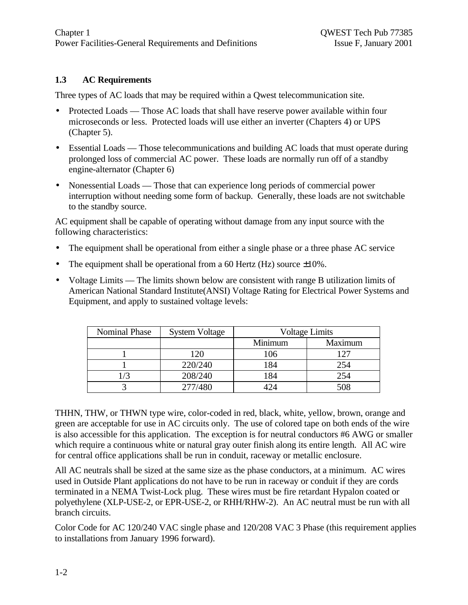# **1.3 AC Requirements**

Three types of AC loads that may be required within a Qwest telecommunication site.

- Protected Loads Those AC loads that shall have reserve power available within four microseconds or less. Protected loads will use either an inverter (Chapters 4) or UPS (Chapter 5).
- Essential Loads Those telecommunications and building AC loads that must operate during prolonged loss of commercial AC power. These loads are normally run off of a standby engine-alternator (Chapter 6)
- Nonessential Loads Those that can experience long periods of commercial power interruption without needing some form of backup. Generally, these loads are not switchable to the standby source.

AC equipment shall be capable of operating without damage from any input source with the following characteristics:

- The equipment shall be operational from either a single phase or a three phase AC service
- The equipment shall be operational from a 60 Hertz (Hz) source  $\pm 10\%$ .
- Voltage Limits The limits shown below are consistent with range B utilization limits of American National Standard Institute(ANSI) Voltage Rating for Electrical Power Systems and Equipment, and apply to sustained voltage levels:

| <b>Nominal Phase</b> | <b>System Voltage</b> |         | <b>Voltage Limits</b> |
|----------------------|-----------------------|---------|-----------------------|
|                      |                       | Minimum | Maximum               |
|                      | 120                   | 106     | 127                   |
|                      | 220/240               | 184     | 254                   |
|                      | 208/240               | 184     | 254                   |
|                      | 277/480               |         | 508                   |

THHN, THW, or THWN type wire, color-coded in red, black, white, yellow, brown, orange and green are acceptable for use in AC circuits only. The use of colored tape on both ends of the wire is also accessible for this application. The exception is for neutral conductors #6 AWG or smaller which require a continuous white or natural gray outer finish along its entire length. All AC wire for central office applications shall be run in conduit, raceway or metallic enclosure.

All AC neutrals shall be sized at the same size as the phase conductors, at a minimum. AC wires used in Outside Plant applications do not have to be run in raceway or conduit if they are cords terminated in a NEMA Twist-Lock plug. These wires must be fire retardant Hypalon coated or polyethylene (XLP-USE-2, or EPR-USE-2, or RHH/RHW-2). An AC neutral must be run with all branch circuits.

Color Code for AC 120/240 VAC single phase and 120/208 VAC 3 Phase (this requirement applies to installations from January 1996 forward).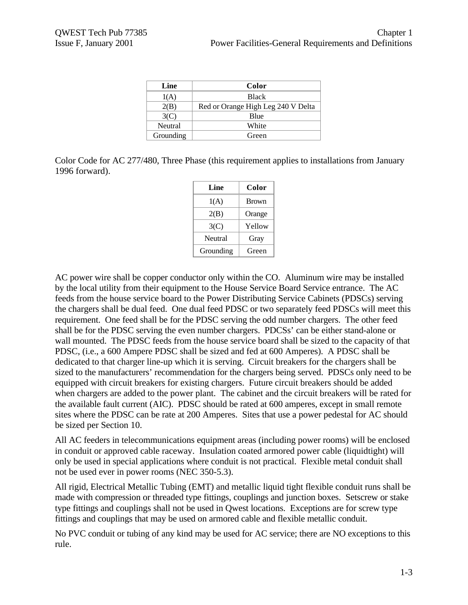| Line      | Color                              |
|-----------|------------------------------------|
| 1(A)      | <b>Black</b>                       |
| 2(B)      | Red or Orange High Leg 240 V Delta |
| 3(C)      | <b>B</b> lue                       |
| Neutral   | White                              |
| Grounding | Green                              |

Color Code for AC 277/480, Three Phase (this requirement applies to installations from January 1996 forward).

| Line      | Color        |
|-----------|--------------|
| 1(A)      | <b>Brown</b> |
| 2(B)      | Orange       |
| 3(C)      | Yellow       |
| Neutral   | Gray         |
| Grounding | Green        |

AC power wire shall be copper conductor only within the CO. Aluminum wire may be installed by the local utility from their equipment to the House Service Board Service entrance. The AC feeds from the house service board to the Power Distributing Service Cabinets (PDSCs) serving the chargers shall be dual feed. One dual feed PDSC or two separately feed PDSCs will meet this requirement. One feed shall be for the PDSC serving the odd number chargers. The other feed shall be for the PDSC serving the even number chargers. PDCSs' can be either stand-alone or wall mounted. The PDSC feeds from the house service board shall be sized to the capacity of that PDSC, (i.e., a 600 Ampere PDSC shall be sized and fed at 600 Amperes). A PDSC shall be dedicated to that charger line-up which it is serving. Circuit breakers for the chargers shall be sized to the manufacturers' recommendation for the chargers being served. PDSCs only need to be equipped with circuit breakers for existing chargers. Future circuit breakers should be added when chargers are added to the power plant. The cabinet and the circuit breakers will be rated for the available fault current (AIC). PDSC should be rated at 600 amperes, except in small remote sites where the PDSC can be rate at 200 Amperes. Sites that use a power pedestal for AC should be sized per Section 10.

All AC feeders in telecommunications equipment areas (including power rooms) will be enclosed in conduit or approved cable raceway. Insulation coated armored power cable (liquidtight) will only be used in special applications where conduit is not practical. Flexible metal conduit shall not be used ever in power rooms (NEC 350-5.3).

All rigid, Electrical Metallic Tubing (EMT) and metallic liquid tight flexible conduit runs shall be made with compression or threaded type fittings, couplings and junction boxes. Setscrew or stake type fittings and couplings shall not be used in Qwest locations. Exceptions are for screw type fittings and couplings that may be used on armored cable and flexible metallic conduit.

No PVC conduit or tubing of any kind may be used for AC service; there are NO exceptions to this rule.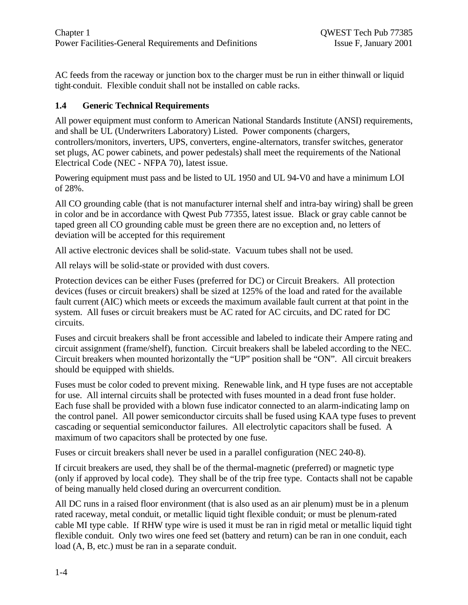AC feeds from the raceway or junction box to the charger must be run in either thinwall or liquid tight conduit. Flexible conduit shall not be installed on cable racks.

# **1.4 Generic Technical Requirements**

All power equipment must conform to American National Standards Institute (ANSI) requirements, and shall be UL (Underwriters Laboratory) Listed. Power components (chargers, controllers/monitors, inverters, UPS, converters, engine-alternators, transfer switches, generator set plugs, AC power cabinets, and power pedestals) shall meet the requirements of the National Electrical Code (NEC - NFPA 70), latest issue.

Powering equipment must pass and be listed to UL 1950 and UL 94-V0 and have a minimum LOI of 28%.

All CO grounding cable (that is not manufacturer internal shelf and intra-bay wiring) shall be green in color and be in accordance with Qwest Pub 77355, latest issue. Black or gray cable cannot be taped green all CO grounding cable must be green there are no exception and, no letters of deviation will be accepted for this requirement

All active electronic devices shall be solid-state. Vacuum tubes shall not be used.

All relays will be solid-state or provided with dust covers.

Protection devices can be either Fuses (preferred for DC) or Circuit Breakers. All protection devices (fuses or circuit breakers) shall be sized at 125% of the load and rated for the available fault current (AIC) which meets or exceeds the maximum available fault current at that point in the system. All fuses or circuit breakers must be AC rated for AC circuits, and DC rated for DC circuits.

Fuses and circuit breakers shall be front accessible and labeled to indicate their Ampere rating and circuit assignment (frame/shelf), function. Circuit breakers shall be labeled according to the NEC. Circuit breakers when mounted horizontally the "UP" position shall be "ON". All circuit breakers should be equipped with shields.

Fuses must be color coded to prevent mixing. Renewable link, and H type fuses are not acceptable for use. All internal circuits shall be protected with fuses mounted in a dead front fuse holder. Each fuse shall be provided with a blown fuse indicator connected to an alarm-indicating lamp on the control panel. All power semiconductor circuits shall be fused using KAA type fuses to prevent cascading or sequential semiconductor failures. All electrolytic capacitors shall be fused. A maximum of two capacitors shall be protected by one fuse.

Fuses or circuit breakers shall never be used in a parallel configuration (NEC 240-8).

If circuit breakers are used, they shall be of the thermal-magnetic (preferred) or magnetic type (only if approved by local code). They shall be of the trip free type. Contacts shall not be capable of being manually held closed during an overcurrent condition.

All DC runs in a raised floor environment (that is also used as an air plenum) must be in a plenum rated raceway, metal conduit, or metallic liquid tight flexible conduit; or must be plenum-rated cable MI type cable. If RHW type wire is used it must be ran in rigid metal or metallic liquid tight flexible conduit. Only two wires one feed set (battery and return) can be ran in one conduit, each load (A, B, etc.) must be ran in a separate conduit.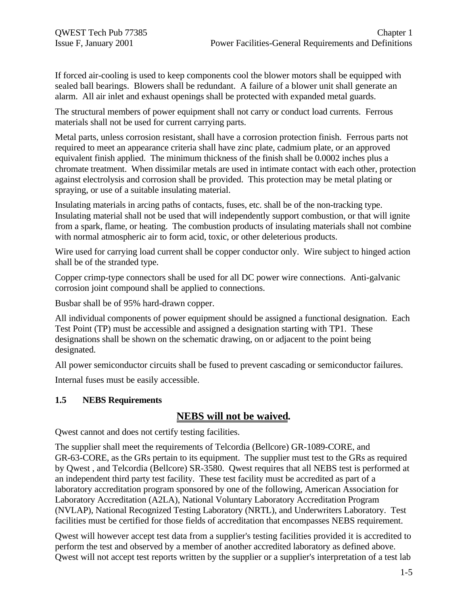If forced air-cooling is used to keep components cool the blower motors shall be equipped with sealed ball bearings. Blowers shall be redundant. A failure of a blower unit shall generate an alarm. All air inlet and exhaust openings shall be protected with expanded metal guards.

The structural members of power equipment shall not carry or conduct load currents. Ferrous materials shall not be used for current carrying parts.

Metal parts, unless corrosion resistant, shall have a corrosion protection finish. Ferrous parts not required to meet an appearance criteria shall have zinc plate, cadmium plate, or an approved equivalent finish applied. The minimum thickness of the finish shall be 0.0002 inches plus a chromate treatment. When dissimilar metals are used in intimate contact with each other, protection against electrolysis and corrosion shall be provided. This protection may be metal plating or spraying, or use of a suitable insulating material.

Insulating materials in arcing paths of contacts, fuses, etc. shall be of the non-tracking type. Insulating material shall not be used that will independently support combustion, or that will ignite from a spark, flame, or heating. The combustion products of insulating materials shall not combine with normal atmospheric air to form acid, toxic, or other deleterious products.

Wire used for carrying load current shall be copper conductor only. Wire subject to hinged action shall be of the stranded type.

Copper crimp-type connectors shall be used for all DC power wire connections. Anti-galvanic corrosion joint compound shall be applied to connections.

Busbar shall be of 95% hard-drawn copper.

All individual components of power equipment should be assigned a functional designation. Each Test Point (TP) must be accessible and assigned a designation starting with TP1. These designations shall be shown on the schematic drawing, on or adjacent to the point being designated.

All power semiconductor circuits shall be fused to prevent cascading or semiconductor failures.

Internal fuses must be easily accessible.

# **1.5 NEBS Requirements**

# **NEBS will not be waived.**

Qwest cannot and does not certify testing facilities.

The supplier shall meet the requirements of Telcordia (Bellcore) GR-1089-CORE, and GR-63-CORE, as the GRs pertain to its equipment. The supplier must test to the GRs as required by Qwest , and Telcordia (Bellcore) SR-3580. Qwest requires that all NEBS test is performed at an independent third party test facility. These test facility must be accredited as part of a laboratory accreditation program sponsored by one of the following, American Association for Laboratory Accreditation (A2LA), National Voluntary Laboratory Accreditation Program (NVLAP), National Recognized Testing Laboratory (NRTL), and Underwriters Laboratory. Test facilities must be certified for those fields of accreditation that encompasses NEBS requirement.

Qwest will however accept test data from a supplier's testing facilities provided it is accredited to perform the test and observed by a member of another accredited laboratory as defined above. Qwest will not accept test reports written by the supplier or a supplier's interpretation of a test lab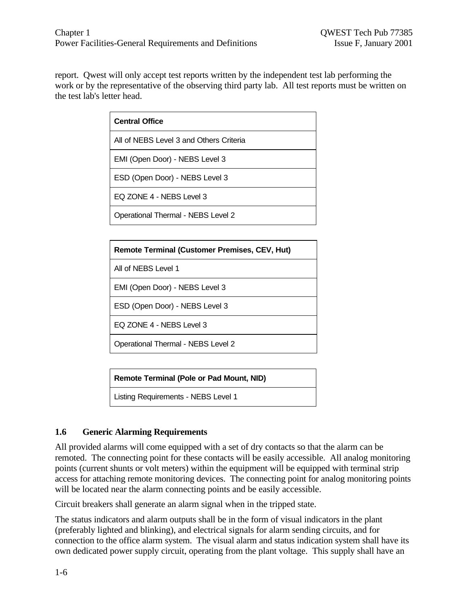report. Qwest will only accept test reports written by the independent test lab performing the work or by the representative of the observing third party lab. All test reports must be written on the test lab's letter head.

| <b>Central Office</b>                   |  |
|-----------------------------------------|--|
| All of NEBS Level 3 and Others Criteria |  |
| EMI (Open Door) - NEBS Level 3          |  |
| ESD (Open Door) - NEBS Level 3          |  |
| EQ ZONE 4 - NEBS Level 3                |  |
| Operational Thermal - NEBS Level 2      |  |

| <b>Remote Terminal (Customer Premises, CEV, Hut)</b> |  |
|------------------------------------------------------|--|
| All of NEBS Level 1                                  |  |
| EMI (Open Door) - NEBS Level 3                       |  |
| ESD (Open Door) - NEBS Level 3                       |  |
| EQ ZONE 4 - NEBS Level 3                             |  |
| Operational Thermal - NEBS Level 2                   |  |

**Remote Terminal (Pole or Pad Mount, NID)**

Listing Requirements - NEBS Level 1

# **1.6 Generic Alarming Requirements**

All provided alarms will come equipped with a set of dry contacts so that the alarm can be remoted. The connecting point for these contacts will be easily accessible. All analog monitoring points (current shunts or volt meters) within the equipment will be equipped with terminal strip access for attaching remote monitoring devices. The connecting point for analog monitoring points will be located near the alarm connecting points and be easily accessible.

Circuit breakers shall generate an alarm signal when in the tripped state.

The status indicators and alarm outputs shall be in the form of visual indicators in the plant (preferably lighted and blinking), and electrical signals for alarm sending circuits, and for connection to the office alarm system. The visual alarm and status indication system shall have its own dedicated power supply circuit, operating from the plant voltage. This supply shall have an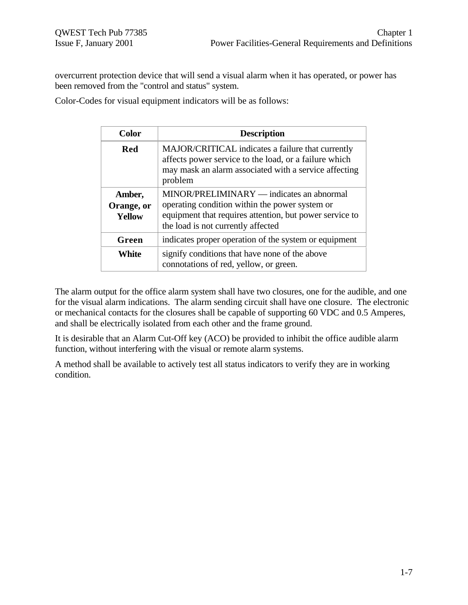overcurrent protection device that will send a visual alarm when it has operated, or power has been removed from the "control and status" system.

Color-Codes for visual equipment indicators will be as follows:

| <b>Color</b>                          | <b>Description</b>                                                                                                                                                                           |
|---------------------------------------|----------------------------------------------------------------------------------------------------------------------------------------------------------------------------------------------|
| Red                                   | MAJOR/CRITICAL indicates a failure that currently<br>affects power service to the load, or a failure which<br>may mask an alarm associated with a service affecting<br>problem               |
| Amber,<br>Orange, or<br><b>Yellow</b> | MINOR/PRELIMINARY — indicates an abnormal<br>operating condition within the power system or<br>equipment that requires attention, but power service to<br>the load is not currently affected |
| Green                                 | indicates proper operation of the system or equipment                                                                                                                                        |
| <b>White</b>                          | signify conditions that have none of the above<br>connotations of red, yellow, or green.                                                                                                     |

The alarm output for the office alarm system shall have two closures, one for the audible, and one for the visual alarm indications. The alarm sending circuit shall have one closure. The electronic or mechanical contacts for the closures shall be capable of supporting 60 VDC and 0.5 Amperes, and shall be electrically isolated from each other and the frame ground.

It is desirable that an Alarm Cut-Off key (ACO) be provided to inhibit the office audible alarm function, without interfering with the visual or remote alarm systems.

A method shall be available to actively test all status indicators to verify they are in working condition.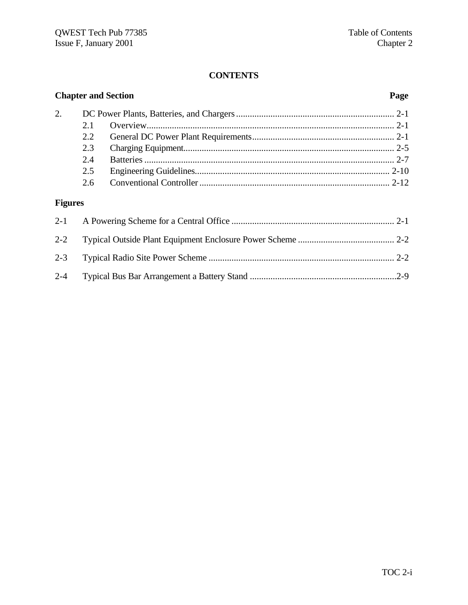# **CONTENTS**

| <b>Chapter and Section</b> |               | Page |  |
|----------------------------|---------------|------|--|
| 2.                         |               |      |  |
|                            | 2.1           |      |  |
|                            | $2.2^{\circ}$ |      |  |
|                            | 2.3           |      |  |
|                            | 2.4           |      |  |
|                            | 2.5           |      |  |
|                            |               |      |  |

# **Figures**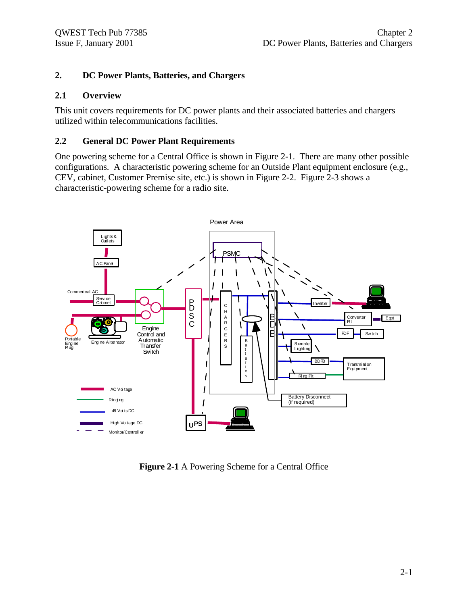# **2. DC Power Plants, Batteries, and Chargers**

#### **2.1 Overview**

This unit covers requirements for DC power plants and their associated batteries and chargers utilized within telecommunications facilities.

#### **2.2 General DC Power Plant Requirements**

One powering scheme for a Central Office is shown in Figure 2-1. There are many other possible configurations. A characteristic powering scheme for an Outside Plant equipment enclosure (e.g., CEV, cabinet, Customer Premise site, etc.) is shown in Figure 2-2. Figure 2-3 shows a characteristic-powering scheme for a radio site.



**Figure 2-1** A Powering Scheme for a Central Office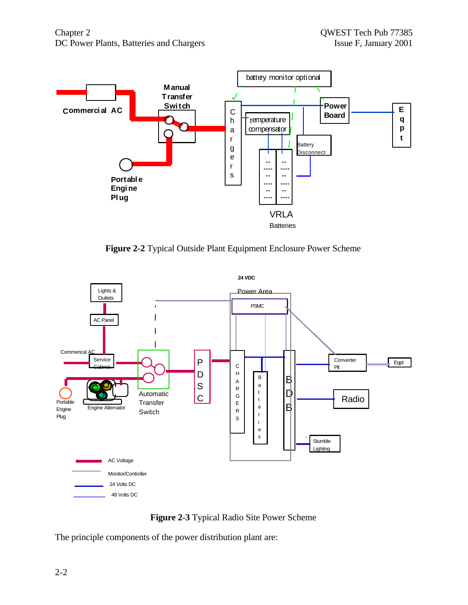

**Figure 2-2** Typical Outside Plant Equipment Enclosure Power Scheme





The principle components of the power distribution plant are: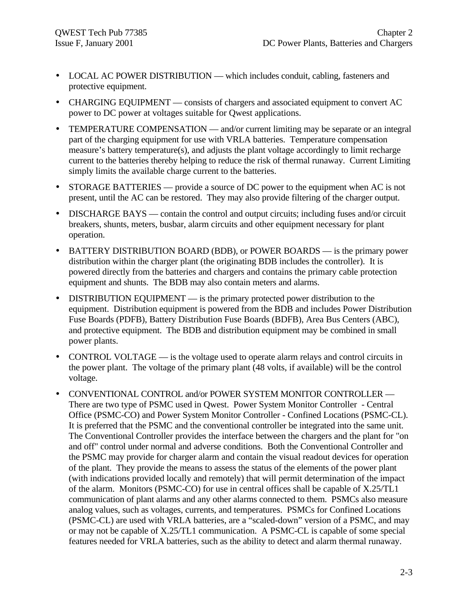- LOCAL AC POWER DISTRIBUTION which includes conduit, cabling, fasteners and protective equipment.
- CHARGING EQUIPMENT consists of chargers and associated equipment to convert AC power to DC power at voltages suitable for Qwest applications.
- TEMPERATURE COMPENSATION and/or current limiting may be separate or an integral part of the charging equipment for use with VRLA batteries. Temperature compensation measure's battery temperature(s), and adjusts the plant voltage accordingly to limit recharge current to the batteries thereby helping to reduce the risk of thermal runaway. Current Limiting simply limits the available charge current to the batteries.
- STORAGE BATTERIES provide a source of DC power to the equipment when AC is not present, until the AC can be restored. They may also provide filtering of the charger output.
- DISCHARGE BAYS contain the control and output circuits; including fuses and/or circuit breakers, shunts, meters, busbar, alarm circuits and other equipment necessary for plant operation.
- BATTERY DISTRIBUTION BOARD (BDB), or POWER BOARDS is the primary power distribution within the charger plant (the originating BDB includes the controller). It is powered directly from the batteries and chargers and contains the primary cable protection equipment and shunts. The BDB may also contain meters and alarms.
- DISTRIBUTION EQUIPMENT is the primary protected power distribution to the equipment. Distribution equipment is powered from the BDB and includes Power Distribution Fuse Boards (PDFB), Battery Distribution Fuse Boards (BDFB), Area Bus Centers (ABC), and protective equipment. The BDB and distribution equipment may be combined in small power plants.
- CONTROL VOLTAGE is the voltage used to operate alarm relays and control circuits in the power plant. The voltage of the primary plant (48 volts, if available) will be the control voltage.
- CONVENTIONAL CONTROL and/or POWER SYSTEM MONITOR CONTROLLER There are two type of PSMC used in Qwest. Power System Monitor Controller - Central Office (PSMC-CO) and Power System Monitor Controller - Confined Locations (PSMC-CL). It is preferred that the PSMC and the conventional controller be integrated into the same unit. The Conventional Controller provides the interface between the chargers and the plant for "on and off" control under normal and adverse conditions. Both the Conventional Controller and the PSMC may provide for charger alarm and contain the visual readout devices for operation of the plant. They provide the means to assess the status of the elements of the power plant (with indications provided locally and remotely) that will permit determination of the impact of the alarm. Monitors (PSMC-CO) for use in central offices shall be capable of X.25/TL1 communication of plant alarms and any other alarms connected to them. PSMCs also measure analog values, such as voltages, currents, and temperatures. PSMCs for Confined Locations (PSMC-CL) are used with VRLA batteries, are a "scaled-down" version of a PSMC, and may or may not be capable of X.25/TL1 communication. A PSMC-CL is capable of some special features needed for VRLA batteries, such as the ability to detect and alarm thermal runaway.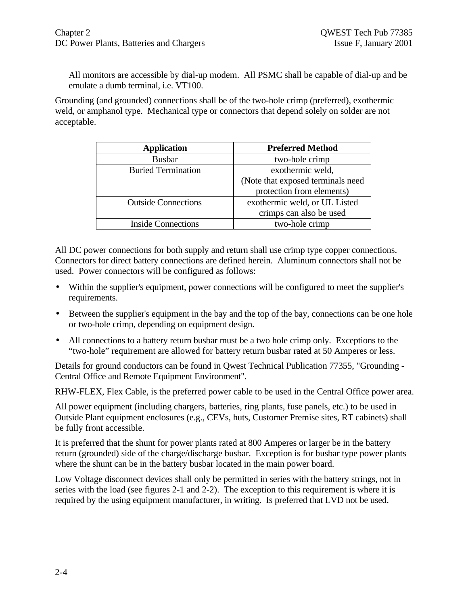All monitors are accessible by dial-up modem. All PSMC shall be capable of dial-up and be emulate a dumb terminal, i.e. VT100.

Grounding (and grounded) connections shall be of the two-hole crimp (preferred), exothermic weld, or amphanol type. Mechanical type or connectors that depend solely on solder are not acceptable.

| <b>Application</b>         | <b>Preferred Method</b>           |
|----------------------------|-----------------------------------|
| <b>Busbar</b>              | two-hole crimp                    |
| <b>Buried Termination</b>  | exothermic weld,                  |
|                            | (Note that exposed terminals need |
|                            | protection from elements)         |
| <b>Outside Connections</b> | exothermic weld, or UL Listed     |
|                            | crimps can also be used           |
| <b>Inside Connections</b>  | two-hole crimp                    |

All DC power connections for both supply and return shall use crimp type copper connections. Connectors for direct battery connections are defined herein. Aluminum connectors shall not be used. Power connectors will be configured as follows:

- Within the supplier's equipment, power connections will be configured to meet the supplier's requirements.
- Between the supplier's equipment in the bay and the top of the bay, connections can be one hole or two-hole crimp, depending on equipment design.
- All connections to a battery return busbar must be a two hole crimp only. Exceptions to the "two-hole" requirement are allowed for battery return busbar rated at 50 Amperes or less.

Details for ground conductors can be found in Qwest Technical Publication 77355, "Grounding - Central Office and Remote Equipment Environment".

RHW-FLEX, Flex Cable, is the preferred power cable to be used in the Central Office power area.

All power equipment (including chargers, batteries, ring plants, fuse panels, etc.) to be used in Outside Plant equipment enclosures (e.g., CEVs, huts, Customer Premise sites, RT cabinets) shall be fully front accessible.

It is preferred that the shunt for power plants rated at 800 Amperes or larger be in the battery return (grounded) side of the charge/discharge busbar. Exception is for busbar type power plants where the shunt can be in the battery busbar located in the main power board.

Low Voltage disconnect devices shall only be permitted in series with the battery strings, not in series with the load (see figures 2-1 and 2-2). The exception to this requirement is where it is required by the using equipment manufacturer, in writing. Is preferred that LVD not be used.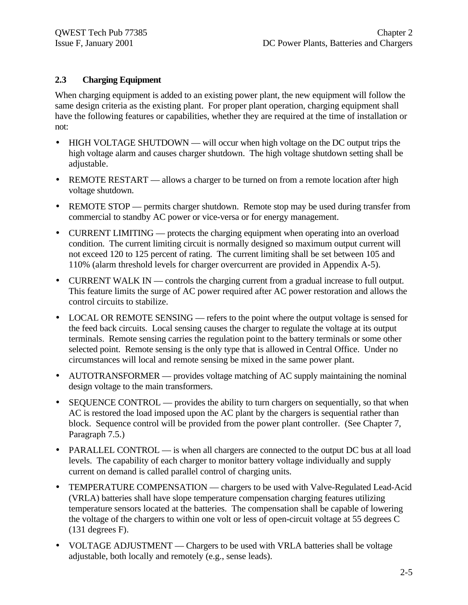### **2.3 Charging Equipment**

When charging equipment is added to an existing power plant, the new equipment will follow the same design criteria as the existing plant. For proper plant operation, charging equipment shall have the following features or capabilities, whether they are required at the time of installation or not:

- HIGH VOLTAGE SHUTDOWN will occur when high voltage on the DC output trips the high voltage alarm and causes charger shutdown. The high voltage shutdown setting shall be adjustable.
- REMOTE RESTART allows a charger to be turned on from a remote location after high voltage shutdown.
- REMOTE STOP permits charger shutdown. Remote stop may be used during transfer from commercial to standby AC power or vice-versa or for energy management.
- CURRENT LIMITING protects the charging equipment when operating into an overload condition. The current limiting circuit is normally designed so maximum output current will not exceed 120 to 125 percent of rating. The current limiting shall be set between 105 and 110% (alarm threshold levels for charger overcurrent are provided in Appendix A-5).
- CURRENT WALK IN controls the charging current from a gradual increase to full output. This feature limits the surge of AC power required after AC power restoration and allows the control circuits to stabilize.
- LOCAL OR REMOTE SENSING refers to the point where the output voltage is sensed for the feed back circuits. Local sensing causes the charger to regulate the voltage at its output terminals. Remote sensing carries the regulation point to the battery terminals or some other selected point. Remote sensing is the only type that is allowed in Central Office. Under no circumstances will local and remote sensing be mixed in the same power plant.
- AUTOTRANSFORMER provides voltage matching of AC supply maintaining the nominal design voltage to the main transformers.
- SEQUENCE CONTROL provides the ability to turn chargers on sequentially, so that when AC is restored the load imposed upon the AC plant by the chargers is sequential rather than block. Sequence control will be provided from the power plant controller. (See Chapter 7, Paragraph 7.5.)
- PARALLEL CONTROL is when all chargers are connected to the output DC bus at all load levels. The capability of each charger to monitor battery voltage individually and supply current on demand is called parallel control of charging units.
- TEMPERATURE COMPENSATION chargers to be used with Valve-Regulated Lead-Acid (VRLA) batteries shall have slope temperature compensation charging features utilizing temperature sensors located at the batteries. The compensation shall be capable of lowering the voltage of the chargers to within one volt or less of open-circuit voltage at 55 degrees C (131 degrees F).
- VOLTAGE ADJUSTMENT Chargers to be used with VRLA batteries shall be voltage adjustable, both locally and remotely (e.g., sense leads).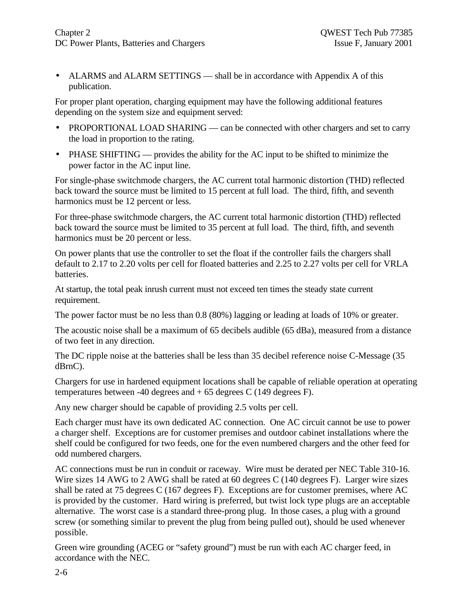• ALARMS and ALARM SETTINGS — shall be in accordance with Appendix A of this publication.

For proper plant operation, charging equipment may have the following additional features depending on the system size and equipment served:

- PROPORTIONAL LOAD SHARING can be connected with other chargers and set to carry the load in proportion to the rating.
- PHASE SHIFTING provides the ability for the AC input to be shifted to minimize the power factor in the AC input line.

For single-phase switchmode chargers, the AC current total harmonic distortion (THD) reflected back toward the source must be limited to 15 percent at full load. The third, fifth, and seventh harmonics must be 12 percent or less.

For three**-**phase switchmode chargers, the AC current total harmonic distortion (THD) reflected back toward the source must be limited to 35 percent at full load. The third, fifth, and seventh harmonics must be 20 percent or less.

On power plants that use the controller to set the float if the controller fails the chargers shall default to 2.17 to 2.20 volts per cell for floated batteries and 2.25 to 2.27 volts per cell for VRLA batteries.

At startup, the total peak inrush current must not exceed ten times the steady state current requirement.

The power factor must be no less than 0.8 (80%) lagging or leading at loads of 10% or greater.

The acoustic noise shall be a maximum of 65 decibels audible (65 dBa), measured from a distance of two feet in any direction.

The DC ripple noise at the batteries shall be less than 35 decibel reference noise C-Message (35 dBrnC).

Chargers for use in hardened equipment locations shall be capable of reliable operation at operating temperatures between -40 degrees and  $+ 65$  degrees C (149 degrees F).

Any new charger should be capable of providing 2.5 volts per cell.

Each charger must have its own dedicated AC connection. One AC circuit cannot be use to power a charger shelf. Exceptions are for customer premises and outdoor cabinet installations where the shelf could be configured for two feeds, one for the even numbered chargers and the other feed for odd numbered chargers.

AC connections must be run in conduit or raceway. Wire must be derated per NEC Table 310-16. Wire sizes 14 AWG to 2 AWG shall be rated at 60 degrees C (140 degrees F). Larger wire sizes shall be rated at 75 degrees C (167 degrees F). Exceptions are for customer premises, where AC is provided by the customer. Hard wiring is preferred, but twist lock type plugs are an acceptable alternative. The worst case is a standard three-prong plug. In those cases, a plug with a ground screw (or something similar to prevent the plug from being pulled out), should be used whenever possible.

Green wire grounding (ACEG or "safety ground") must be run with each AC charger feed, in accordance with the NEC.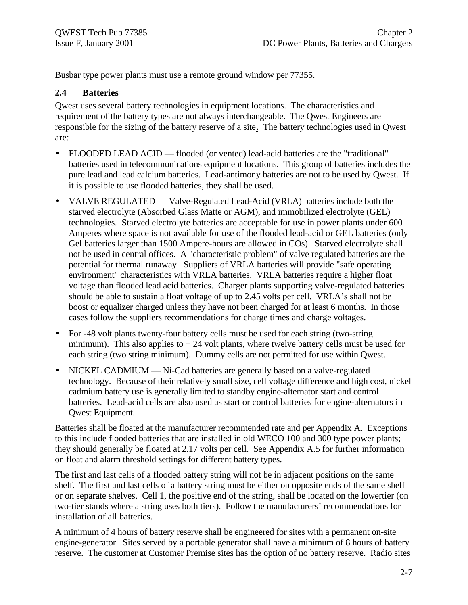Busbar type power plants must use a remote ground window per 77355.

### **2.4 Batteries**

Qwest uses several battery technologies in equipment locations. The characteristics and requirement of the battery types are not always interchangeable. The Qwest Engineers are responsible for the sizing of the battery reserve of a site**.** The battery technologies used in Qwest are:

- FLOODED LEAD ACID flooded (or vented) lead-acid batteries are the "traditional" batteries used in telecommunications equipment locations. This group of batteries includes the pure lead and lead calcium batteries. Lead-antimony batteries are not to be used by Qwest. If it is possible to use flooded batteries, they shall be used.
- VALVE REGULATED Valve-Regulated Lead-Acid (VRLA) batteries include both the starved electrolyte (Absorbed Glass Matte or AGM), and immobilized electrolyte (GEL) technologies. Starved electrolyte batteries are acceptable for use in power plants under 600 Amperes where space is not available for use of the flooded lead-acid or GEL batteries (only Gel batteries larger than 1500 Ampere-hours are allowed in COs). Starved electrolyte shall not be used in central offices. A "characteristic problem" of valve regulated batteries are the potential for thermal runaway. Suppliers of VRLA batteries will provide "safe operating environment" characteristics with VRLA batteries. VRLA batteries require a higher float voltage than flooded lead acid batteries. Charger plants supporting valve-regulated batteries should be able to sustain a float voltage of up to 2.45 volts per cell. VRLA's shall not be boost or equalizer charged unless they have not been charged for at least 6 months. In those cases follow the suppliers recommendations for charge times and charge voltages.
- For -48 volt plants twenty-four battery cells must be used for each string (two-string minimum). This also applies to  $\pm 24$  volt plants, where twelve battery cells must be used for each string (two string minimum). Dummy cells are not permitted for use within Qwest.
- NICKEL CADMIUM Ni-Cad batteries are generally based on a valve-regulated technology. Because of their relatively small size, cell voltage difference and high cost, nickel cadmium battery use is generally limited to standby engine-alternator start and control batteries. Lead-acid cells are also used as start or control batteries for engine-alternators in Qwest Equipment.

Batteries shall be floated at the manufacturer recommended rate and per Appendix A. Exceptions to this include flooded batteries that are installed in old WECO 100 and 300 type power plants; they should generally be floated at 2.17 volts per cell. See Appendix A.5 for further information on float and alarm threshold settings for different battery types.

The first and last cells of a flooded battery string will not be in adjacent positions on the same shelf. The first and last cells of a battery string must be either on opposite ends of the same shelf or on separate shelves. Cell 1, the positive end of the string, shall be located on the lowertier (on two-tier stands where a string uses both tiers). Follow the manufacturers' recommendations for installation of all batteries.

A minimum of 4 hours of battery reserve shall be engineered for sites with a permanent on-site engine-generator. Sites served by a portable generator shall have a minimum of 8 hours of battery reserve. The customer at Customer Premise sites has the option of no battery reserve. Radio sites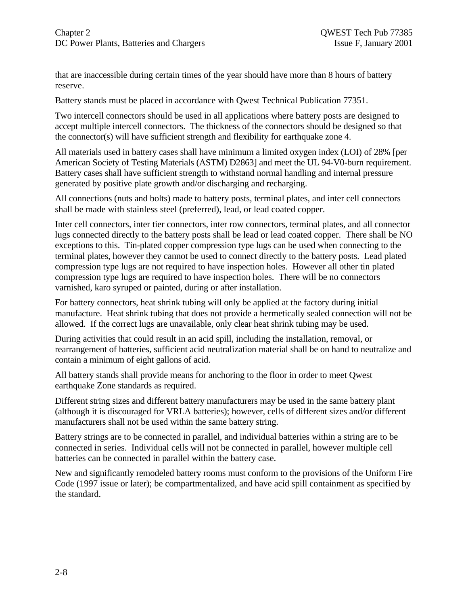that are inaccessible during certain times of the year should have more than 8 hours of battery reserve.

Battery stands must be placed in accordance with Qwest Technical Publication 77351.

Two intercell connectors should be used in all applications where battery posts are designed to accept multiple intercell connectors. The thickness of the connectors should be designed so that the connector(s) will have sufficient strength and flexibility for earthquake zone 4.

All materials used in battery cases shall have minimum a limited oxygen index (LOI) of 28% [per American Society of Testing Materials (ASTM) D2863] and meet the UL 94-V0-burn requirement. Battery cases shall have sufficient strength to withstand normal handling and internal pressure generated by positive plate growth and/or discharging and recharging.

All connections (nuts and bolts) made to battery posts, terminal plates, and inter cell connectors shall be made with stainless steel (preferred), lead, or lead coated copper.

Inter cell connectors, inter tier connectors, inter row connectors, terminal plates, and all connector lugs connected directly to the battery posts shall be lead or lead coated copper. There shall be NO exceptions to this. Tin-plated copper compression type lugs can be used when connecting to the terminal plates, however they cannot be used to connect directly to the battery posts. Lead plated compression type lugs are not required to have inspection holes. However all other tin plated compression type lugs are required to have inspection holes. There will be no connectors varnished, karo syruped or painted, during or after installation.

For battery connectors, heat shrink tubing will only be applied at the factory during initial manufacture. Heat shrink tubing that does not provide a hermetically sealed connection will not be allowed. If the correct lugs are unavailable, only clear heat shrink tubing may be used.

During activities that could result in an acid spill, including the installation, removal, or rearrangement of batteries, sufficient acid neutralization material shall be on hand to neutralize and contain a minimum of eight gallons of acid.

All battery stands shall provide means for anchoring to the floor in order to meet Qwest earthquake Zone standards as required.

Different string sizes and different battery manufacturers may be used in the same battery plant (although it is discouraged for VRLA batteries); however, cells of different sizes and/or different manufacturers shall not be used within the same battery string.

Battery strings are to be connected in parallel, and individual batteries within a string are to be connected in series. Individual cells will not be connected in parallel, however multiple cell batteries can be connected in parallel within the battery case.

New and significantly remodeled battery rooms must conform to the provisions of the Uniform Fire Code (1997 issue or later); be compartmentalized, and have acid spill containment as specified by the standard.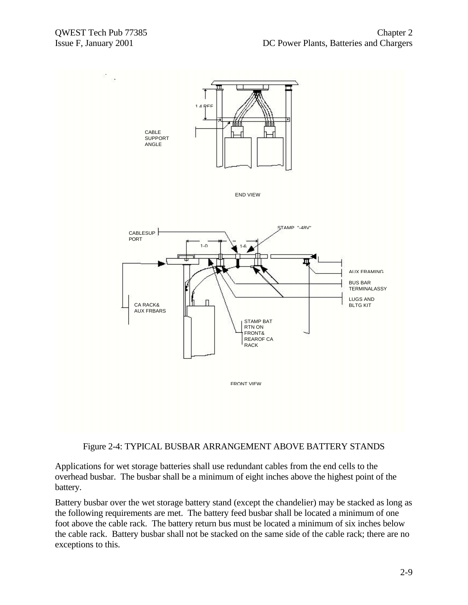

#### Figure 2-4: TYPICAL BUSBAR ARRANGEMENT ABOVE BATTERY STANDS

Applications for wet storage batteries shall use redundant cables from the end cells to the overhead busbar. The busbar shall be a minimum of eight inches above the highest point of the battery.

Battery busbar over the wet storage battery stand (except the chandelier) may be stacked as long as the following requirements are met. The battery feed busbar shall be located a minimum of one foot above the cable rack. The battery return bus must be located a minimum of six inches below the cable rack. Battery busbar shall not be stacked on the same side of the cable rack; there are no exceptions to this.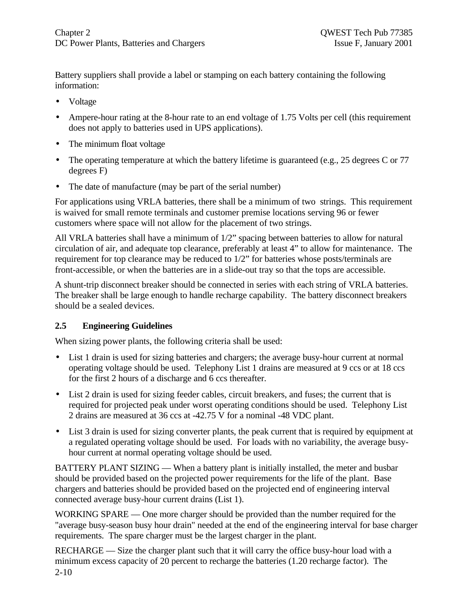Battery suppliers shall provide a label or stamping on each battery containing the following information:

- Voltage
- Ampere-hour rating at the 8-hour rate to an end voltage of 1.75 Volts per cell (this requirement does not apply to batteries used in UPS applications).
- The minimum float voltage
- The operating temperature at which the battery lifetime is guaranteed (e.g., 25 degrees C or 77 degrees F)
- The date of manufacture (may be part of the serial number)

For applications using VRLA batteries, there shall be a minimum of two strings. This requirement is waived for small remote terminals and customer premise locations serving 96 or fewer customers where space will not allow for the placement of two strings.

All VRLA batteries shall have a minimum of 1/2" spacing between batteries to allow for natural circulation of air, and adequate top clearance, preferably at least 4" to allow for maintenance. The requirement for top clearance may be reduced to 1/2" for batteries whose posts/terminals are front-accessible, or when the batteries are in a slide-out tray so that the tops are accessible.

A shunt-trip disconnect breaker should be connected in series with each string of VRLA batteries. The breaker shall be large enough to handle recharge capability. The battery disconnect breakers should be a sealed devices.

#### **2.5 Engineering Guidelines**

When sizing power plants, the following criteria shall be used:

- List 1 drain is used for sizing batteries and chargers; the average busy-hour current at normal operating voltage should be used. Telephony List 1 drains are measured at 9 ccs or at 18 ccs for the first 2 hours of a discharge and 6 ccs thereafter.
- List 2 drain is used for sizing feeder cables, circuit breakers, and fuses; the current that is required for projected peak under worst operating conditions should be used. Telephony List 2 drains are measured at 36 ccs at -42.75 V for a nominal -48 VDC plant.
- List 3 drain is used for sizing converter plants, the peak current that is required by equipment at a regulated operating voltage should be used. For loads with no variability, the average busyhour current at normal operating voltage should be used.

BATTERY PLANT SIZING — When a battery plant is initially installed, the meter and busbar should be provided based on the projected power requirements for the life of the plant. Base chargers and batteries should be provided based on the projected end of engineering interval connected average busy-hour current drains (List 1).

WORKING SPARE — One more charger should be provided than the number required for the "average busy-season busy hour drain" needed at the end of the engineering interval for base charger requirements. The spare charger must be the largest charger in the plant.

2-10 RECHARGE — Size the charger plant such that it will carry the office busy-hour load with a minimum excess capacity of 20 percent to recharge the batteries (1.20 recharge factor). The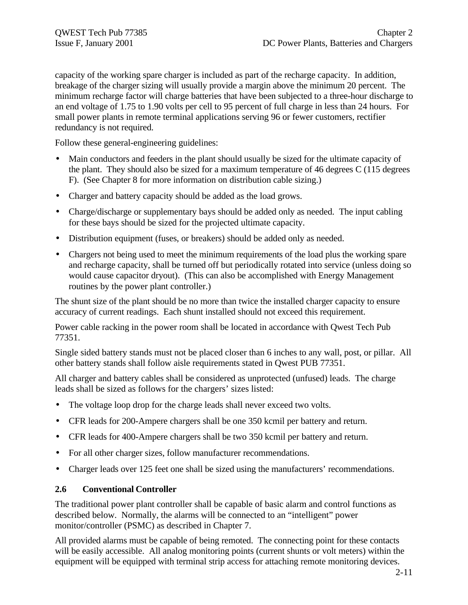capacity of the working spare charger is included as part of the recharge capacity. In addition, breakage of the charger sizing will usually provide a margin above the minimum 20 percent. The minimum recharge factor will charge batteries that have been subjected to a three-hour discharge to an end voltage of 1.75 to 1.90 volts per cell to 95 percent of full charge in less than 24 hours. For small power plants in remote terminal applications serving 96 or fewer customers, rectifier redundancy is not required.

Follow these general-engineering guidelines:

- Main conductors and feeders in the plant should usually be sized for the ultimate capacity of the plant. They should also be sized for a maximum temperature of 46 degrees C (115 degrees F). (See Chapter 8 for more information on distribution cable sizing.)
- Charger and battery capacity should be added as the load grows.
- Charge/discharge or supplementary bays should be added only as needed. The input cabling for these bays should be sized for the projected ultimate capacity.
- Distribution equipment (fuses, or breakers) should be added only as needed.
- Chargers not being used to meet the minimum requirements of the load plus the working spare and recharge capacity, shall be turned off but periodically rotated into service (unless doing so would cause capacitor dryout). (This can also be accomplished with Energy Management routines by the power plant controller.)

The shunt size of the plant should be no more than twice the installed charger capacity to ensure accuracy of current readings. Each shunt installed should not exceed this requirement.

Power cable racking in the power room shall be located in accordance with Qwest Tech Pub 77351.

Single sided battery stands must not be placed closer than 6 inches to any wall, post, or pillar. All other battery stands shall follow aisle requirements stated in Qwest PUB 77351.

All charger and battery cables shall be considered as unprotected (unfused) leads. The charge leads shall be sized as follows for the chargers' sizes listed:

- The voltage loop drop for the charge leads shall never exceed two volts.
- CFR leads for 200-Ampere chargers shall be one 350 kcmil per battery and return.
- CFR leads for 400-Ampere chargers shall be two 350 kcmil per battery and return.
- For all other charger sizes, follow manufacturer recommendations.
- Charger leads over 125 feet one shall be sized using the manufacturers' recommendations.

#### **2.6 Conventional Controller**

The traditional power plant controller shall be capable of basic alarm and control functions as described below. Normally, the alarms will be connected to an "intelligent" power monitor/controller (PSMC) as described in Chapter 7.

All provided alarms must be capable of being remoted. The connecting point for these contacts will be easily accessible. All analog monitoring points (current shunts or volt meters) within the equipment will be equipped with terminal strip access for attaching remote monitoring devices.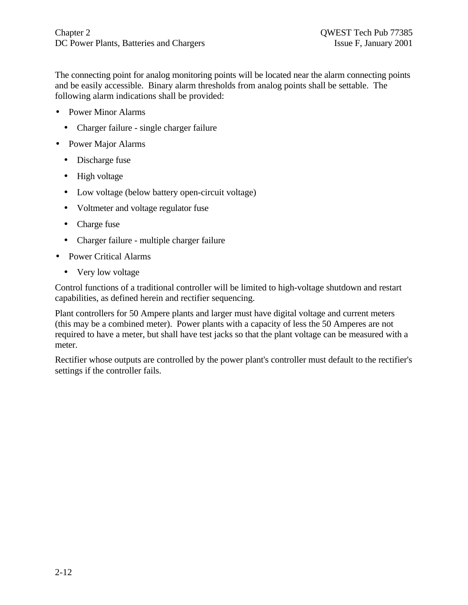The connecting point for analog monitoring points will be located near the alarm connecting points and be easily accessible. Binary alarm thresholds from analog points shall be settable. The following alarm indications shall be provided:

- Power Minor Alarms
	- Charger failure single charger failure
- Power Major Alarms
	- Discharge fuse
	- High voltage
	- Low voltage (below battery open-circuit voltage)
	- Voltmeter and voltage regulator fuse
	- Charge fuse
	- Charger failure multiple charger failure
- Power Critical Alarms
	- Very low voltage

Control functions of a traditional controller will be limited to high-voltage shutdown and restart capabilities, as defined herein and rectifier sequencing.

Plant controllers for 50 Ampere plants and larger must have digital voltage and current meters (this may be a combined meter). Power plants with a capacity of less the 50 Amperes are not required to have a meter, but shall have test jacks so that the plant voltage can be measured with a meter.

Rectifier whose outputs are controlled by the power plant's controller must default to the rectifier's settings if the controller fails.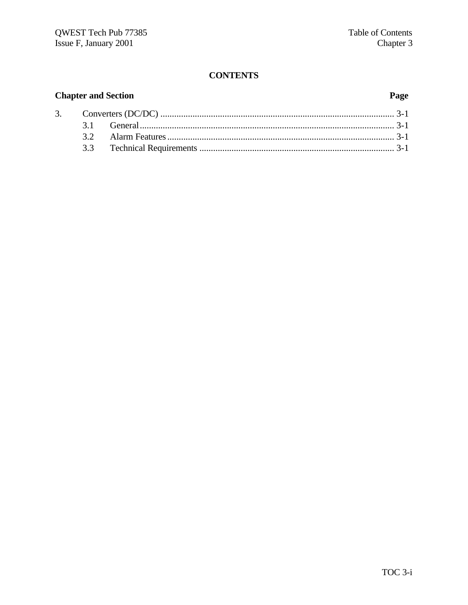# **CONTENTS**

# **Chapter and Section**

 $3.$ 

# Page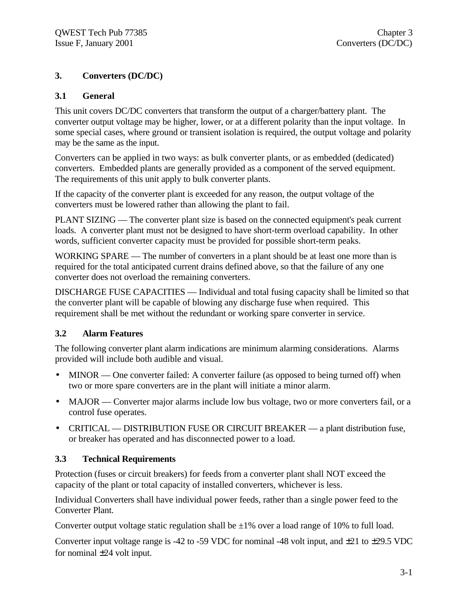# **3. Converters (DC/DC)**

#### **3.1 General**

This unit covers DC/DC converters that transform the output of a charger/battery plant. The converter output voltage may be higher, lower, or at a different polarity than the input voltage. In some special cases, where ground or transient isolation is required, the output voltage and polarity may be the same as the input.

Converters can be applied in two ways: as bulk converter plants, or as embedded (dedicated) converters. Embedded plants are generally provided as a component of the served equipment. The requirements of this unit apply to bulk converter plants.

If the capacity of the converter plant is exceeded for any reason, the output voltage of the converters must be lowered rather than allowing the plant to fail.

PLANT SIZING — The converter plant size is based on the connected equipment's peak current loads. A converter plant must not be designed to have short-term overload capability. In other words, sufficient converter capacity must be provided for possible short-term peaks.

WORKING SPARE — The number of converters in a plant should be at least one more than is required for the total anticipated current drains defined above, so that the failure of any one converter does not overload the remaining converters.

DISCHARGE FUSE CAPACITIES — Individual and total fusing capacity shall be limited so that the converter plant will be capable of blowing any discharge fuse when required. This requirement shall be met without the redundant or working spare converter in service.

# **3.2 Alarm Features**

The following converter plant alarm indications are minimum alarming considerations. Alarms provided will include both audible and visual.

- MINOR One converter failed: A converter failure (as opposed to being turned off) when two or more spare converters are in the plant will initiate a minor alarm.
- MAJOR Converter major alarms include low bus voltage, two or more converters fail, or a control fuse operates.
- CRITICAL DISTRIBUTION FUSE OR CIRCUIT BREAKER a plant distribution fuse, or breaker has operated and has disconnected power to a load.

# **3.3 Technical Requirements**

Protection (fuses or circuit breakers) for feeds from a converter plant shall NOT exceed the capacity of the plant or total capacity of installed converters, whichever is less.

Individual Converters shall have individual power feeds, rather than a single power feed to the Converter Plant.

Converter output voltage static regulation shall be  $\pm 1\%$  over a load range of 10% to full load.

Converter input voltage range is -42 to -59 VDC for nominal -48 volt input, and  $\pm$ 21 to  $\pm$ 29.5 VDC for nominal ±24 volt input.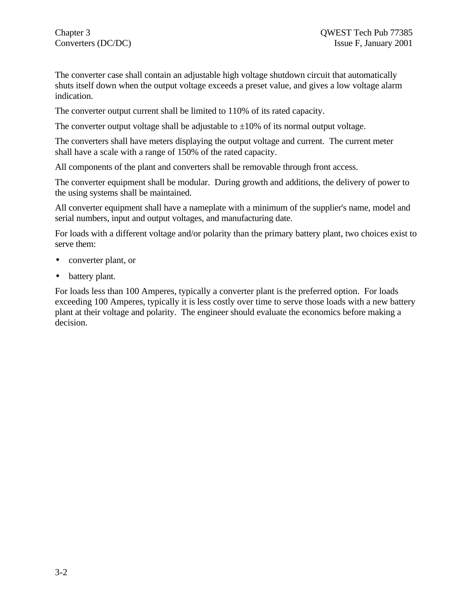The converter case shall contain an adjustable high voltage shutdown circuit that automatically shuts itself down when the output voltage exceeds a preset value, and gives a low voltage alarm indication.

The converter output current shall be limited to 110% of its rated capacity.

The converter output voltage shall be adjustable to  $\pm 10\%$  of its normal output voltage.

The converters shall have meters displaying the output voltage and current. The current meter shall have a scale with a range of 150% of the rated capacity.

All components of the plant and converters shall be removable through front access.

The converter equipment shall be modular. During growth and additions, the delivery of power to the using systems shall be maintained.

All converter equipment shall have a nameplate with a minimum of the supplier's name, model and serial numbers, input and output voltages, and manufacturing date.

For loads with a different voltage and/or polarity than the primary battery plant, two choices exist to serve them:

- converter plant, or
- battery plant.

For loads less than 100 Amperes, typically a converter plant is the preferred option. For loads exceeding 100 Amperes, typically it is less costly over time to serve those loads with a new battery plant at their voltage and polarity. The engineer should evaluate the economics before making a decision.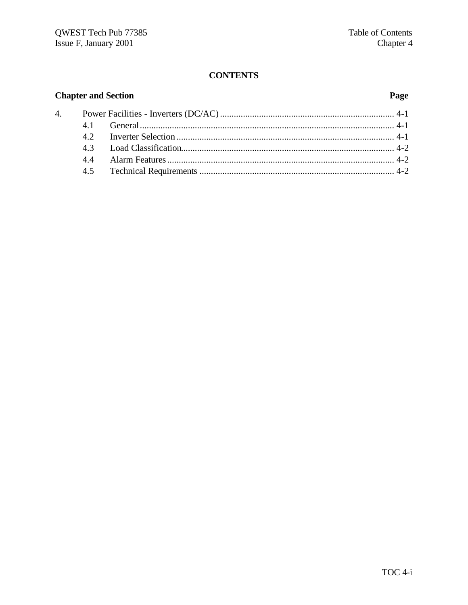#### **CONTENTS**

#### **Chapter and Section**  $\overline{4}$ .  $4.1$  $4.2$  $4.3$ 4.4  $4.5$

#### Page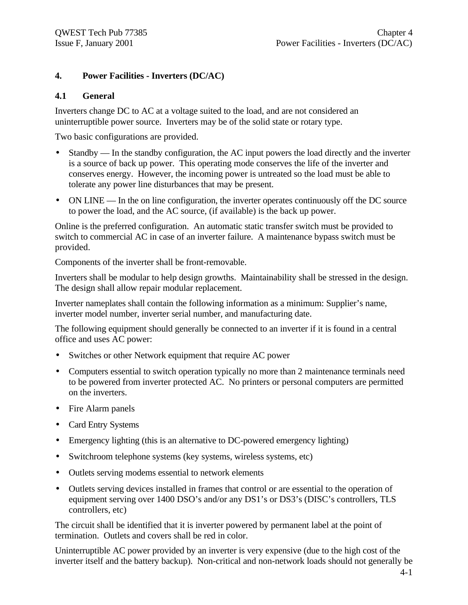### **4. Power Facilities - Inverters (DC/AC)**

#### **4.1 General**

Inverters change DC to AC at a voltage suited to the load, and are not considered an uninterruptible power source. Inverters may be of the solid state or rotary type.

Two basic configurations are provided.

- Standby In the standby configuration, the AC input powers the load directly and the inverter is a source of back up power. This operating mode conserves the life of the inverter and conserves energy. However, the incoming power is untreated so the load must be able to tolerate any power line disturbances that may be present.
- ON LINE In the on line configuration, the inverter operates continuously off the DC source to power the load, and the AC source, (if available) is the back up power.

Online is the preferred configuration. An automatic static transfer switch must be provided to switch to commercial AC in case of an inverter failure. A maintenance bypass switch must be provided.

Components of the inverter shall be front-removable.

Inverters shall be modular to help design growths. Maintainability shall be stressed in the design. The design shall allow repair modular replacement.

Inverter nameplates shall contain the following information as a minimum: Supplier's name, inverter model number, inverter serial number, and manufacturing date.

The following equipment should generally be connected to an inverter if it is found in a central office and uses AC power:

- Switches or other Network equipment that require AC power
- Computers essential to switch operation typically no more than 2 maintenance terminals need to be powered from inverter protected AC. No printers or personal computers are permitted on the inverters.
- Fire Alarm panels
- Card Entry Systems
- Emergency lighting (this is an alternative to DC-powered emergency lighting)
- Switchroom telephone systems (key systems, wireless systems, etc)
- Outlets serving modems essential to network elements
- Outlets serving devices installed in frames that control or are essential to the operation of equipment serving over 1400 DSO's and/or any DS1's or DS3's (DISC's controllers, TLS controllers, etc)

The circuit shall be identified that it is inverter powered by permanent label at the point of termination. Outlets and covers shall be red in color.

Uninterruptible AC power provided by an inverter is very expensive (due to the high cost of the inverter itself and the battery backup). Non-critical and non-network loads should not generally be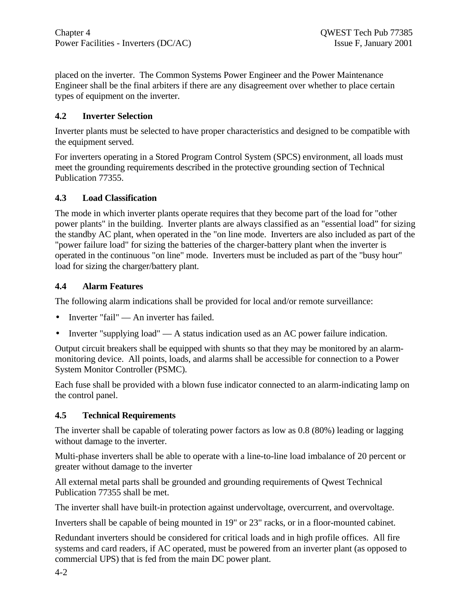placed on the inverter. The Common Systems Power Engineer and the Power Maintenance Engineer shall be the final arbiters if there are any disagreement over whether to place certain types of equipment on the inverter.

### **4.2 Inverter Selection**

Inverter plants must be selected to have proper characteristics and designed to be compatible with the equipment served.

For inverters operating in a Stored Program Control System (SPCS) environment, all loads must meet the grounding requirements described in the protective grounding section of Technical Publication 77355.

#### **4.3 Load Classification**

The mode in which inverter plants operate requires that they become part of the load for "other power plants" in the building. Inverter plants are always classified as an "essential load" for sizing the standby AC plant, when operated in the "on line mode. Inverters are also included as part of the "power failure load" for sizing the batteries of the charger-battery plant when the inverter is operated in the continuous "on line" mode. Inverters must be included as part of the "busy hour" load for sizing the charger/battery plant.

#### **4.4 Alarm Features**

The following alarm indications shall be provided for local and/or remote surveillance:

- Inverter "fail" An inverter has failed.
- Inverter "supplying load"  $\overline{A}$  at a status indication used as an AC power failure indication.

Output circuit breakers shall be equipped with shunts so that they may be monitored by an alarmmonitoring device. All points, loads, and alarms shall be accessible for connection to a Power System Monitor Controller (PSMC).

Each fuse shall be provided with a blown fuse indicator connected to an alarm-indicating lamp on the control panel.

#### **4.5 Technical Requirements**

The inverter shall be capable of tolerating power factors as low as 0.8 (80%) leading or lagging without damage to the inverter.

Multi-phase inverters shall be able to operate with a line-to-line load imbalance of 20 percent or greater without damage to the inverter

All external metal parts shall be grounded and grounding requirements of Qwest Technical Publication 77355 shall be met.

The inverter shall have built-in protection against undervoltage, overcurrent, and overvoltage.

Inverters shall be capable of being mounted in 19" or 23" racks, or in a floor-mounted cabinet.

Redundant inverters should be considered for critical loads and in high profile offices. All fire systems and card readers, if AC operated, must be powered from an inverter plant (as opposed to commercial UPS) that is fed from the main DC power plant.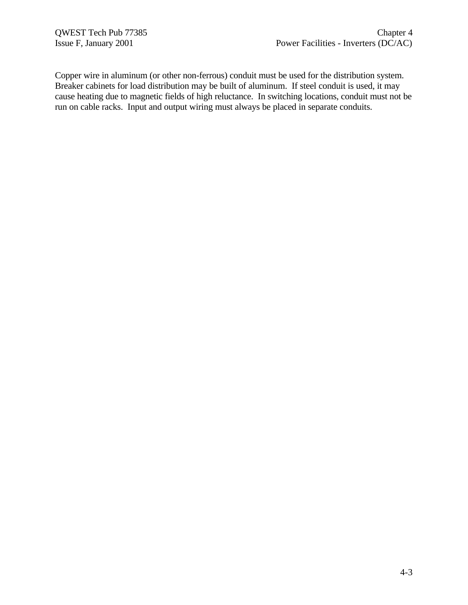Copper wire in aluminum (or other non-ferrous) conduit must be used for the distribution system. Breaker cabinets for load distribution may be built of aluminum. If steel conduit is used, it may cause heating due to magnetic fields of high reluctance. In switching locations, conduit must not be run on cable racks. Input and output wiring must always be placed in separate conduits.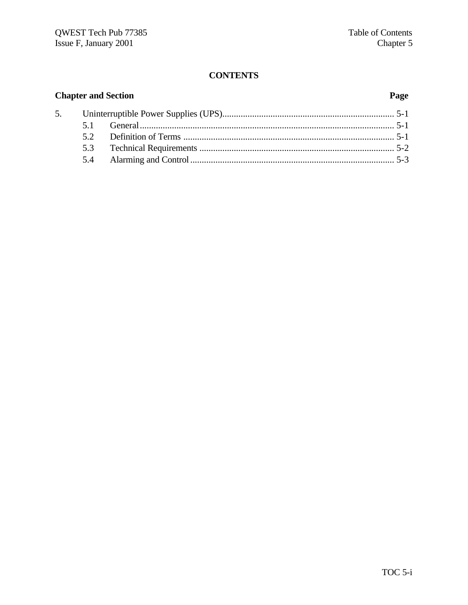# **CONTENTS**

| <b>Chapter and Section</b> |    |  |  |
|----------------------------|----|--|--|
|                            |    |  |  |
|                            |    |  |  |
|                            | 52 |  |  |
|                            |    |  |  |
|                            |    |  |  |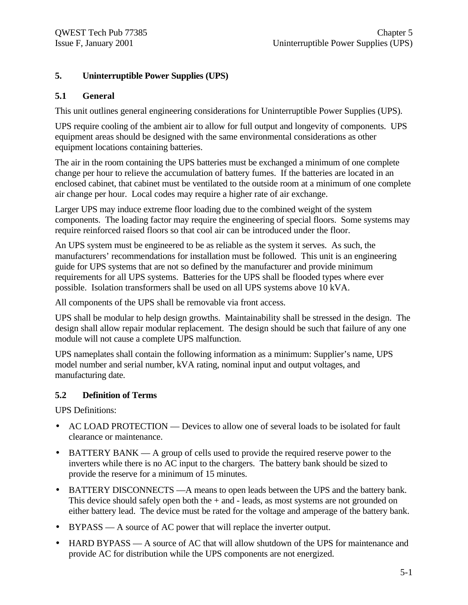# **5. Uninterruptible Power Supplies (UPS)**

#### **5.1 General**

This unit outlines general engineering considerations for Uninterruptible Power Supplies (UPS).

UPS require cooling of the ambient air to allow for full output and longevity of components. UPS equipment areas should be designed with the same environmental considerations as other equipment locations containing batteries.

The air in the room containing the UPS batteries must be exchanged a minimum of one complete change per hour to relieve the accumulation of battery fumes. If the batteries are located in an enclosed cabinet, that cabinet must be ventilated to the outside room at a minimum of one complete air change per hour. Local codes may require a higher rate of air exchange.

Larger UPS may induce extreme floor loading due to the combined weight of the system components. The loading factor may require the engineering of special floors. Some systems may require reinforced raised floors so that cool air can be introduced under the floor.

An UPS system must be engineered to be as reliable as the system it serves. As such, the manufacturers' recommendations for installation must be followed. This unit is an engineering guide for UPS systems that are not so defined by the manufacturer and provide minimum requirements for all UPS systems. Batteries for the UPS shall be flooded types where ever possible. Isolation transformers shall be used on all UPS systems above 10 kVA.

All components of the UPS shall be removable via front access.

UPS shall be modular to help design growths. Maintainability shall be stressed in the design. The design shall allow repair modular replacement. The design should be such that failure of any one module will not cause a complete UPS malfunction.

UPS nameplates shall contain the following information as a minimum: Supplier's name, UPS model number and serial number, kVA rating, nominal input and output voltages, and manufacturing date.

#### **5.2 Definition of Terms**

UPS Definitions:

- AC LOAD PROTECTION Devices to allow one of several loads to be isolated for fault clearance or maintenance.
- BATTERY BANK A group of cells used to provide the required reserve power to the inverters while there is no AC input to the chargers. The battery bank should be sized to provide the reserve for a minimum of 15 minutes.
- BATTERY DISCONNECTS A means to open leads between the UPS and the battery bank. This device should safely open both the  $+$  and  $-$  leads, as most systems are not grounded on either battery lead. The device must be rated for the voltage and amperage of the battery bank.
- BYPASS A source of AC power that will replace the inverter output.
- HARD BYPASS A source of AC that will allow shutdown of the UPS for maintenance and provide AC for distribution while the UPS components are not energized.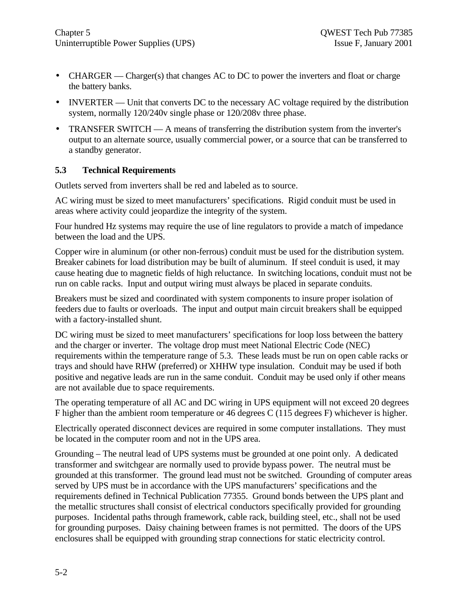- CHARGER Charger(s) that changes AC to DC to power the inverters and float or charge the battery banks.
- INVERTER Unit that converts DC to the necessary AC voltage required by the distribution system, normally 120/240v single phase or 120/208v three phase.
- TRANSFER SWITCH A means of transferring the distribution system from the inverter's output to an alternate source, usually commercial power, or a source that can be transferred to a standby generator.

### **5.3 Technical Requirements**

Outlets served from inverters shall be red and labeled as to source.

AC wiring must be sized to meet manufacturers' specifications. Rigid conduit must be used in areas where activity could jeopardize the integrity of the system.

Four hundred Hz systems may require the use of line regulators to provide a match of impedance between the load and the UPS.

Copper wire in aluminum (or other non-ferrous) conduit must be used for the distribution system. Breaker cabinets for load distribution may be built of aluminum. If steel conduit is used, it may cause heating due to magnetic fields of high reluctance. In switching locations, conduit must not be run on cable racks. Input and output wiring must always be placed in separate conduits.

Breakers must be sized and coordinated with system components to insure proper isolation of feeders due to faults or overloads. The input and output main circuit breakers shall be equipped with a factory-installed shunt.

DC wiring must be sized to meet manufacturers' specifications for loop loss between the battery and the charger or inverter. The voltage drop must meet National Electric Code (NEC) requirements within the temperature range of 5.3. These leads must be run on open cable racks or trays and should have RHW (preferred) or XHHW type insulation. Conduit may be used if both positive and negative leads are run in the same conduit. Conduit may be used only if other means are not available due to space requirements.

The operating temperature of all AC and DC wiring in UPS equipment will not exceed 20 degrees F higher than the ambient room temperature or 46 degrees C (115 degrees F) whichever is higher.

Electrically operated disconnect devices are required in some computer installations. They must be located in the computer room and not in the UPS area.

Grounding – The neutral lead of UPS systems must be grounded at one point only. A dedicated transformer and switchgear are normally used to provide bypass power. The neutral must be grounded at this transformer. The ground lead must not be switched. Grounding of computer areas served by UPS must be in accordance with the UPS manufacturers' specifications and the requirements defined in Technical Publication 77355. Ground bonds between the UPS plant and the metallic structures shall consist of electrical conductors specifically provided for grounding purposes. Incidental paths through framework, cable rack, building steel, etc., shall not be used for grounding purposes. Daisy chaining between frames is not permitted. The doors of the UPS enclosures shall be equipped with grounding strap connections for static electricity control.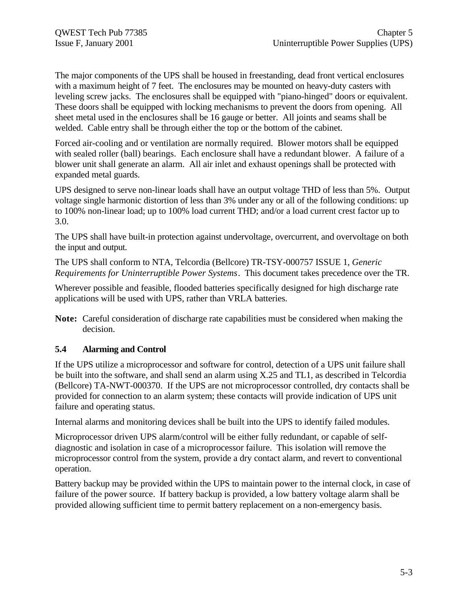The major components of the UPS shall be housed in freestanding, dead front vertical enclosures with a maximum height of 7 feet. The enclosures may be mounted on heavy-duty casters with leveling screw jacks. The enclosures shall be equipped with "piano-hinged" doors or equivalent. These doors shall be equipped with locking mechanisms to prevent the doors from opening. All sheet metal used in the enclosures shall be 16 gauge or better. All joints and seams shall be welded. Cable entry shall be through either the top or the bottom of the cabinet.

Forced air-cooling and or ventilation are normally required. Blower motors shall be equipped with sealed roller (ball) bearings. Each enclosure shall have a redundant blower. A failure of a blower unit shall generate an alarm. All air inlet and exhaust openings shall be protected with expanded metal guards.

UPS designed to serve non-linear loads shall have an output voltage THD of less than 5%. Output voltage single harmonic distortion of less than 3% under any or all of the following conditions: up to 100% non-linear load; up to 100% load current THD; and/or a load current crest factor up to 3.0.

The UPS shall have built-in protection against undervoltage, overcurrent, and overvoltage on both the input and output.

The UPS shall conform to NTA, Telcordia (Bellcore) TR-TSY-000757 ISSUE 1, *Generic Requirements for Uninterruptible Power Systems*. This document takes precedence over the TR.

Wherever possible and feasible, flooded batteries specifically designed for high discharge rate applications will be used with UPS, rather than VRLA batteries.

**Note:** Careful consideration of discharge rate capabilities must be considered when making the decision.

#### **5.4 Alarming and Control**

If the UPS utilize a microprocessor and software for control, detection of a UPS unit failure shall be built into the software, and shall send an alarm using X.25 and TL1, as described in Telcordia (Bellcore) TA-NWT-000370. If the UPS are not microprocessor controlled, dry contacts shall be provided for connection to an alarm system; these contacts will provide indication of UPS unit failure and operating status.

Internal alarms and monitoring devices shall be built into the UPS to identify failed modules.

Microprocessor driven UPS alarm/control will be either fully redundant, or capable of selfdiagnostic and isolation in case of a microprocessor failure. This isolation will remove the microprocessor control from the system, provide a dry contact alarm, and revert to conventional operation.

Battery backup may be provided within the UPS to maintain power to the internal clock, in case of failure of the power source. If battery backup is provided, a low battery voltage alarm shall be provided allowing sufficient time to permit battery replacement on a non-emergency basis.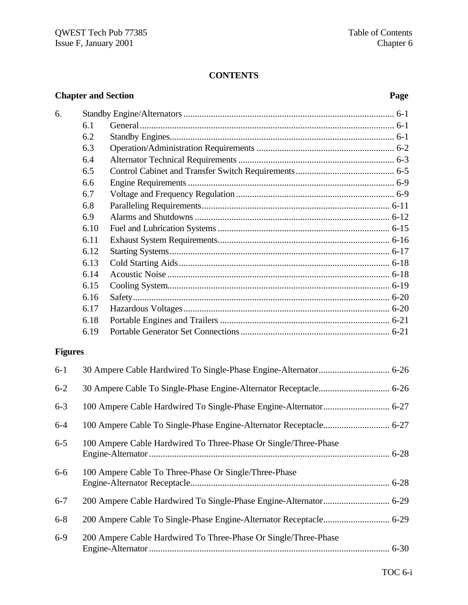# **CONTENTS**

# **Chapter and Section Page**

| 6.      |      |  |  |
|---------|------|--|--|
|         | 6.1  |  |  |
|         | 6.2  |  |  |
|         | 6.3  |  |  |
|         | 6.4  |  |  |
|         | 6.5  |  |  |
|         | 6.6  |  |  |
|         | 6.7  |  |  |
|         | 6.8  |  |  |
|         | 6.9  |  |  |
|         | 6.10 |  |  |
|         | 6.11 |  |  |
|         | 6.12 |  |  |
|         | 6.13 |  |  |
|         | 6.14 |  |  |
|         | 6.15 |  |  |
|         | 6.16 |  |  |
|         | 6.17 |  |  |
|         | 6.18 |  |  |
|         | 6.19 |  |  |
| Fioures |      |  |  |

# **Figures**

| $6 - 1$ |                                                                 |  |
|---------|-----------------------------------------------------------------|--|
| $6 - 2$ |                                                                 |  |
| $6 - 3$ |                                                                 |  |
| $6-4$   |                                                                 |  |
| $6 - 5$ | 100 Ampere Cable Hardwired To Three-Phase Or Single/Three-Phase |  |
| $6-6$   | 100 Ampere Cable To Three-Phase Or Single/Three-Phase           |  |
| $6 - 7$ |                                                                 |  |
| $6 - 8$ |                                                                 |  |
| $6-9$   | 200 Ampere Cable Hardwired To Three-Phase Or Single/Three-Phase |  |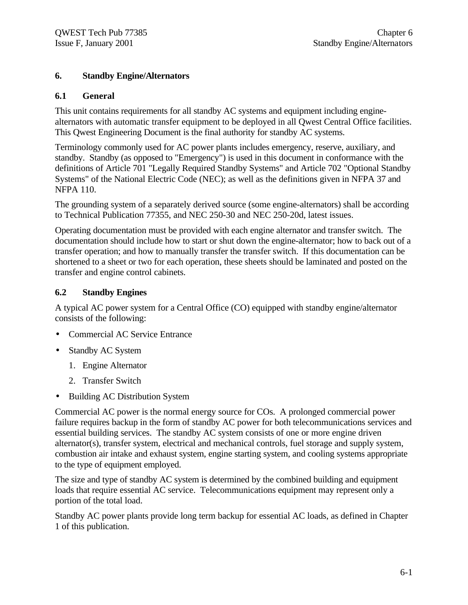#### **6. Standby Engine/Alternators**

#### **6.1 General**

This unit contains requirements for all standby AC systems and equipment including enginealternators with automatic transfer equipment to be deployed in all Qwest Central Office facilities. This Qwest Engineering Document is the final authority for standby AC systems.

Terminology commonly used for AC power plants includes emergency, reserve, auxiliary, and standby. Standby (as opposed to "Emergency") is used in this document in conformance with the definitions of Article 701 "Legally Required Standby Systems" and Article 702 "Optional Standby Systems" of the National Electric Code (NEC); as well as the definitions given in NFPA 37 and NFPA 110.

The grounding system of a separately derived source (some engine-alternators) shall be according to Technical Publication 77355, and NEC 250-30 and NEC 250-20d, latest issues.

Operating documentation must be provided with each engine alternator and transfer switch. The documentation should include how to start or shut down the engine-alternator; how to back out of a transfer operation; and how to manually transfer the transfer switch. If this documentation can be shortened to a sheet or two for each operation, these sheets should be laminated and posted on the transfer and engine control cabinets.

### **6.2 Standby Engines**

A typical AC power system for a Central Office (CO) equipped with standby engine/alternator consists of the following:

- Commercial AC Service Entrance
- Standby AC System
	- 1. Engine Alternator
	- 2. Transfer Switch
- Building AC Distribution System

Commercial AC power is the normal energy source for COs. A prolonged commercial power failure requires backup in the form of standby AC power for both telecommunications services and essential building services. The standby AC system consists of one or more engine driven alternator(s), transfer system, electrical and mechanical controls, fuel storage and supply system, combustion air intake and exhaust system, engine starting system, and cooling systems appropriate to the type of equipment employed.

The size and type of standby AC system is determined by the combined building and equipment loads that require essential AC service. Telecommunications equipment may represent only a portion of the total load.

Standby AC power plants provide long term backup for essential AC loads, as defined in Chapter 1 of this publication.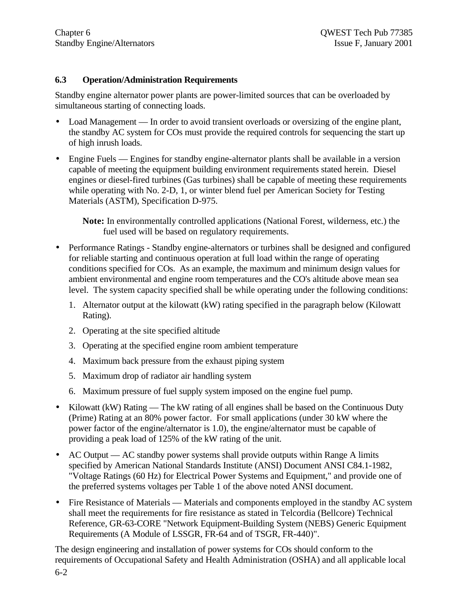#### **6.3 Operation/Administration Requirements**

Standby engine alternator power plants are power-limited sources that can be overloaded by simultaneous starting of connecting loads.

- Load Management In order to avoid transient overloads or oversizing of the engine plant, the standby AC system for COs must provide the required controls for sequencing the start up of high inrush loads.
- Engine Fuels Engines for standby engine-alternator plants shall be available in a version capable of meeting the equipment building environment requirements stated herein. Diesel engines or diesel-fired turbines (Gas turbines) shall be capable of meeting these requirements while operating with No. 2-D, 1, or winter blend fuel per American Society for Testing Materials (ASTM), Specification D-975.

**Note:** In environmentally controlled applications (National Forest, wilderness, etc.) the fuel used will be based on regulatory requirements.

- Performance Ratings Standby engine-alternators or turbines shall be designed and configured for reliable starting and continuous operation at full load within the range of operating conditions specified for COs. As an example, the maximum and minimum design values for ambient environmental and engine room temperatures and the CO's altitude above mean sea level. The system capacity specified shall be while operating under the following conditions:
	- 1. Alternator output at the kilowatt (kW) rating specified in the paragraph below (Kilowatt Rating).
	- 2. Operating at the site specified altitude
	- 3. Operating at the specified engine room ambient temperature
	- 4. Maximum back pressure from the exhaust piping system
	- 5. Maximum drop of radiator air handling system
	- 6. Maximum pressure of fuel supply system imposed on the engine fuel pump.
- Kilowatt (kW) Rating The kW rating of all engines shall be based on the Continuous Duty (Prime) Rating at an 80% power factor. For small applications (under 30 kW where the power factor of the engine/alternator is 1.0), the engine/alternator must be capable of providing a peak load of 125% of the kW rating of the unit.
- AC Output AC standby power systems shall provide outputs within Range A limits specified by American National Standards Institute (ANSI) Document ANSI C84.1-1982, "Voltage Ratings (60 Hz) for Electrical Power Systems and Equipment," and provide one of the preferred systems voltages per Table 1 of the above noted ANSI document.
- Fire Resistance of Materials Materials and components employed in the standby AC system shall meet the requirements for fire resistance as stated in Telcordia (Bellcore) Technical Reference, GR-63-CORE "Network Equipment-Building System (NEBS) Generic Equipment Requirements (A Module of LSSGR, FR-64 and of TSGR, FR-440)".

The design engineering and installation of power systems for COs should conform to the requirements of Occupational Safety and Health Administration (OSHA) and all applicable local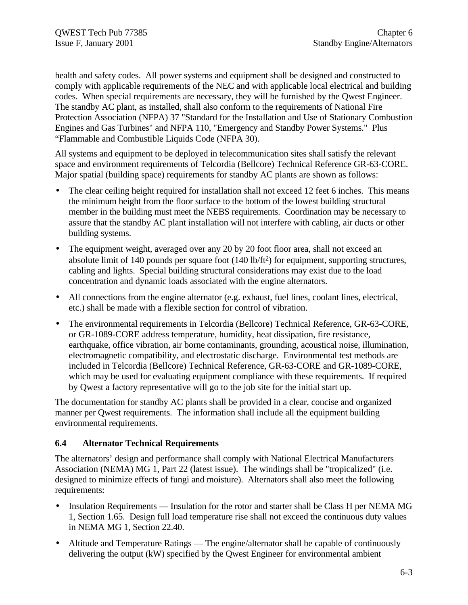health and safety codes. All power systems and equipment shall be designed and constructed to comply with applicable requirements of the NEC and with applicable local electrical and building codes. When special requirements are necessary, they will be furnished by the Qwest Engineer. The standby AC plant, as installed, shall also conform to the requirements of National Fire Protection Association (NFPA) 37 "Standard for the Installation and Use of Stationary Combustion Engines and Gas Turbines" and NFPA 110, "Emergency and Standby Power Systems." Plus "Flammable and Combustible Liquids Code (NFPA 30).

All systems and equipment to be deployed in telecommunication sites shall satisfy the relevant space and environment requirements of Telcordia (Bellcore) Technical Reference GR-63-CORE. Major spatial (building space) requirements for standby AC plants are shown as follows:

- The clear ceiling height required for installation shall not exceed 12 feet 6 inches. This means the minimum height from the floor surface to the bottom of the lowest building structural member in the building must meet the NEBS requirements. Coordination may be necessary to assure that the standby AC plant installation will not interfere with cabling, air ducts or other building systems.
- The equipment weight, averaged over any 20 by 20 foot floor area, shall not exceed an absolute limit of 140 pounds per square foot (140 lb/ft<sup>2</sup>) for equipment, supporting structures, cabling and lights. Special building structural considerations may exist due to the load concentration and dynamic loads associated with the engine alternators.
- All connections from the engine alternator (e.g. exhaust, fuel lines, coolant lines, electrical, etc.) shall be made with a flexible section for control of vibration.
- The environmental requirements in Telcordia (Bellcore) Technical Reference, GR-63-CORE, or GR-1089-CORE address temperature, humidity, heat dissipation, fire resistance, earthquake, office vibration, air borne contaminants, grounding, acoustical noise, illumination, electromagnetic compatibility, and electrostatic discharge. Environmental test methods are included in Telcordia (Bellcore) Technical Reference, GR-63-CORE and GR-1089-CORE, which may be used for evaluating equipment compliance with these requirements. If required by Qwest a factory representative will go to the job site for the initial start up.

The documentation for standby AC plants shall be provided in a clear, concise and organized manner per Qwest requirements. The information shall include all the equipment building environmental requirements.

# **6.4 Alternator Technical Requirements**

The alternators' design and performance shall comply with National Electrical Manufacturers Association (NEMA) MG 1, Part 22 (latest issue). The windings shall be "tropicalized" (i.e. designed to minimize effects of fungi and moisture). Alternators shall also meet the following requirements:

- Insulation Requirements Insulation for the rotor and starter shall be Class H per NEMA MG 1, Section 1.65. Design full load temperature rise shall not exceed the continuous duty values in NEMA MG 1, Section 22.40.
- Altitude and Temperature Ratings The engine/alternator shall be capable of continuously delivering the output (kW) specified by the Qwest Engineer for environmental ambient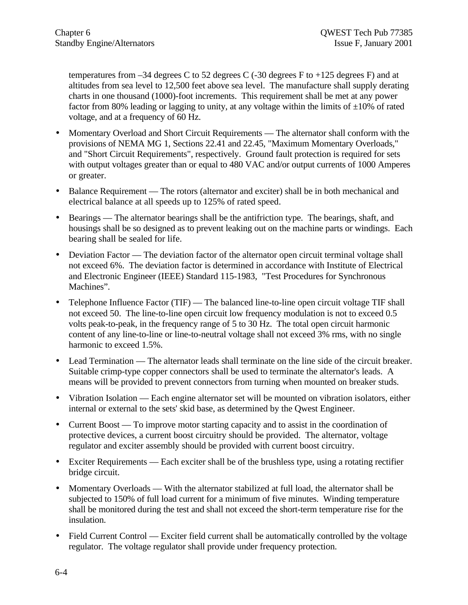temperatures from  $-34$  degrees C to 52 degrees C ( $-30$  degrees F to  $+125$  degrees F) and at altitudes from sea level to 12,500 feet above sea level. The manufacture shall supply derating charts in one thousand (1000)-foot increments. This requirement shall be met at any power factor from 80% leading or lagging to unity, at any voltage within the limits of  $\pm 10\%$  of rated voltage, and at a frequency of 60 Hz.

- Momentary Overload and Short Circuit Requirements The alternator shall conform with the provisions of NEMA MG 1, Sections 22.41 and 22.45, "Maximum Momentary Overloads," and "Short Circuit Requirements", respectively. Ground fault protection is required for sets with output voltages greater than or equal to 480 VAC and/or output currents of 1000 Amperes or greater.
- Balance Requirement The rotors (alternator and exciter) shall be in both mechanical and electrical balance at all speeds up to 125% of rated speed.
- Bearings The alternator bearings shall be the antifriction type. The bearings, shaft, and housings shall be so designed as to prevent leaking out on the machine parts or windings. Each bearing shall be sealed for life.
- Deviation Factor The deviation factor of the alternator open circuit terminal voltage shall not exceed 6%. The deviation factor is determined in accordance with Institute of Electrical and Electronic Engineer (IEEE) Standard 115-1983, "Test Procedures for Synchronous Machines".
- Telephone Influence Factor (TIF) The balanced line-to-line open circuit voltage TIF shall not exceed 50. The line-to-line open circuit low frequency modulation is not to exceed 0.5 volts peak-to-peak, in the frequency range of 5 to 30 Hz. The total open circuit harmonic content of any line-to-line or line-to-neutral voltage shall not exceed 3% rms, with no single harmonic to exceed 1.5%.
- Lead Termination The alternator leads shall terminate on the line side of the circuit breaker. Suitable crimp-type copper connectors shall be used to terminate the alternator's leads. A means will be provided to prevent connectors from turning when mounted on breaker studs.
- Vibration Isolation Each engine alternator set will be mounted on vibration isolators, either internal or external to the sets' skid base, as determined by the Qwest Engineer.
- Current Boost To improve motor starting capacity and to assist in the coordination of protective devices, a current boost circuitry should be provided. The alternator, voltage regulator and exciter assembly should be provided with current boost circuitry.
- Exciter Requirements Each exciter shall be of the brushless type, using a rotating rectifier bridge circuit.
- Momentary Overloads With the alternator stabilized at full load, the alternator shall be subjected to 150% of full load current for a minimum of five minutes. Winding temperature shall be monitored during the test and shall not exceed the short-term temperature rise for the insulation.
- Field Current Control Exciter field current shall be automatically controlled by the voltage regulator. The voltage regulator shall provide under frequency protection.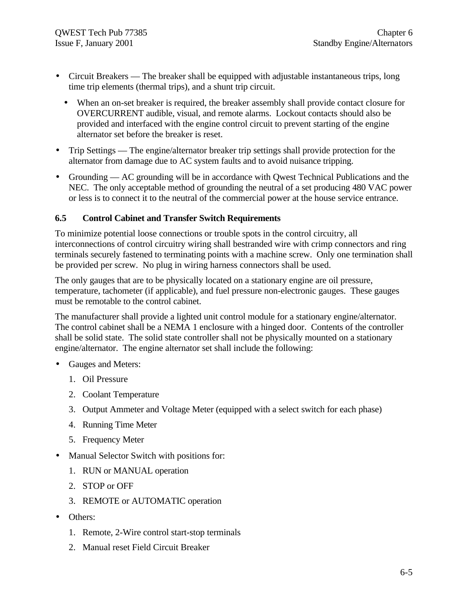- Circuit Breakers The breaker shall be equipped with adjustable instantaneous trips, long time trip elements (thermal trips), and a shunt trip circuit.
	- When an on-set breaker is required, the breaker assembly shall provide contact closure for OVERCURRENT audible, visual, and remote alarms. Lockout contacts should also be provided and interfaced with the engine control circuit to prevent starting of the engine alternator set before the breaker is reset.
- Trip Settings The engine/alternator breaker trip settings shall provide protection for the alternator from damage due to AC system faults and to avoid nuisance tripping.
- Grounding AC grounding will be in accordance with Owest Technical Publications and the NEC. The only acceptable method of grounding the neutral of a set producing 480 VAC power or less is to connect it to the neutral of the commercial power at the house service entrance.

### **6.5 Control Cabinet and Transfer Switch Requirements**

To minimize potential loose connections or trouble spots in the control circuitry, all interconnections of control circuitry wiring shall bestranded wire with crimp connectors and ring terminals securely fastened to terminating points with a machine screw. Only one termination shall be provided per screw. No plug in wiring harness connectors shall be used.

The only gauges that are to be physically located on a stationary engine are oil pressure, temperature, tachometer (if applicable), and fuel pressure non-electronic gauges. These gauges must be remotable to the control cabinet.

The manufacturer shall provide a lighted unit control module for a stationary engine/alternator. The control cabinet shall be a NEMA 1 enclosure with a hinged door. Contents of the controller shall be solid state. The solid state controller shall not be physically mounted on a stationary engine/alternator. The engine alternator set shall include the following:

- Gauges and Meters:
	- 1. Oil Pressure
	- 2. Coolant Temperature
	- 3. Output Ammeter and Voltage Meter (equipped with a select switch for each phase)
	- 4. Running Time Meter
	- 5. Frequency Meter
- Manual Selector Switch with positions for:
	- 1. RUN or MANUAL operation
	- 2. STOP or OFF
	- 3. REMOTE or AUTOMATIC operation
- Others:
	- 1. Remote, 2-Wire control start-stop terminals
	- 2. Manual reset Field Circuit Breaker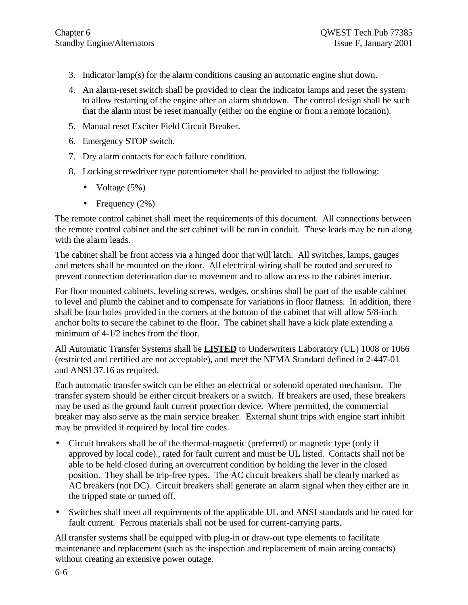- 3. Indicator lamp(s) for the alarm conditions causing an automatic engine shut down.
- 4. An alarm-reset switch shall be provided to clear the indicator lamps and reset the system to allow restarting of the engine after an alarm shutdown. The control design shall be such that the alarm must be reset manually (either on the engine or from a remote location).
- 5. Manual reset Exciter Field Circuit Breaker.
- 6. Emergency STOP switch.
- 7. Dry alarm contacts for each failure condition.
- 8. Locking screwdriver type potentiometer shall be provided to adjust the following:
	- Voltage  $(5%)$
	- Frequency  $(2\%)$

The remote control cabinet shall meet the requirements of this document. All connections between the remote control cabinet and the set cabinet will be run in conduit. These leads may be run along with the alarm leads.

The cabinet shall be front access via a hinged door that will latch. All switches, lamps, gauges and meters shall be mounted on the door. All electrical wiring shall be routed and secured to prevent connection deterioration due to movement and to allow access to the cabinet interior.

For floor mounted cabinets, leveling screws, wedges, or shims shall be part of the usable cabinet to level and plumb the cabinet and to compensate for variations in floor flatness. In addition, there shall be four holes provided in the corners at the bottom of the cabinet that will allow 5/8-inch anchor bolts to secure the cabinet to the floor. The cabinet shall have a kick plate extending a minimum of 4-1/2 inches from the floor.

All Automatic Transfer Systems shall be **LISTED** to Underwriters Laboratory (UL) 1008 or 1066 (restricted and certified are not acceptable), and meet the NEMA Standard defined in 2-447-01 and ANSI 37.16 as required.

Each automatic transfer switch can be either an electrical or solenoid operated mechanism. The transfer system should be either circuit breakers or a switch. If breakers are used, these breakers may be used as the ground fault current protection device. Where permitted, the commercial breaker may also serve as the main service breaker. External shunt trips with engine start inhibit may be provided if required by local fire codes.

- Circuit breakers shall be of the thermal-magnetic (preferred) or magnetic type (only if approved by local code)., rated for fault current and must be UL listed. Contacts shall not be able to be held closed during an overcurrent condition by holding the lever in the closed position. They shall be trip-free types. The AC circuit breakers shall be clearly marked as AC breakers (not DC). Circuit breakers shall generate an alarm signal when they either are in the tripped state or turned off.
- Switches shall meet all requirements of the applicable UL and ANSI standards and be rated for fault current. Ferrous materials shall not be used for current-carrying parts.

All transfer systems shall be equipped with plug-in or draw-out type elements to facilitate maintenance and replacement (such as the inspection and replacement of main arcing contacts) without creating an extensive power outage.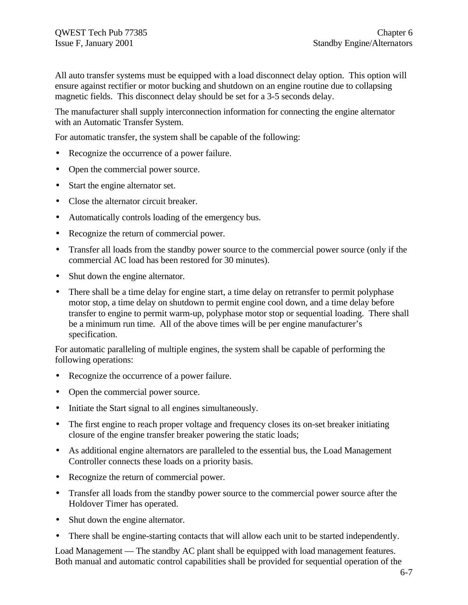All auto transfer systems must be equipped with a load disconnect delay option. This option will ensure against rectifier or motor bucking and shutdown on an engine routine due to collapsing magnetic fields. This disconnect delay should be set for a 3-5 seconds delay.

The manufacturer shall supply interconnection information for connecting the engine alternator with an Automatic Transfer System.

For automatic transfer, the system shall be capable of the following:

- Recognize the occurrence of a power failure.
- Open the commercial power source.
- Start the engine alternator set.
- Close the alternator circuit breaker.
- Automatically controls loading of the emergency bus.
- Recognize the return of commercial power.
- Transfer all loads from the standby power source to the commercial power source (only if the commercial AC load has been restored for 30 minutes).
- Shut down the engine alternator.
- There shall be a time delay for engine start, a time delay on retransfer to permit polyphase motor stop, a time delay on shutdown to permit engine cool down, and a time delay before transfer to engine to permit warm-up, polyphase motor stop or sequential loading. There shall be a minimum run time. All of the above times will be per engine manufacturer's specification.

For automatic paralleling of multiple engines, the system shall be capable of performing the following operations:

- Recognize the occurrence of a power failure.
- Open the commercial power source.
- Initiate the Start signal to all engines simultaneously.
- The first engine to reach proper voltage and frequency closes its on-set breaker initiating closure of the engine transfer breaker powering the static loads;
- As additional engine alternators are paralleled to the essential bus, the Load Management Controller connects these loads on a priority basis.
- Recognize the return of commercial power.
- Transfer all loads from the standby power source to the commercial power source after the Holdover Timer has operated.
- Shut down the engine alternator.
- There shall be engine-starting contacts that will allow each unit to be started independently.

Load Management — The standby AC plant shall be equipped with load management features. Both manual and automatic control capabilities shall be provided for sequential operation of the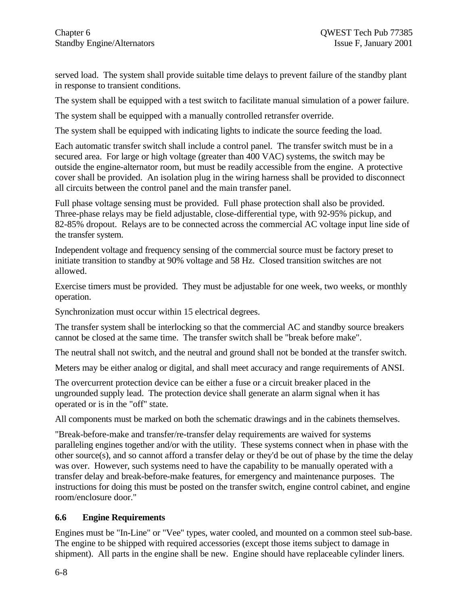served load. The system shall provide suitable time delays to prevent failure of the standby plant in response to transient conditions.

The system shall be equipped with a test switch to facilitate manual simulation of a power failure.

The system shall be equipped with a manually controlled retransfer override.

The system shall be equipped with indicating lights to indicate the source feeding the load.

Each automatic transfer switch shall include a control panel. The transfer switch must be in a secured area. For large or high voltage (greater than 400 VAC) systems, the switch may be outside the engine-alternator room, but must be readily accessible from the engine. A protective cover shall be provided. An isolation plug in the wiring harness shall be provided to disconnect all circuits between the control panel and the main transfer panel.

Full phase voltage sensing must be provided. Full phase protection shall also be provided. Three-phase relays may be field adjustable, close-differential type, with 92-95% pickup, and 82-85% dropout. Relays are to be connected across the commercial AC voltage input line side of the transfer system.

Independent voltage and frequency sensing of the commercial source must be factory preset to initiate transition to standby at 90% voltage and 58 Hz. Closed transition switches are not allowed.

Exercise timers must be provided. They must be adjustable for one week, two weeks, or monthly operation.

Synchronization must occur within 15 electrical degrees.

The transfer system shall be interlocking so that the commercial AC and standby source breakers cannot be closed at the same time. The transfer switch shall be "break before make".

The neutral shall not switch, and the neutral and ground shall not be bonded at the transfer switch.

Meters may be either analog or digital, and shall meet accuracy and range requirements of ANSI.

The overcurrent protection device can be either a fuse or a circuit breaker placed in the ungrounded supply lead. The protection device shall generate an alarm signal when it has operated or is in the "off" state.

All components must be marked on both the schematic drawings and in the cabinets themselves.

"Break-before-make and transfer/re-transfer delay requirements are waived for systems paralleling engines together and/or with the utility. These systems connect when in phase with the other source(s), and so cannot afford a transfer delay or they'd be out of phase by the time the delay was over. However, such systems need to have the capability to be manually operated with a transfer delay and break-before-make features, for emergency and maintenance purposes. The instructions for doing this must be posted on the transfer switch, engine control cabinet, and engine room/enclosure door."

#### **6.6 Engine Requirements**

Engines must be "In-Line" or "Vee" types, water cooled, and mounted on a common steel sub-base. The engine to be shipped with required accessories (except those items subject to damage in shipment). All parts in the engine shall be new. Engine should have replaceable cylinder liners.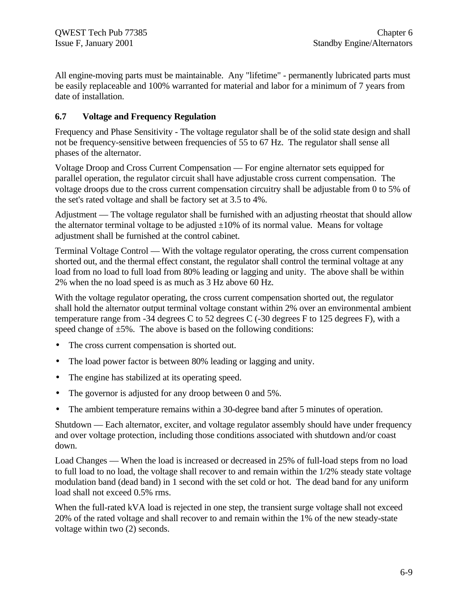All engine-moving parts must be maintainable. Any "lifetime" - permanently lubricated parts must be easily replaceable and 100% warranted for material and labor for a minimum of 7 years from date of installation.

#### **6.7 Voltage and Frequency Regulation**

Frequency and Phase Sensitivity - The voltage regulator shall be of the solid state design and shall not be frequency-sensitive between frequencies of 55 to 67 Hz. The regulator shall sense all phases of the alternator.

Voltage Droop and Cross Current Compensation — For engine alternator sets equipped for parallel operation, the regulator circuit shall have adjustable cross current compensation. The voltage droops due to the cross current compensation circuitry shall be adjustable from 0 to 5% of the set's rated voltage and shall be factory set at 3.5 to 4%.

Adjustment — The voltage regulator shall be furnished with an adjusting rheostat that should allow the alternator terminal voltage to be adjusted  $\pm 10\%$  of its normal value. Means for voltage adjustment shall be furnished at the control cabinet.

Terminal Voltage Control — With the voltage regulator operating, the cross current compensation shorted out, and the thermal effect constant, the regulator shall control the terminal voltage at any load from no load to full load from 80% leading or lagging and unity. The above shall be within 2% when the no load speed is as much as 3 Hz above 60 Hz.

With the voltage regulator operating, the cross current compensation shorted out, the regulator shall hold the alternator output terminal voltage constant within 2% over an environmental ambient temperature range from -34 degrees C to 52 degrees C (-30 degrees F to 125 degrees F), with a speed change of  $\pm 5\%$ . The above is based on the following conditions:

- The cross current compensation is shorted out.
- The load power factor is between 80% leading or lagging and unity.
- The engine has stabilized at its operating speed.
- The governor is adjusted for any droop between 0 and 5%.
- The ambient temperature remains within a 30-degree band after 5 minutes of operation.

Shutdown — Each alternator, exciter, and voltage regulator assembly should have under frequency and over voltage protection, including those conditions associated with shutdown and/or coast down.

Load Changes — When the load is increased or decreased in 25% of full-load steps from no load to full load to no load, the voltage shall recover to and remain within the 1/2% steady state voltage modulation band (dead band) in 1 second with the set cold or hot. The dead band for any uniform load shall not exceed 0.5% rms.

When the full-rated kVA load is rejected in one step, the transient surge voltage shall not exceed 20% of the rated voltage and shall recover to and remain within the 1% of the new steady-state voltage within two (2) seconds.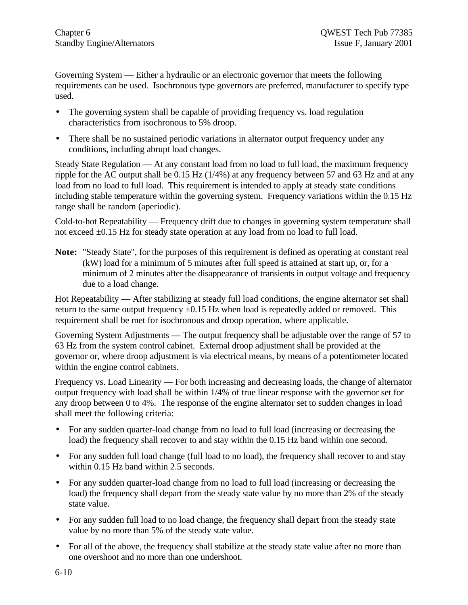Governing System — Either a hydraulic or an electronic governor that meets the following requirements can be used. Isochronous type governors are preferred, manufacturer to specify type used.

- The governing system shall be capable of providing frequency vs. load regulation characteristics from isochronous to 5% droop.
- There shall be no sustained periodic variations in alternator output frequency under any conditions, including abrupt load changes.

Steady State Regulation — At any constant load from no load to full load, the maximum frequency ripple for the AC output shall be 0.15 Hz (1/4%) at any frequency between 57 and 63 Hz and at any load from no load to full load. This requirement is intended to apply at steady state conditions including stable temperature within the governing system. Frequency variations within the 0.15 Hz range shall be random (aperiodic).

Cold-to-hot Repeatability — Frequency drift due to changes in governing system temperature shall not exceed ±0.15 Hz for steady state operation at any load from no load to full load.

**Note:** "Steady State", for the purposes of this requirement is defined as operating at constant real (kW) load for a minimum of 5 minutes after full speed is attained at start up, or, for a minimum of 2 minutes after the disappearance of transients in output voltage and frequency due to a load change.

Hot Repeatability — After stabilizing at steady full load conditions, the engine alternator set shall return to the same output frequency  $\pm 0.15$  Hz when load is repeatedly added or removed. This requirement shall be met for isochronous and droop operation, where applicable.

Governing System Adjustments — The output frequency shall be adjustable over the range of 57 to 63 Hz from the system control cabinet. External droop adjustment shall be provided at the governor or, where droop adjustment is via electrical means, by means of a potentiometer located within the engine control cabinets.

Frequency vs. Load Linearity — For both increasing and decreasing loads, the change of alternator output frequency with load shall be within 1/4% of true linear response with the governor set for any droop between 0 to 4%. The response of the engine alternator set to sudden changes in load shall meet the following criteria:

- For any sudden quarter-load change from no load to full load (increasing or decreasing the load) the frequency shall recover to and stay within the 0.15 Hz band within one second.
- For any sudden full load change (full load to no load), the frequency shall recover to and stay within 0.15 Hz band within 2.5 seconds.
- For any sudden quarter-load change from no load to full load (increasing or decreasing the load) the frequency shall depart from the steady state value by no more than 2% of the steady state value.
- For any sudden full load to no load change, the frequency shall depart from the steady state value by no more than 5% of the steady state value.
- For all of the above, the frequency shall stabilize at the steady state value after no more than one overshoot and no more than one undershoot.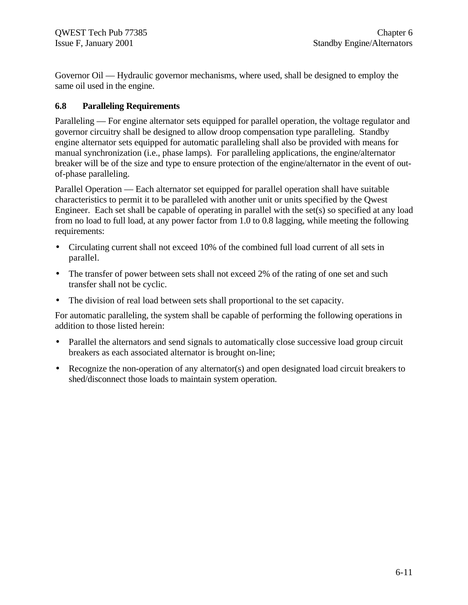Governor Oil — Hydraulic governor mechanisms, where used, shall be designed to employ the same oil used in the engine.

#### **6.8 Paralleling Requirements**

Paralleling — For engine alternator sets equipped for parallel operation, the voltage regulator and governor circuitry shall be designed to allow droop compensation type paralleling. Standby engine alternator sets equipped for automatic paralleling shall also be provided with means for manual synchronization (i.e., phase lamps). For paralleling applications, the engine/alternator breaker will be of the size and type to ensure protection of the engine/alternator in the event of outof-phase paralleling.

Parallel Operation — Each alternator set equipped for parallel operation shall have suitable characteristics to permit it to be paralleled with another unit or units specified by the Qwest Engineer. Each set shall be capable of operating in parallel with the set(s) so specified at any load from no load to full load, at any power factor from 1.0 to 0.8 lagging, while meeting the following requirements:

- Circulating current shall not exceed 10% of the combined full load current of all sets in parallel.
- The transfer of power between sets shall not exceed 2% of the rating of one set and such transfer shall not be cyclic.
- The division of real load between sets shall proportional to the set capacity.

For automatic paralleling, the system shall be capable of performing the following operations in addition to those listed herein:

- Parallel the alternators and send signals to automatically close successive load group circuit breakers as each associated alternator is brought on-line;
- Recognize the non-operation of any alternator(s) and open designated load circuit breakers to shed/disconnect those loads to maintain system operation.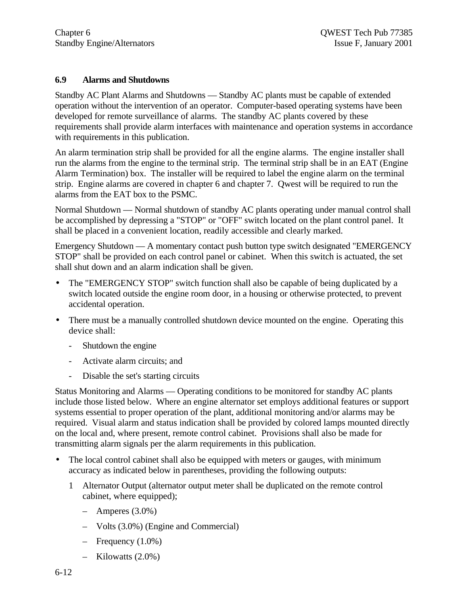#### **6.9 Alarms and Shutdowns**

Standby AC Plant Alarms and Shutdowns — Standby AC plants must be capable of extended operation without the intervention of an operator. Computer-based operating systems have been developed for remote surveillance of alarms. The standby AC plants covered by these requirements shall provide alarm interfaces with maintenance and operation systems in accordance with requirements in this publication.

An alarm termination strip shall be provided for all the engine alarms. The engine installer shall run the alarms from the engine to the terminal strip. The terminal strip shall be in an EAT (Engine Alarm Termination) box. The installer will be required to label the engine alarm on the terminal strip. Engine alarms are covered in chapter 6 and chapter 7. Qwest will be required to run the alarms from the EAT box to the PSMC.

Normal Shutdown — Normal shutdown of standby AC plants operating under manual control shall be accomplished by depressing a "STOP" or "OFF" switch located on the plant control panel. It shall be placed in a convenient location, readily accessible and clearly marked.

Emergency Shutdown — A momentary contact push button type switch designated "EMERGENCY STOP" shall be provided on each control panel or cabinet. When this switch is actuated, the set shall shut down and an alarm indication shall be given.

- The "EMERGENCY STOP" switch function shall also be capable of being duplicated by a switch located outside the engine room door, in a housing or otherwise protected, to prevent accidental operation.
- There must be a manually controlled shutdown device mounted on the engine. Operating this device shall:
	- Shutdown the engine
	- Activate alarm circuits; and
	- Disable the set's starting circuits

Status Monitoring and Alarms — Operating conditions to be monitored for standby AC plants include those listed below. Where an engine alternator set employs additional features or support systems essential to proper operation of the plant, additional monitoring and/or alarms may be required. Visual alarm and status indication shall be provided by colored lamps mounted directly on the local and, where present, remote control cabinet. Provisions shall also be made for transmitting alarm signals per the alarm requirements in this publication.

- The local control cabinet shall also be equipped with meters or gauges, with minimum accuracy as indicated below in parentheses, providing the following outputs:
	- 1 Alternator Output (alternator output meter shall be duplicated on the remote control cabinet, where equipped);
		- $-$  Amperes  $(3.0\%)$
		- Volts (3.0%) (Engine and Commercial)
		- $-$  Frequency  $(1.0\%)$
		- Kilowatts (2.0%)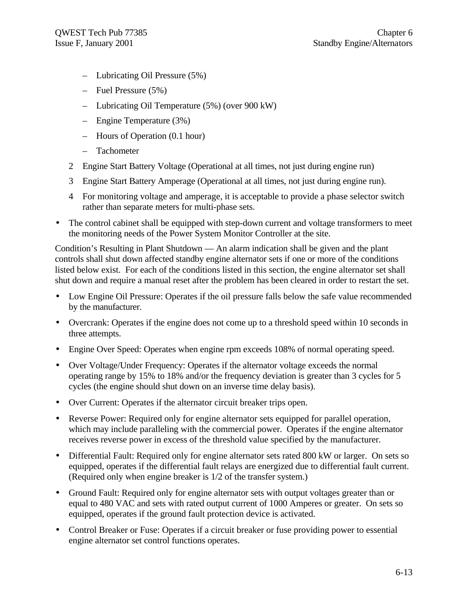- Lubricating Oil Pressure (5%)
- Fuel Pressure (5%)
- Lubricating Oil Temperature (5%) (over 900 kW)
- Engine Temperature (3%)
- Hours of Operation (0.1 hour)
- Tachometer
- 2 Engine Start Battery Voltage (Operational at all times, not just during engine run)
- 3 Engine Start Battery Amperage (Operational at all times, not just during engine run).
- 4 For monitoring voltage and amperage, it is acceptable to provide a phase selector switch rather than separate meters for multi-phase sets.
- The control cabinet shall be equipped with step-down current and voltage transformers to meet the monitoring needs of the Power System Monitor Controller at the site.

Condition's Resulting in Plant Shutdown — An alarm indication shall be given and the plant controls shall shut down affected standby engine alternator sets if one or more of the conditions listed below exist. For each of the conditions listed in this section, the engine alternator set shall shut down and require a manual reset after the problem has been cleared in order to restart the set.

- Low Engine Oil Pressure: Operates if the oil pressure falls below the safe value recommended by the manufacturer.
- Overcrank: Operates if the engine does not come up to a threshold speed within 10 seconds in three attempts.
- Engine Over Speed: Operates when engine rpm exceeds 108% of normal operating speed.
- Over Voltage/Under Frequency: Operates if the alternator voltage exceeds the normal operating range by 15% to 18% and/or the frequency deviation is greater than 3 cycles for 5 cycles (the engine should shut down on an inverse time delay basis).
- Over Current: Operates if the alternator circuit breaker trips open.
- Reverse Power: Required only for engine alternator sets equipped for parallel operation, which may include paralleling with the commercial power. Operates if the engine alternator receives reverse power in excess of the threshold value specified by the manufacturer.
- Differential Fault: Required only for engine alternator sets rated 800 kW or larger. On sets so equipped, operates if the differential fault relays are energized due to differential fault current. (Required only when engine breaker is 1/2 of the transfer system.)
- Ground Fault: Required only for engine alternator sets with output voltages greater than or equal to 480 VAC and sets with rated output current of 1000 Amperes or greater. On sets so equipped, operates if the ground fault protection device is activated.
- Control Breaker or Fuse: Operates if a circuit breaker or fuse providing power to essential engine alternator set control functions operates.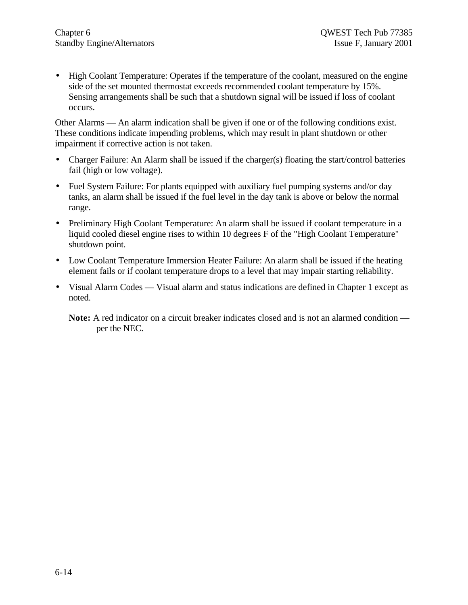• High Coolant Temperature: Operates if the temperature of the coolant, measured on the engine side of the set mounted thermostat exceeds recommended coolant temperature by 15%. Sensing arrangements shall be such that a shutdown signal will be issued if loss of coolant occurs.

Other Alarms — An alarm indication shall be given if one or of the following conditions exist. These conditions indicate impending problems, which may result in plant shutdown or other impairment if corrective action is not taken.

- Charger Failure: An Alarm shall be issued if the charger(s) floating the start/control batteries fail (high or low voltage).
- Fuel System Failure: For plants equipped with auxiliary fuel pumping systems and/or day tanks, an alarm shall be issued if the fuel level in the day tank is above or below the normal range.
- Preliminary High Coolant Temperature: An alarm shall be issued if coolant temperature in a liquid cooled diesel engine rises to within 10 degrees F of the "High Coolant Temperature" shutdown point.
- Low Coolant Temperature Immersion Heater Failure: An alarm shall be issued if the heating element fails or if coolant temperature drops to a level that may impair starting reliability.
- Visual Alarm Codes Visual alarm and status indications are defined in Chapter 1 except as noted.

**Note:** A red indicator on a circuit breaker indicates closed and is not an alarmed condition per the NEC.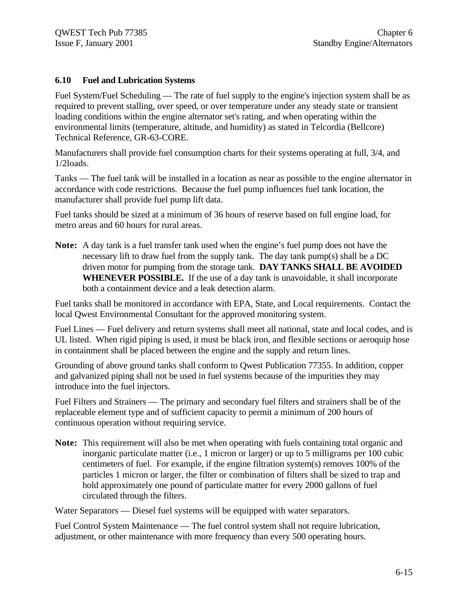#### **6.10 Fuel and Lubrication Systems**

Fuel System/Fuel Scheduling — The rate of fuel supply to the engine's injection system shall be as required to prevent stalling, over speed, or over temperature under any steady state or transient loading conditions within the engine alternator set's rating, and when operating within the environmental limits (temperature, altitude, and humidity) as stated in Telcordia (Bellcore) Technical Reference, GR-63-CORE.

Manufacturers shall provide fuel consumption charts for their systems operating at full, 3/4, and 1/2loads.

Tanks — The fuel tank will be installed in a location as near as possible to the engine alternator in accordance with code restrictions. Because the fuel pump influences fuel tank location, the manufacturer shall provide fuel pump lift data.

Fuel tanks should be sized at a minimum of 36 hours of reserve based on full engine load, for metro areas and 60 hours for rural areas.

**Note:** A day tank is a fuel transfer tank used when the engine's fuel pump does not have the necessary lift to draw fuel from the supply tank. The day tank pump(s) shall be a DC driven motor for pumping from the storage tank. **DAY TANKS SHALL BE AVOIDED WHENEVER POSSIBLE.** If the use of a day tank is unavoidable, it shall incorporate both a containment device and a leak detection alarm.

Fuel tanks shall be monitored in accordance with EPA, State, and Local requirements. Contact the local Qwest Environmental Consultant for the approved monitoring system.

Fuel Lines — Fuel delivery and return systems shall meet all national, state and local codes, and is UL listed. When rigid piping is used, it must be black iron, and flexible sections or aeroquip hose in containment shall be placed between the engine and the supply and return lines.

Grounding of above ground tanks shall conform to Qwest Publication 77355. In addition, copper and galvanized piping shall not be used in fuel systems because of the impurities they may introduce into the fuel injectors.

Fuel Filters and Strainers — The primary and secondary fuel filters and strainers shall be of the replaceable element type and of sufficient capacity to permit a minimum of 200 hours of continuous operation without requiring service.

**Note:** This requirement will also be met when operating with fuels containing total organic and inorganic particulate matter (i.e., 1 micron or larger) or up to 5 milligrams per 100 cubic centimeters of fuel. For example, if the engine filtration system(s) removes 100% of the particles 1 micron or larger, the filter or combination of filters shall be sized to trap and hold approximately one pound of particulate matter for every 2000 gallons of fuel circulated through the filters.

Water Separators — Diesel fuel systems will be equipped with water separators.

Fuel Control System Maintenance — The fuel control system shall not require lubrication, adjustment, or other maintenance with more frequency than every 500 operating hours.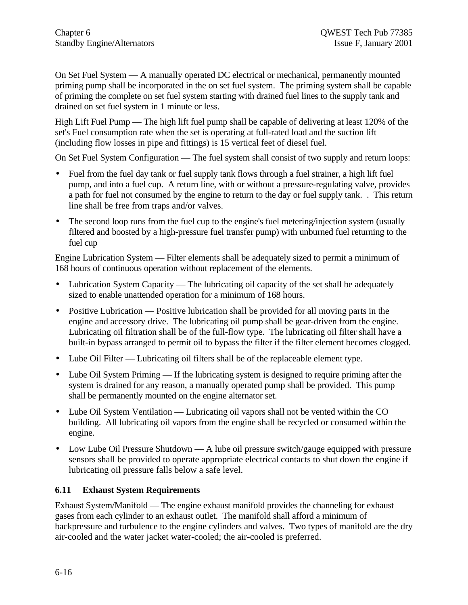On Set Fuel System — A manually operated DC electrical or mechanical, permanently mounted priming pump shall be incorporated in the on set fuel system. The priming system shall be capable of priming the complete on set fuel system starting with drained fuel lines to the supply tank and drained on set fuel system in 1 minute or less.

High Lift Fuel Pump — The high lift fuel pump shall be capable of delivering at least 120% of the set's Fuel consumption rate when the set is operating at full-rated load and the suction lift (including flow losses in pipe and fittings) is 15 vertical feet of diesel fuel.

On Set Fuel System Configuration — The fuel system shall consist of two supply and return loops:

- Fuel from the fuel day tank or fuel supply tank flows through a fuel strainer, a high lift fuel pump, and into a fuel cup. A return line, with or without a pressure-regulating valve, provides a path for fuel not consumed by the engine to return to the day or fuel supply tank. . This return line shall be free from traps and/or valves.
- The second loop runs from the fuel cup to the engine's fuel metering/injection system (usually filtered and boosted by a high-pressure fuel transfer pump) with unburned fuel returning to the fuel cup

Engine Lubrication System — Filter elements shall be adequately sized to permit a minimum of 168 hours of continuous operation without replacement of the elements.

- Lubrication System Capacity The lubricating oil capacity of the set shall be adequately sized to enable unattended operation for a minimum of 168 hours.
- Positive Lubrication Positive lubrication shall be provided for all moving parts in the engine and accessory drive. The lubricating oil pump shall be gear-driven from the engine. Lubricating oil filtration shall be of the full-flow type. The lubricating oil filter shall have a built-in bypass arranged to permit oil to bypass the filter if the filter element becomes clogged.
- Lube Oil Filter Lubricating oil filters shall be of the replaceable element type.
- Lube Oil System Priming If the lubricating system is designed to require priming after the system is drained for any reason, a manually operated pump shall be provided. This pump shall be permanently mounted on the engine alternator set.
- Lube Oil System Ventilation Lubricating oil vapors shall not be vented within the CO building. All lubricating oil vapors from the engine shall be recycled or consumed within the engine.
- Low Lube Oil Pressure Shutdown A lube oil pressure switch/gauge equipped with pressure sensors shall be provided to operate appropriate electrical contacts to shut down the engine if lubricating oil pressure falls below a safe level.

#### **6.11 Exhaust System Requirements**

Exhaust System/Manifold — The engine exhaust manifold provides the channeling for exhaust gases from each cylinder to an exhaust outlet. The manifold shall afford a minimum of backpressure and turbulence to the engine cylinders and valves. Two types of manifold are the dry air-cooled and the water jacket water-cooled; the air-cooled is preferred.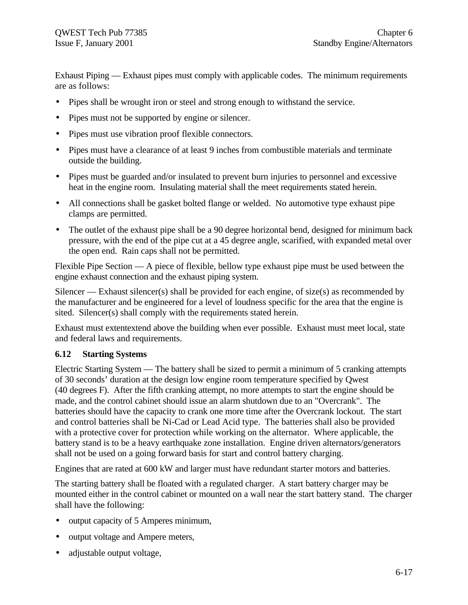Exhaust Piping — Exhaust pipes must comply with applicable codes. The minimum requirements are as follows:

- Pipes shall be wrought iron or steel and strong enough to withstand the service.
- Pipes must not be supported by engine or silencer.
- Pipes must use vibration proof flexible connectors.
- Pipes must have a clearance of at least 9 inches from combustible materials and terminate outside the building.
- Pipes must be guarded and/or insulated to prevent burn injuries to personnel and excessive heat in the engine room. Insulating material shall the meet requirements stated herein.
- All connections shall be gasket bolted flange or welded. No automotive type exhaust pipe clamps are permitted.
- The outlet of the exhaust pipe shall be a 90 degree horizontal bend, designed for minimum back pressure, with the end of the pipe cut at a 45 degree angle, scarified, with expanded metal over the open end. Rain caps shall not be permitted.

Flexible Pipe Section — A piece of flexible, bellow type exhaust pipe must be used between the engine exhaust connection and the exhaust piping system.

Silencer — Exhaust silencer(s) shall be provided for each engine, of size(s) as recommended by the manufacturer and be engineered for a level of loudness specific for the area that the engine is sited. Silencer(s) shall comply with the requirements stated herein.

Exhaust must extentextend above the building when ever possible. Exhaust must meet local, state and federal laws and requirements.

#### **6.12 Starting Systems**

Electric Starting System — The battery shall be sized to permit a minimum of 5 cranking attempts of 30 seconds' duration at the design low engine room temperature specified by Qwest (40 degrees F). After the fifth cranking attempt, no more attempts to start the engine should be made, and the control cabinet should issue an alarm shutdown due to an "Overcrank". The batteries should have the capacity to crank one more time after the Overcrank lockout. The start and control batteries shall be Ni-Cad or Lead Acid type. The batteries shall also be provided with a protective cover for protection while working on the alternator. Where applicable, the battery stand is to be a heavy earthquake zone installation. Engine driven alternators/generators shall not be used on a going forward basis for start and control battery charging.

Engines that are rated at 600 kW and larger must have redundant starter motors and batteries.

The starting battery shall be floated with a regulated charger. A start battery charger may be mounted either in the control cabinet or mounted on a wall near the start battery stand. The charger shall have the following:

- output capacity of 5 Amperes minimum,
- output voltage and Ampere meters,
- adjustable output voltage,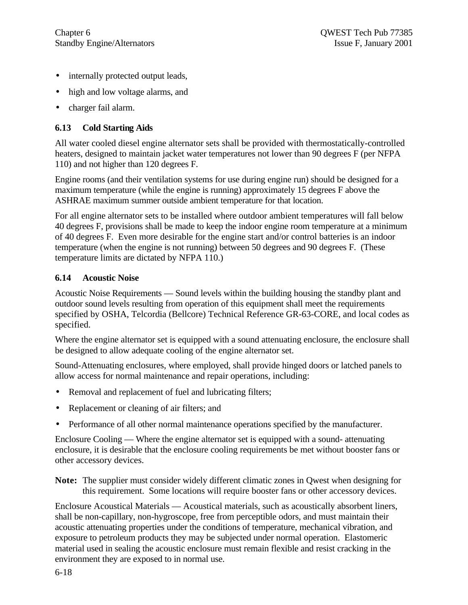- internally protected output leads,
- high and low voltage alarms, and
- charger fail alarm.

# **6.13 Cold Starting Aids**

All water cooled diesel engine alternator sets shall be provided with thermostatically-controlled heaters, designed to maintain jacket water temperatures not lower than 90 degrees F (per NFPA 110) and not higher than 120 degrees F.

Engine rooms (and their ventilation systems for use during engine run) should be designed for a maximum temperature (while the engine is running) approximately 15 degrees F above the ASHRAE maximum summer outside ambient temperature for that location.

For all engine alternator sets to be installed where outdoor ambient temperatures will fall below 40 degrees F, provisions shall be made to keep the indoor engine room temperature at a minimum of 40 degrees F. Even more desirable for the engine start and/or control batteries is an indoor temperature (when the engine is not running) between 50 degrees and 90 degrees F. (These temperature limits are dictated by NFPA 110.)

#### **6.14 Acoustic Noise**

Acoustic Noise Requirements — Sound levels within the building housing the standby plant and outdoor sound levels resulting from operation of this equipment shall meet the requirements specified by OSHA, Telcordia (Bellcore) Technical Reference GR-63-CORE, and local codes as specified.

Where the engine alternator set is equipped with a sound attenuating enclosure, the enclosure shall be designed to allow adequate cooling of the engine alternator set.

Sound-Attenuating enclosures, where employed, shall provide hinged doors or latched panels to allow access for normal maintenance and repair operations, including:

- Removal and replacement of fuel and lubricating filters;
- Replacement or cleaning of air filters; and
- Performance of all other normal maintenance operations specified by the manufacturer.

Enclosure Cooling — Where the engine alternator set is equipped with a sound- attenuating enclosure, it is desirable that the enclosure cooling requirements be met without booster fans or other accessory devices.

**Note:** The supplier must consider widely different climatic zones in Qwest when designing for this requirement. Some locations will require booster fans or other accessory devices.

Enclosure Acoustical Materials — Acoustical materials, such as acoustically absorbent liners, shall be non-capillary, non-hygroscope, free from perceptible odors, and must maintain their acoustic attenuating properties under the conditions of temperature, mechanical vibration, and exposure to petroleum products they may be subjected under normal operation. Elastomeric material used in sealing the acoustic enclosure must remain flexible and resist cracking in the environment they are exposed to in normal use.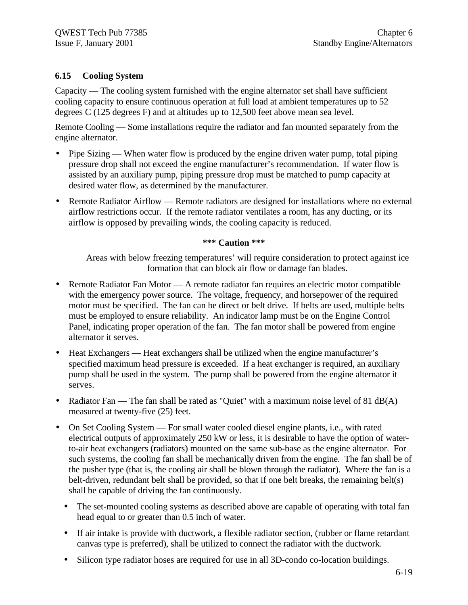#### **6.15 Cooling System**

Capacity — The cooling system furnished with the engine alternator set shall have sufficient cooling capacity to ensure continuous operation at full load at ambient temperatures up to 52 degrees C (125 degrees F) and at altitudes up to 12,500 feet above mean sea level.

Remote Cooling — Some installations require the radiator and fan mounted separately from the engine alternator.

- Pipe Sizing When water flow is produced by the engine driven water pump, total piping pressure drop shall not exceed the engine manufacturer's recommendation. If water flow is assisted by an auxiliary pump, piping pressure drop must be matched to pump capacity at desired water flow, as determined by the manufacturer.
- Remote Radiator Airflow Remote radiators are designed for installations where no external airflow restrictions occur. If the remote radiator ventilates a room, has any ducting, or its airflow is opposed by prevailing winds, the cooling capacity is reduced.

#### **\*\*\* Caution \*\*\***

Areas with below freezing temperatures' will require consideration to protect against ice formation that can block air flow or damage fan blades.

- Remote Radiator Fan Motor A remote radiator fan requires an electric motor compatible with the emergency power source. The voltage, frequency, and horsepower of the required motor must be specified. The fan can be direct or belt drive. If belts are used, multiple belts must be employed to ensure reliability. An indicator lamp must be on the Engine Control Panel, indicating proper operation of the fan. The fan motor shall be powered from engine alternator it serves.
- Heat Exchangers Heat exchangers shall be utilized when the engine manufacturer's specified maximum head pressure is exceeded. If a heat exchanger is required, an auxiliary pump shall be used in the system. The pump shall be powered from the engine alternator it serves.
- Radiator Fan The fan shall be rated as "Quiet" with a maximum noise level of 81 dB(A) measured at twenty-five (25) feet.
- On Set Cooling System For small water cooled diesel engine plants, i.e., with rated electrical outputs of approximately 250 kW or less, it is desirable to have the option of waterto-air heat exchangers (radiators) mounted on the same sub-base as the engine alternator. For such systems, the cooling fan shall be mechanically driven from the engine. The fan shall be of the pusher type (that is, the cooling air shall be blown through the radiator). Where the fan is a belt-driven, redundant belt shall be provided, so that if one belt breaks, the remaining belt(s) shall be capable of driving the fan continuously.
	- The set-mounted cooling systems as described above are capable of operating with total fan head equal to or greater than 0.5 inch of water.
	- If air intake is provide with ductwork, a flexible radiator section, (rubber or flame retardant canvas type is preferred), shall be utilized to connect the radiator with the ductwork.
	- Silicon type radiator hoses are required for use in all 3D-condo co-location buildings.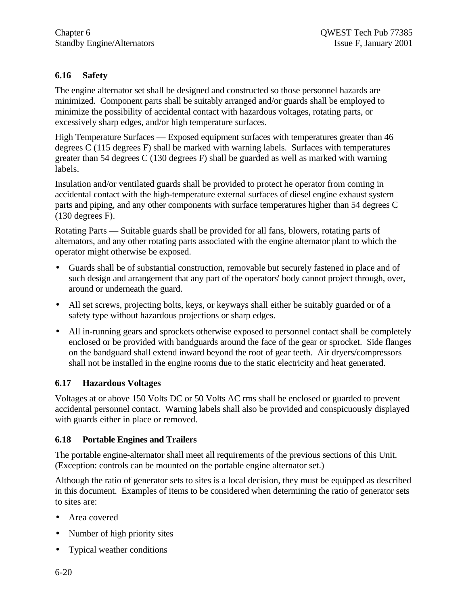# **6.16 Safety**

The engine alternator set shall be designed and constructed so those personnel hazards are minimized. Component parts shall be suitably arranged and/or guards shall be employed to minimize the possibility of accidental contact with hazardous voltages, rotating parts, or excessively sharp edges, and/or high temperature surfaces.

High Temperature Surfaces — Exposed equipment surfaces with temperatures greater than 46 degrees C (115 degrees F) shall be marked with warning labels. Surfaces with temperatures greater than 54 degrees C (130 degrees F) shall be guarded as well as marked with warning labels.

Insulation and/or ventilated guards shall be provided to protect he operator from coming in accidental contact with the high-temperature external surfaces of diesel engine exhaust system parts and piping, and any other components with surface temperatures higher than 54 degrees C (130 degrees F).

Rotating Parts — Suitable guards shall be provided for all fans, blowers, rotating parts of alternators, and any other rotating parts associated with the engine alternator plant to which the operator might otherwise be exposed.

- Guards shall be of substantial construction, removable but securely fastened in place and of such design and arrangement that any part of the operators' body cannot project through, over, around or underneath the guard.
- All set screws, projecting bolts, keys, or keyways shall either be suitably guarded or of a safety type without hazardous projections or sharp edges.
- All in-running gears and sprockets otherwise exposed to personnel contact shall be completely enclosed or be provided with bandguards around the face of the gear or sprocket. Side flanges on the bandguard shall extend inward beyond the root of gear teeth. Air dryers/compressors shall not be installed in the engine rooms due to the static electricity and heat generated.

# **6.17 Hazardous Voltages**

Voltages at or above 150 Volts DC or 50 Volts AC rms shall be enclosed or guarded to prevent accidental personnel contact. Warning labels shall also be provided and conspicuously displayed with guards either in place or removed.

#### **6.18 Portable Engines and Trailers**

The portable engine-alternator shall meet all requirements of the previous sections of this Unit. (Exception: controls can be mounted on the portable engine alternator set.)

Although the ratio of generator sets to sites is a local decision, they must be equipped as described in this document. Examples of items to be considered when determining the ratio of generator sets to sites are:

- Area covered
- Number of high priority sites
- Typical weather conditions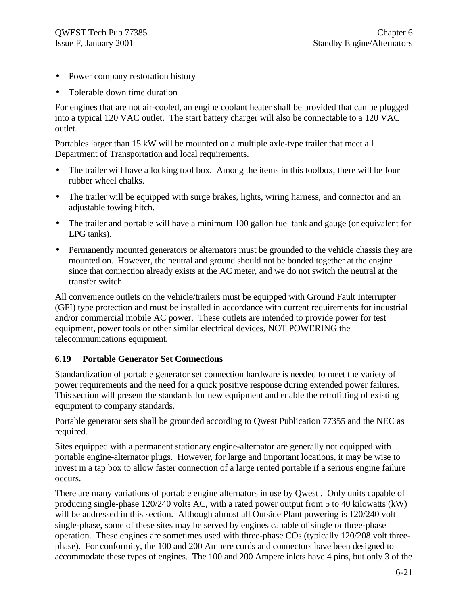- Power company restoration history
- Tolerable down time duration

For engines that are not air-cooled, an engine coolant heater shall be provided that can be plugged into a typical 120 VAC outlet. The start battery charger will also be connectable to a 120 VAC outlet.

Portables larger than 15 kW will be mounted on a multiple axle-type trailer that meet all Department of Transportation and local requirements.

- The trailer will have a locking tool box. Among the items in this toolbox, there will be four rubber wheel chalks.
- The trailer will be equipped with surge brakes, lights, wiring harness, and connector and an adjustable towing hitch.
- The trailer and portable will have a minimum 100 gallon fuel tank and gauge (or equivalent for LPG tanks).
- Permanently mounted generators or alternators must be grounded to the vehicle chassis they are mounted on. However, the neutral and ground should not be bonded together at the engine since that connection already exists at the AC meter, and we do not switch the neutral at the transfer switch.

All convenience outlets on the vehicle/trailers must be equipped with Ground Fault Interrupter (GFI) type protection and must be installed in accordance with current requirements for industrial and/or commercial mobile AC power. These outlets are intended to provide power for test equipment, power tools or other similar electrical devices, NOT POWERING the telecommunications equipment.

#### **6.19 Portable Generator Set Connections**

Standardization of portable generator set connection hardware is needed to meet the variety of power requirements and the need for a quick positive response during extended power failures. This section will present the standards for new equipment and enable the retrofitting of existing equipment to company standards.

Portable generator sets shall be grounded according to Qwest Publication 77355 and the NEC as required.

Sites equipped with a permanent stationary engine-alternator are generally not equipped with portable engine-alternator plugs. However, for large and important locations, it may be wise to invest in a tap box to allow faster connection of a large rented portable if a serious engine failure occurs.

There are many variations of portable engine alternators in use by Qwest . Only units capable of producing single-phase 120/240 volts AC, with a rated power output from 5 to 40 kilowatts (kW) will be addressed in this section. Although almost all Outside Plant powering is 120/240 volt single-phase, some of these sites may be served by engines capable of single or three-phase operation. These engines are sometimes used with three-phase COs (typically 120/208 volt threephase). For conformity, the 100 and 200 Ampere cords and connectors have been designed to accommodate these types of engines. The 100 and 200 Ampere inlets have 4 pins, but only 3 of the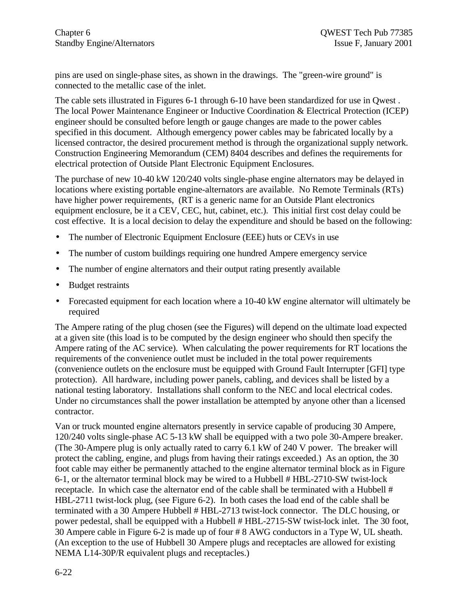pins are used on single-phase sites, as shown in the drawings. The "green-wire ground" is connected to the metallic case of the inlet.

The cable sets illustrated in Figures 6-1 through 6-10 have been standardized for use in Qwest . The local Power Maintenance Engineer or Inductive Coordination & Electrical Protection (ICEP) engineer should be consulted before length or gauge changes are made to the power cables specified in this document. Although emergency power cables may be fabricated locally by a licensed contractor, the desired procurement method is through the organizational supply network. Construction Engineering Memorandum (CEM) 8404 describes and defines the requirements for electrical protection of Outside Plant Electronic Equipment Enclosures.

The purchase of new 10-40 kW 120/240 volts single-phase engine alternators may be delayed in locations where existing portable engine-alternators are available. No Remote Terminals (RTs) have higher power requirements, (RT is a generic name for an Outside Plant electronics equipment enclosure, be it a CEV, CEC, hut, cabinet, etc.). This initial first cost delay could be cost effective. It is a local decision to delay the expenditure and should be based on the following:

- The number of Electronic Equipment Enclosure (EEE) huts or CEVs in use
- The number of custom buildings requiring one hundred Ampere emergency service
- The number of engine alternators and their output rating presently available
- Budget restraints
- Forecasted equipment for each location where a 10-40 kW engine alternator will ultimately be required

The Ampere rating of the plug chosen (see the Figures) will depend on the ultimate load expected at a given site (this load is to be computed by the design engineer who should then specify the Ampere rating of the AC service). When calculating the power requirements for RT locations the requirements of the convenience outlet must be included in the total power requirements (convenience outlets on the enclosure must be equipped with Ground Fault Interrupter [GFI] type protection). All hardware, including power panels, cabling, and devices shall be listed by a national testing laboratory. Installations shall conform to the NEC and local electrical codes. Under no circumstances shall the power installation be attempted by anyone other than a licensed contractor.

Van or truck mounted engine alternators presently in service capable of producing 30 Ampere, 120/240 volts single-phase AC 5-13 kW shall be equipped with a two pole 30-Ampere breaker. (The 30-Ampere plug is only actually rated to carry 6.1 kW of 240 V power. The breaker will protect the cabling, engine, and plugs from having their ratings exceeded.) As an option, the 30 foot cable may either be permanently attached to the engine alternator terminal block as in Figure 6-1, or the alternator terminal block may be wired to a Hubbell # HBL-2710-SW twist-lock receptacle. In which case the alternator end of the cable shall be terminated with a Hubbell # HBL-2711 twist-lock plug, (see Figure 6-2). In both cases the load end of the cable shall be terminated with a 30 Ampere Hubbell # HBL-2713 twist-lock connector. The DLC housing, or power pedestal, shall be equipped with a Hubbell # HBL-2715-SW twist-lock inlet. The 30 foot, 30 Ampere cable in Figure 6-2 is made up of four # 8 AWG conductors in a Type W, UL sheath. (An exception to the use of Hubbell 30 Ampere plugs and receptacles are allowed for existing NEMA L14-30P/R equivalent plugs and receptacles.)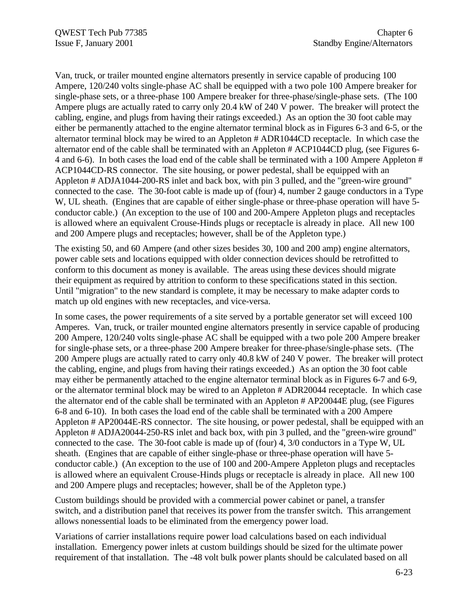Van, truck, or trailer mounted engine alternators presently in service capable of producing 100 Ampere, 120/240 volts single-phase AC shall be equipped with a two pole 100 Ampere breaker for single-phase sets, or a three-phase 100 Ampere breaker for three-phase/single-phase sets. (The 100 Ampere plugs are actually rated to carry only 20.4 kW of 240 V power. The breaker will protect the cabling, engine, and plugs from having their ratings exceeded.) As an option the 30 foot cable may either be permanently attached to the engine alternator terminal block as in Figures 6-3 and 6-5, or the alternator terminal block may be wired to an Appleton # ADR1044CD receptacle. In which case the alternator end of the cable shall be terminated with an Appleton # ACP1044CD plug, (see Figures 6- 4 and 6-6). In both cases the load end of the cable shall be terminated with a 100 Ampere Appleton # ACP1044CD-RS connector. The site housing, or power pedestal, shall be equipped with an Appleton # ADJA1044-200-RS inlet and back box, with pin 3 pulled, and the "green-wire ground" connected to the case. The 30-foot cable is made up of (four) 4, number 2 gauge conductors in a Type W, UL sheath. (Engines that are capable of either single-phase or three-phase operation will have 5 conductor cable.) (An exception to the use of 100 and 200-Ampere Appleton plugs and receptacles is allowed where an equivalent Crouse-Hinds plugs or receptacle is already in place. All new 100 and 200 Ampere plugs and receptacles; however, shall be of the Appleton type.)

The existing 50, and 60 Ampere (and other sizes besides 30, 100 and 200 amp) engine alternators, power cable sets and locations equipped with older connection devices should be retrofitted to conform to this document as money is available. The areas using these devices should migrate their equipment as required by attrition to conform to these specifications stated in this section. Until "migration" to the new standard is complete, it may be necessary to make adapter cords to match up old engines with new receptacles, and vice-versa.

In some cases, the power requirements of a site served by a portable generator set will exceed 100 Amperes. Van, truck, or trailer mounted engine alternators presently in service capable of producing 200 Ampere, 120/240 volts single-phase AC shall be equipped with a two pole 200 Ampere breaker for single-phase sets, or a three-phase 200 Ampere breaker for three-phase/single-phase sets. (The 200 Ampere plugs are actually rated to carry only 40.8 kW of 240 V power. The breaker will protect the cabling, engine, and plugs from having their ratings exceeded.) As an option the 30 foot cable may either be permanently attached to the engine alternator terminal block as in Figures 6-7 and 6-9, or the alternator terminal block may be wired to an Appleton # ADR20044 receptacle. In which case the alternator end of the cable shall be terminated with an Appleton # AP20044E plug, (see Figures 6-8 and 6-10). In both cases the load end of the cable shall be terminated with a 200 Ampere Appleton # AP20044E-RS connector. The site housing, or power pedestal, shall be equipped with an Appleton # ADJA20044-250-RS inlet and back box, with pin 3 pulled, and the "green-wire ground" connected to the case. The 30-foot cable is made up of (four) 4, 3/0 conductors in a Type W, UL sheath. (Engines that are capable of either single-phase or three-phase operation will have 5 conductor cable.) (An exception to the use of 100 and 200-Ampere Appleton plugs and receptacles is allowed where an equivalent Crouse-Hinds plugs or receptacle is already in place. All new 100 and 200 Ampere plugs and receptacles; however, shall be of the Appleton type.)

Custom buildings should be provided with a commercial power cabinet or panel, a transfer switch, and a distribution panel that receives its power from the transfer switch. This arrangement allows nonessential loads to be eliminated from the emergency power load.

Variations of carrier installations require power load calculations based on each individual installation. Emergency power inlets at custom buildings should be sized for the ultimate power requirement of that installation. The -48 volt bulk power plants should be calculated based on all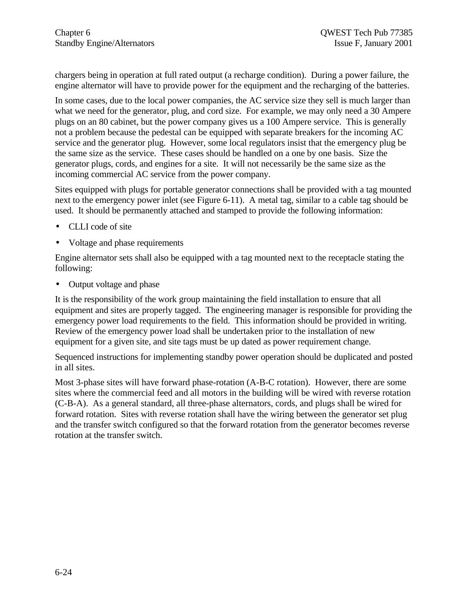chargers being in operation at full rated output (a recharge condition). During a power failure, the engine alternator will have to provide power for the equipment and the recharging of the batteries.

In some cases, due to the local power companies, the AC service size they sell is much larger than what we need for the generator, plug, and cord size. For example, we may only need a 30 Ampere plugs on an 80 cabinet, but the power company gives us a 100 Ampere service. This is generally not a problem because the pedestal can be equipped with separate breakers for the incoming AC service and the generator plug. However, some local regulators insist that the emergency plug be the same size as the service. These cases should be handled on a one by one basis. Size the generator plugs, cords, and engines for a site. It will not necessarily be the same size as the incoming commercial AC service from the power company.

Sites equipped with plugs for portable generator connections shall be provided with a tag mounted next to the emergency power inlet (see Figure 6-11). A metal tag, similar to a cable tag should be used. It should be permanently attached and stamped to provide the following information:

- CLLI code of site
- Voltage and phase requirements

Engine alternator sets shall also be equipped with a tag mounted next to the receptacle stating the following:

• Output voltage and phase

It is the responsibility of the work group maintaining the field installation to ensure that all equipment and sites are properly tagged. The engineering manager is responsible for providing the emergency power load requirements to the field. This information should be provided in writing. Review of the emergency power load shall be undertaken prior to the installation of new equipment for a given site, and site tags must be up dated as power requirement change.

Sequenced instructions for implementing standby power operation should be duplicated and posted in all sites.

Most 3-phase sites will have forward phase-rotation (A-B-C rotation). However, there are some sites where the commercial feed and all motors in the building will be wired with reverse rotation (C-B-A). As a general standard, all three-phase alternators, cords, and plugs shall be wired for forward rotation. Sites with reverse rotation shall have the wiring between the generator set plug and the transfer switch configured so that the forward rotation from the generator becomes reverse rotation at the transfer switch.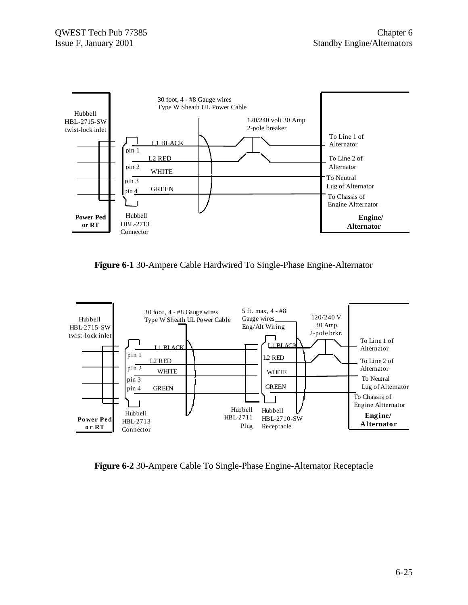

**Figure 6-1** 30-Ampere Cable Hardwired To Single-Phase Engine-Alternator



**Figure 6-2** 30-Ampere Cable To Single-Phase Engine-Alternator Receptacle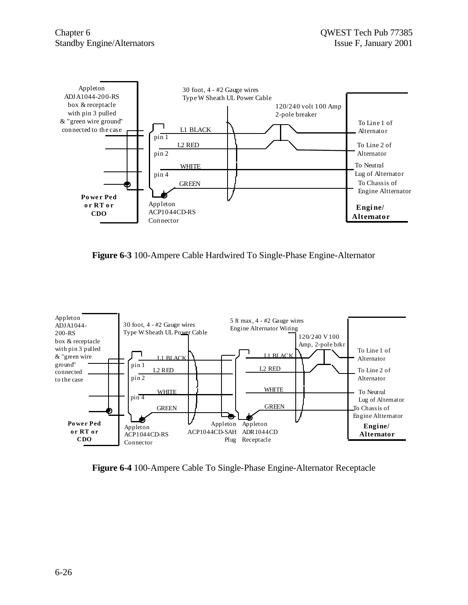

**Figure 6-3** 100-Ampere Cable Hardwired To Single-Phase Engine-Alternator



**Figure 6-4** 100-Ampere Cable To Single-Phase Engine-Alternator Receptacle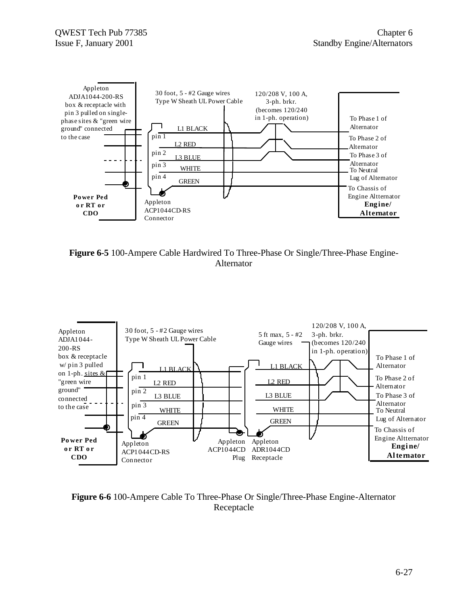

**Figure 6-5** 100-Ampere Cable Hardwired To Three-Phase Or Single/Three-Phase Engine-Alternator



**Figure 6-6** 100-Ampere Cable To Three-Phase Or Single/Three-Phase Engine-Alternator Receptacle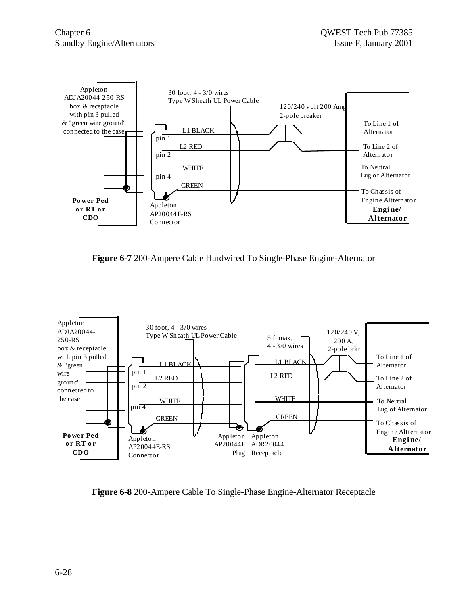

**Figure 6-7** 200-Ampere Cable Hardwired To Single-Phase Engine-Alternator



**Figure 6-8** 200-Ampere Cable To Single-Phase Engine-Alternator Receptacle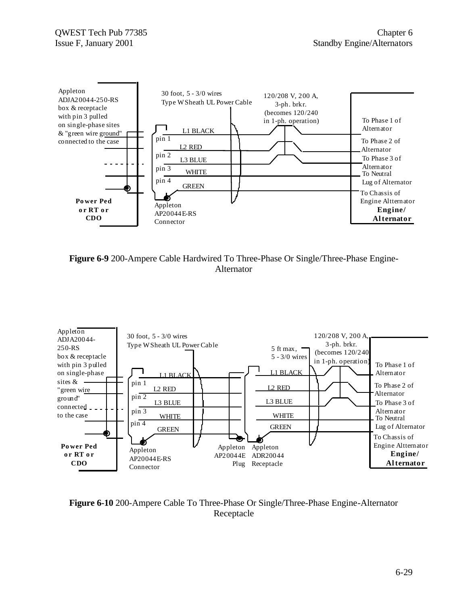





**Figure 6-10** 200-Ampere Cable To Three-Phase Or Single/Three-Phase Engine-Alternator Receptacle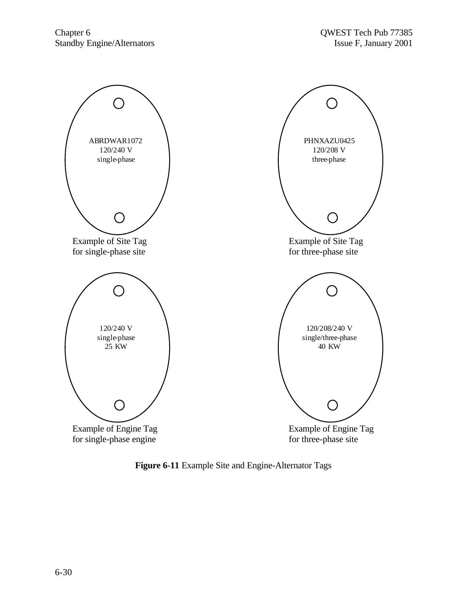

**Figure 6-11** Example Site and Engine-Alternator Tags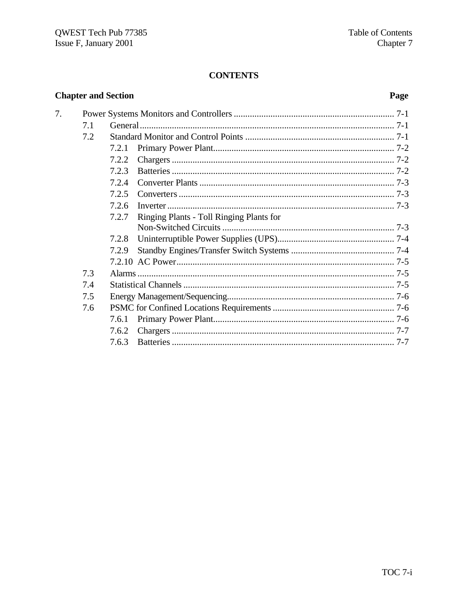# **CONTENTS**

| <b>Chapter and Section</b> | Page |       |                                          |  |
|----------------------------|------|-------|------------------------------------------|--|
| 7.                         |      |       |                                          |  |
|                            | 7.1  |       |                                          |  |
|                            | 7.2  |       |                                          |  |
|                            |      | 7.2.1 |                                          |  |
|                            |      | 7.2.2 |                                          |  |
|                            |      | 7.2.3 |                                          |  |
|                            |      | 7.2.4 |                                          |  |
|                            |      | 7.2.5 |                                          |  |
|                            |      | 7.2.6 |                                          |  |
|                            |      | 7.2.7 | Ringing Plants - Toll Ringing Plants for |  |
|                            |      |       |                                          |  |
|                            |      | 7.2.8 |                                          |  |
|                            |      | 7.2.9 |                                          |  |
|                            |      |       |                                          |  |
|                            | 7.3  |       |                                          |  |
|                            | 7.4  |       |                                          |  |
|                            | 7.5  |       |                                          |  |
|                            | 7.6  |       |                                          |  |
|                            |      | 7.6.1 |                                          |  |
|                            |      | 7.6.2 |                                          |  |
|                            |      | 7.6.3 |                                          |  |

#### Page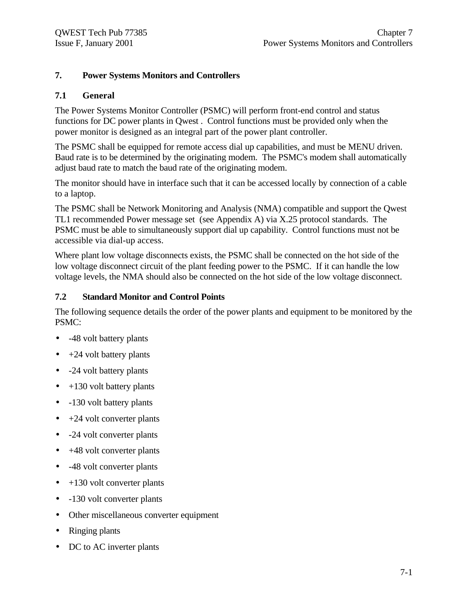## **7. Power Systems Monitors and Controllers**

### **7.1 General**

The Power Systems Monitor Controller (PSMC) will perform front-end control and status functions for DC power plants in Qwest . Control functions must be provided only when the power monitor is designed as an integral part of the power plant controller.

The PSMC shall be equipped for remote access dial up capabilities, and must be MENU driven. Baud rate is to be determined by the originating modem. The PSMC's modem shall automatically adjust baud rate to match the baud rate of the originating modem.

The monitor should have in interface such that it can be accessed locally by connection of a cable to a laptop.

The PSMC shall be Network Monitoring and Analysis (NMA) compatible and support the Qwest TL1 recommended Power message set (see Appendix A) via X.25 protocol standards. The PSMC must be able to simultaneously support dial up capability. Control functions must not be accessible via dial-up access.

Where plant low voltage disconnects exists, the PSMC shall be connected on the hot side of the low voltage disconnect circuit of the plant feeding power to the PSMC. If it can handle the low voltage levels, the NMA should also be connected on the hot side of the low voltage disconnect.

### **7.2 Standard Monitor and Control Points**

The following sequence details the order of the power plants and equipment to be monitored by the PSMC:

- -48 volt battery plants
- $\bullet$  +24 volt battery plants
- -24 volt battery plants
- $\bullet$  +130 volt battery plants
- -130 volt battery plants
- $\bullet$  +24 volt converter plants
- -24 volt converter plants
- $\bullet$  +48 volt converter plants
- -48 volt converter plants
- $\bullet$  +130 volt converter plants
- -130 volt converter plants
- Other miscellaneous converter equipment
- Ringing plants
- DC to AC inverter plants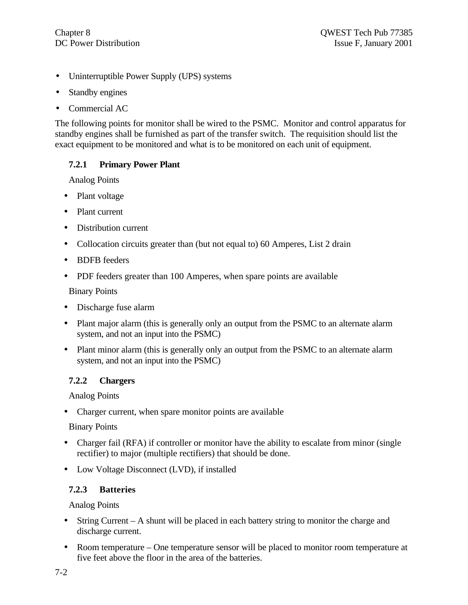- Uninterruptible Power Supply (UPS) systems
- Standby engines
- Commercial AC

The following points for monitor shall be wired to the PSMC. Monitor and control apparatus for standby engines shall be furnished as part of the transfer switch. The requisition should list the exact equipment to be monitored and what is to be monitored on each unit of equipment.

## **7.2.1 Primary Power Plant**

Analog Points

- Plant voltage
- Plant current
- Distribution current
- Collocation circuits greater than (but not equal to) 60 Amperes, List 2 drain
- BDFB feeders
- PDF feeders greater than 100 Amperes, when spare points are available

Binary Points

- Discharge fuse alarm
- Plant major alarm (this is generally only an output from the PSMC to an alternate alarm system, and not an input into the PSMC)
- Plant minor alarm (this is generally only an output from the PSMC to an alternate alarm system, and not an input into the PSMC)

## **7.2.2 Chargers**

Analog Points

• Charger current, when spare monitor points are available

Binary Points

- Charger fail (RFA) if controller or monitor have the ability to escalate from minor (single rectifier) to major (multiple rectifiers) that should be done.
- Low Voltage Disconnect (LVD), if installed

## **7.2.3 Batteries**

Analog Points

- String Current A shunt will be placed in each battery string to monitor the charge and discharge current.
- Room temperature One temperature sensor will be placed to monitor room temperature at five feet above the floor in the area of the batteries.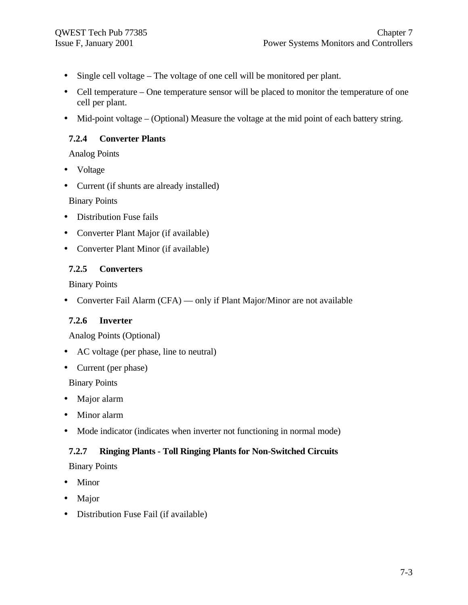- Single cell voltage The voltage of one cell will be monitored per plant.
- Cell temperature One temperature sensor will be placed to monitor the temperature of one cell per plant.
- Mid-point voltage (Optional) Measure the voltage at the mid point of each battery string.

## **7.2.4 Converter Plants**

Analog Points

- Voltage
- Current (if shunts are already installed)

Binary Points

- Distribution Fuse fails
- Converter Plant Major (if available)
- Converter Plant Minor (if available)

## **7.2.5 Converters**

Binary Points

• Converter Fail Alarm (CFA) — only if Plant Major/Minor are not available

## **7.2.6 Inverter**

Analog Points (Optional)

- AC voltage (per phase, line to neutral)
- Current (per phase)

Binary Points

- Major alarm
- Minor alarm
- Mode indicator (indicates when inverter not functioning in normal mode)

## **7.2.7 Ringing Plants - Toll Ringing Plants for Non-Switched Circuits**

Binary Points

- Minor
- Major
- Distribution Fuse Fail (if available)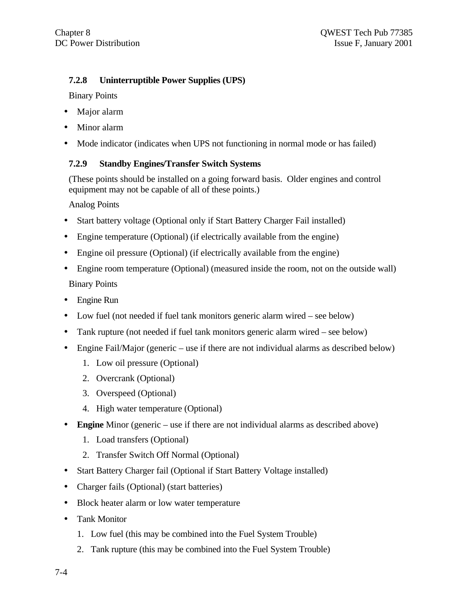## **7.2.8 Uninterruptible Power Supplies (UPS)**

Binary Points

- Major alarm
- Minor alarm
- Mode indicator (indicates when UPS not functioning in normal mode or has failed)

## **7.2.9 Standby Engines/Transfer Switch Systems**

(These points should be installed on a going forward basis. Older engines and control equipment may not be capable of all of these points.)

Analog Points

- Start battery voltage (Optional only if Start Battery Charger Fail installed)
- Engine temperature (Optional) (if electrically available from the engine)
- Engine oil pressure (Optional) (if electrically available from the engine)
- Engine room temperature (Optional) (measured inside the room, not on the outside wall) Binary Points
- Engine Run
- Low fuel (not needed if fuel tank monitors generic alarm wired see below)
- Tank rupture (not needed if fuel tank monitors generic alarm wired see below)
- Engine Fail/Major (generic use if there are not individual alarms as described below)
	- 1. Low oil pressure (Optional)
	- 2. Overcrank (Optional)
	- 3. Overspeed (Optional)
	- 4. High water temperature (Optional)
- **Engine** Minor (generic use if there are not individual alarms as described above)
	- 1. Load transfers (Optional)
	- 2. Transfer Switch Off Normal (Optional)
- Start Battery Charger fail (Optional if Start Battery Voltage installed)
- Charger fails (Optional) (start batteries)
- Block heater alarm or low water temperature
- Tank Monitor
	- 1. Low fuel (this may be combined into the Fuel System Trouble)
	- 2. Tank rupture (this may be combined into the Fuel System Trouble)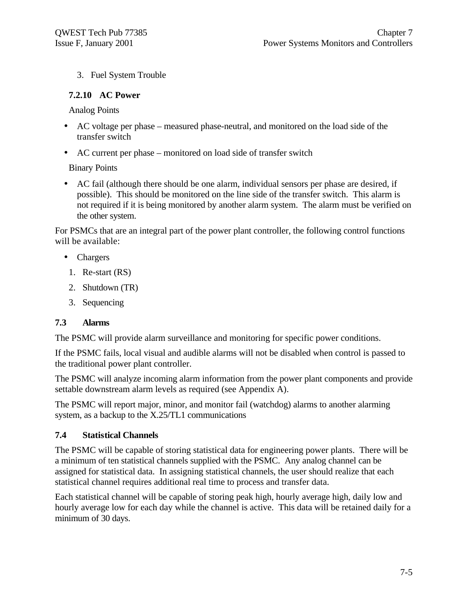3. Fuel System Trouble

## **7.2.10 AC Power**

Analog Points

- AC voltage per phase measured phase-neutral, and monitored on the load side of the transfer switch
- AC current per phase monitored on load side of transfer switch

Binary Points

• AC fail (although there should be one alarm, individual sensors per phase are desired, if possible). This should be monitored on the line side of the transfer switch. This alarm is not required if it is being monitored by another alarm system. The alarm must be verified on the other system.

For PSMCs that are an integral part of the power plant controller, the following control functions will be available:

- Chargers
	- 1. Re-start (RS)
	- 2. Shutdown (TR)
	- 3. Sequencing

## **7.3 Alarms**

The PSMC will provide alarm surveillance and monitoring for specific power conditions.

If the PSMC fails, local visual and audible alarms will not be disabled when control is passed to the traditional power plant controller.

The PSMC will analyze incoming alarm information from the power plant components and provide settable downstream alarm levels as required (see Appendix A).

The PSMC will report major, minor, and monitor fail (watchdog) alarms to another alarming system, as a backup to the X.25/TL1 communications

## **7.4 Statistical Channels**

The PSMC will be capable of storing statistical data for engineering power plants. There will be a minimum of ten statistical channels supplied with the PSMC. Any analog channel can be assigned for statistical data. In assigning statistical channels, the user should realize that each statistical channel requires additional real time to process and transfer data.

Each statistical channel will be capable of storing peak high, hourly average high, daily low and hourly average low for each day while the channel is active. This data will be retained daily for a minimum of 30 days.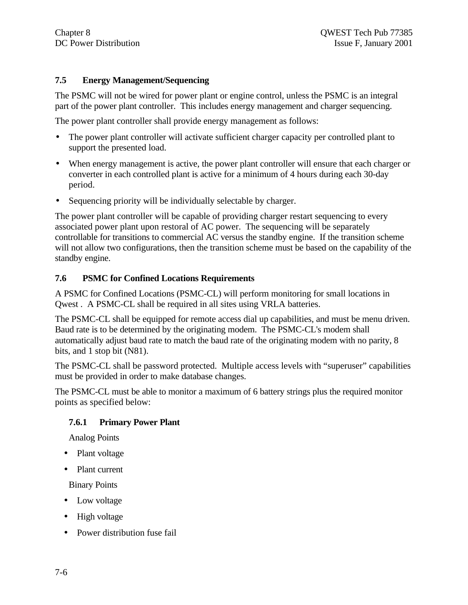## **7.5 Energy Management/Sequencing**

The PSMC will not be wired for power plant or engine control, unless the PSMC is an integral part of the power plant controller. This includes energy management and charger sequencing.

The power plant controller shall provide energy management as follows:

- The power plant controller will activate sufficient charger capacity per controlled plant to support the presented load.
- When energy management is active, the power plant controller will ensure that each charger or converter in each controlled plant is active for a minimum of 4 hours during each 30-day period.
- Sequencing priority will be individually selectable by charger.

The power plant controller will be capable of providing charger restart sequencing to every associated power plant upon restoral of AC power. The sequencing will be separately controllable for transitions to commercial AC versus the standby engine. If the transition scheme will not allow two configurations, then the transition scheme must be based on the capability of the standby engine.

#### **7.6 PSMC for Confined Locations Requirements**

A PSMC for Confined Locations (PSMC-CL) will perform monitoring for small locations in Qwest . A PSMC-CL shall be required in all sites using VRLA batteries.

The PSMC-CL shall be equipped for remote access dial up capabilities, and must be menu driven. Baud rate is to be determined by the originating modem. The PSMC-CL's modem shall automatically adjust baud rate to match the baud rate of the originating modem with no parity, 8 bits, and 1 stop bit (N81).

The PSMC-CL shall be password protected. Multiple access levels with "superuser" capabilities must be provided in order to make database changes.

The PSMC-CL must be able to monitor a maximum of 6 battery strings plus the required monitor points as specified below:

#### **7.6.1 Primary Power Plant**

Analog Points

- Plant voltage
- Plant current

Binary Points

- Low voltage
- High voltage
- Power distribution fuse fail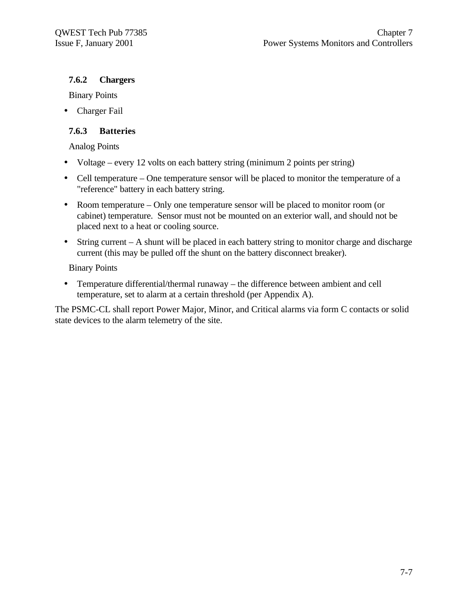## **7.6.2 Chargers**

Binary Points

• Charger Fail

## **7.6.3 Batteries**

Analog Points

- Voltage every 12 volts on each battery string (minimum 2 points per string)
- Cell temperature One temperature sensor will be placed to monitor the temperature of a "reference" battery in each battery string.
- Room temperature Only one temperature sensor will be placed to monitor room (or cabinet) temperature. Sensor must not be mounted on an exterior wall, and should not be placed next to a heat or cooling source.
- String current A shunt will be placed in each battery string to monitor charge and discharge current (this may be pulled off the shunt on the battery disconnect breaker).

Binary Points

• Temperature differential/thermal runaway – the difference between ambient and cell temperature, set to alarm at a certain threshold (per Appendix A).

The PSMC-CL shall report Power Major, Minor, and Critical alarms via form C contacts or solid state devices to the alarm telemetry of the site.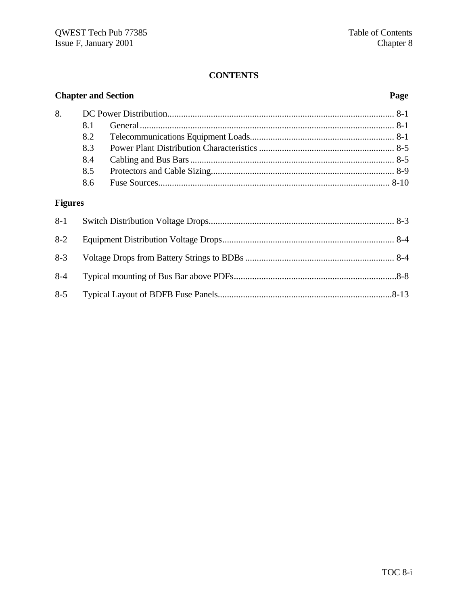## **CONTENTS**

# **Chapter and Section Page**

| 81  |  |
|-----|--|
|     |  |
| 83  |  |
| 8.4 |  |
| 8.5 |  |
| 8.6 |  |

# **Figures**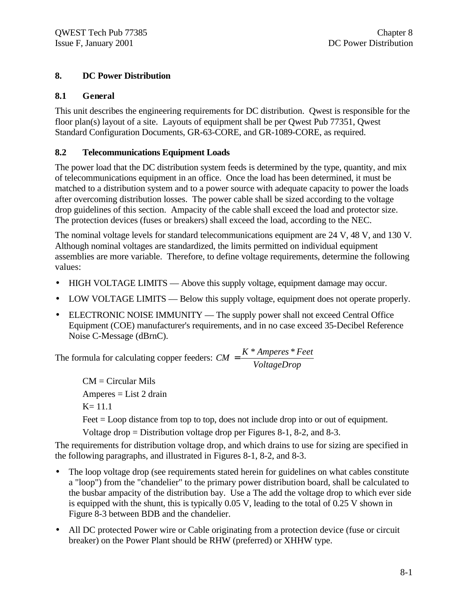## **8. DC Power Distribution**

## **8.1 General**

This unit describes the engineering requirements for DC distribution. Qwest is responsible for the floor plan(s) layout of a site. Layouts of equipment shall be per Qwest Pub 77351, Qwest Standard Configuration Documents, GR-63-CORE, and GR-1089-CORE, as required.

## **8.2 Telecommunications Equipment Loads**

The power load that the DC distribution system feeds is determined by the type, quantity, and mix of telecommunications equipment in an office. Once the load has been determined, it must be matched to a distribution system and to a power source with adequate capacity to power the loads after overcoming distribution losses. The power cable shall be sized according to the voltage drop guidelines of this section. Ampacity of the cable shall exceed the load and protector size. The protection devices (fuses or breakers) shall exceed the load, according to the NEC.

The nominal voltage levels for standard telecommunications equipment are 24 V, 48 V, and 130 V. Although nominal voltages are standardized, the limits permitted on individual equipment assemblies are more variable. Therefore, to define voltage requirements, determine the following values:

- HIGH VOLTAGE LIMITS Above this supply voltage, equipment damage may occur.
- LOW VOLTAGE LIMITS Below this supply voltage, equipment does not operate properly.
- ELECTRONIC NOISE IMMUNITY The supply power shall not exceed Central Office Equipment (COE) manufacturer's requirements, and in no case exceed 35-Decibel Reference Noise C-Message (dBrnC).

The formula for calculating copper feeders: *VoltageDrop*  $CM = \frac{K * Amperes * Feet}{K}$ 

> $CM = Circular$  Mils  $Amperes = List 2 drain$ K= 11.1

Feet = Loop distance from top to top, does not include drop into or out of equipment.

Voltage drop = Distribution voltage drop per Figures 8-1, 8-2, and 8-3.

The requirements for distribution voltage drop, and which drains to use for sizing are specified in the following paragraphs, and illustrated in Figures 8-1, 8-2, and 8-3.

- The loop voltage drop (see requirements stated herein for guidelines on what cables constitute a "loop") from the "chandelier" to the primary power distribution board, shall be calculated to the busbar ampacity of the distribution bay. Use a The add the voltage drop to which ever side is equipped with the shunt, this is typically 0.05 V, leading to the total of 0.25 V shown in Figure 8-3 between BDB and the chandelier.
- All DC protected Power wire or Cable originating from a protection device (fuse or circuit breaker) on the Power Plant should be RHW (preferred) or XHHW type.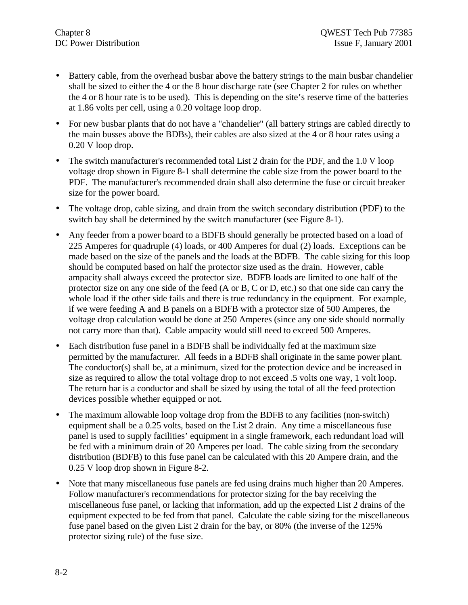- Battery cable, from the overhead busbar above the battery strings to the main busbar chandelier shall be sized to either the 4 or the 8 hour discharge rate (see Chapter 2 for rules on whether the 4 or 8 hour rate is to be used). This is depending on the site**'**s reserve time of the batteries at 1.86 volts per cell, using a 0.20 voltage loop drop.
- For new busbar plants that do not have a "chandelier" (all battery strings are cabled directly to the main busses above the BDBs), their cables are also sized at the 4 or 8 hour rates using a 0.20 V loop drop.
- The switch manufacturer's recommended total List 2 drain for the PDF, and the 1.0 V loop voltage drop shown in Figure 8-1 shall determine the cable size from the power board to the PDF. The manufacturer's recommended drain shall also determine the fuse or circuit breaker size for the power board.
- The voltage drop, cable sizing, and drain from the switch secondary distribution (PDF) to the switch bay shall be determined by the switch manufacturer (see Figure 8-1).
- Any feeder from a power board to a BDFB should generally be protected based on a load of 225 Amperes for quadruple (4) loads, or 400 Amperes for dual (2) loads. Exceptions can be made based on the size of the panels and the loads at the BDFB. The cable sizing for this loop should be computed based on half the protector size used as the drain. However, cable ampacity shall always exceed the protector size. BDFB loads are limited to one half of the protector size on any one side of the feed (A or B, C or D, etc.) so that one side can carry the whole load if the other side fails and there is true redundancy in the equipment. For example, if we were feeding A and B panels on a BDFB with a protector size of 500 Amperes*,* the voltage drop calculation would be done at 250 Amperes (since any one side should normally not carry more than that). Cable ampacity would still need to exceed 500 Amperes.
- Each distribution fuse panel in a BDFB shall be individually fed at the maximum size permitted by the manufacturer. All feeds in a BDFB shall originate in the same power plant. The conductor(s) shall be, at a minimum, sized for the protection device and be increased in size as required to allow the total voltage drop to not exceed .5 volts one way, 1 volt loop. The return bar is a conductor and shall be sized by using the total of all the feed protection devices possible whether equipped or not.
- The maximum allowable loop voltage drop from the BDFB to any facilities (non-switch) equipment shall be a 0.25 volts, based on the List 2 drain. Any time a miscellaneous fuse panel is used to supply facilities' equipment in a single framework, each redundant load will be fed with a minimum drain of 20 Amperes per load. The cable sizing from the secondary distribution (BDFB) to this fuse panel can be calculated with this 20 Ampere drain, and the 0.25 V loop drop shown in Figure 8-2.
- Note that many miscellaneous fuse panels are fed using drains much higher than 20 Amperes. Follow manufacturer's recommendations for protector sizing for the bay receiving the miscellaneous fuse panel, or lacking that information, add up the expected List 2 drains of the equipment expected to be fed from that panel. Calculate the cable sizing for the miscellaneous fuse panel based on the given List 2 drain for the bay, or 80% (the inverse of the 125% protector sizing rule) of the fuse size.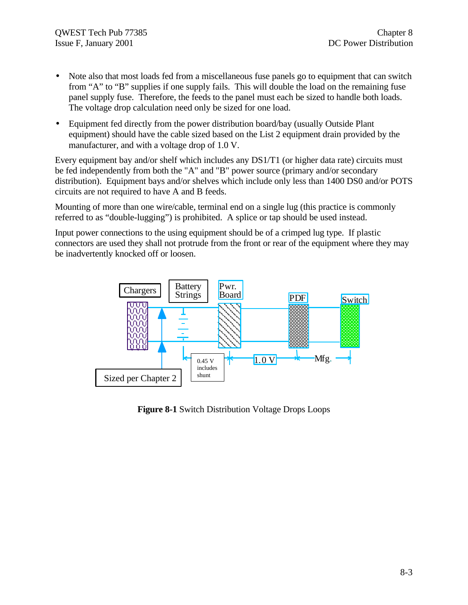- Note also that most loads fed from a miscellaneous fuse panels go to equipment that can switch from "A" to "B" supplies if one supply fails. This will double the load on the remaining fuse panel supply fuse. Therefore, the feeds to the panel must each be sized to handle both loads. The voltage drop calculation need only be sized for one load.
- Equipment fed directly from the power distribution board/bay (usually Outside Plant equipment) should have the cable sized based on the List 2 equipment drain provided by the manufacturer, and with a voltage drop of 1.0 V.

Every equipment bay and/or shelf which includes any DS1/T1 (or higher data rate) circuits must be fed independently from both the "A" and "B" power source (primary and/or secondary distribution). Equipment bays and/or shelves which include only less than 1400 DS0 and/or POTS circuits are not required to have A and B feeds.

Mounting of more than one wire/cable, terminal end on a single lug (this practice is commonly referred to as "double-lugging") is prohibited. A splice or tap should be used instead.

Input power connections to the using equipment should be of a crimped lug type. If plastic connectors are used they shall not protrude from the front or rear of the equipment where they may be inadvertently knocked off or loosen.



**Figure 8-1** Switch Distribution Voltage Drops Loops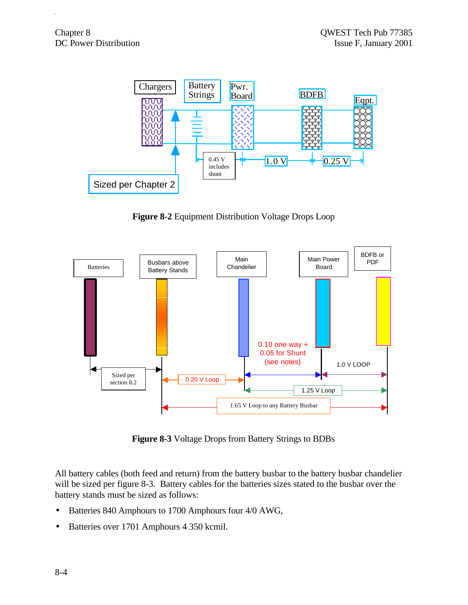

**Figure 8-2** Equipment Distribution Voltage Drops Loop



**Figure 8-3** Voltage Drops from Battery Strings to BDBs

All battery cables (both feed and return) from the battery busbar to the battery busbar chandelier will be sized per figure 8-3. Battery cables for the batteries sizes stated to the busbar over the battery stands must be sized as follows:

- Batteries 840 Amphours to 1700 Amphours four 4/0 AWG,
- Batteries over 1701 Amphours 4 350 kcmil.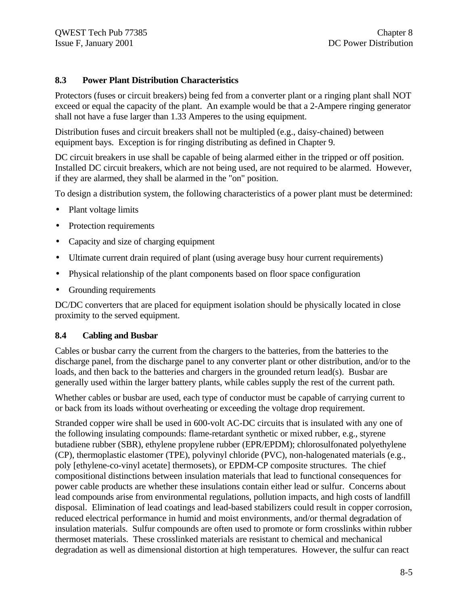#### **8.3 Power Plant Distribution Characteristics**

Protectors (fuses or circuit breakers) being fed from a converter plant or a ringing plant shall NOT exceed or equal the capacity of the plant. An example would be that a 2-Ampere ringing generator shall not have a fuse larger than 1.33 Amperes to the using equipment.

Distribution fuses and circuit breakers shall not be multipled (e.g., daisy-chained) between equipment bays. Exception is for ringing distributing as defined in Chapter 9.

DC circuit breakers in use shall be capable of being alarmed either in the tripped or off position. Installed DC circuit breakers, which are not being used, are not required to be alarmed. However, if they are alarmed, they shall be alarmed in the "on" position.

To design a distribution system, the following characteristics of a power plant must be determined:

- Plant voltage limits
- Protection requirements
- Capacity and size of charging equipment
- Ultimate current drain required of plant (using average busy hour current requirements)
- Physical relationship of the plant components based on floor space configuration
- Grounding requirements

DC/DC converters that are placed for equipment isolation should be physically located in close proximity to the served equipment.

#### **8.4 Cabling and Busbar**

Cables or busbar carry the current from the chargers to the batteries, from the batteries to the discharge panel, from the discharge panel to any converter plant or other distribution, and/or to the loads, and then back to the batteries and chargers in the grounded return lead(s). Busbar are generally used within the larger battery plants, while cables supply the rest of the current path.

Whether cables or busbar are used, each type of conductor must be capable of carrying current to or back from its loads without overheating or exceeding the voltage drop requirement.

Stranded copper wire shall be used in 600-volt AC-DC circuits that is insulated with any one of the following insulating compounds: flame-retardant synthetic or mixed rubber, e.g., styrene butadiene rubber (SBR), ethylene propylene rubber (EPR/EPDM); chlorosulfonated polyethylene (CP), thermoplastic elastomer (TPE), polyvinyl chloride (PVC), non-halogenated materials (e.g., poly [ethylene-co-vinyl acetate] thermosets), or EPDM-CP composite structures. The chief compositional distinctions between insulation materials that lead to functional consequences for power cable products are whether these insulations contain either lead or sulfur. Concerns about lead compounds arise from environmental regulations, pollution impacts, and high costs of landfill disposal. Elimination of lead coatings and lead-based stabilizers could result in copper corrosion, reduced electrical performance in humid and moist environments, and/or thermal degradation of insulation materials. Sulfur compounds are often used to promote or form crosslinks within rubber thermoset materials. These crosslinked materials are resistant to chemical and mechanical degradation as well as dimensional distortion at high temperatures. However, the sulfur can react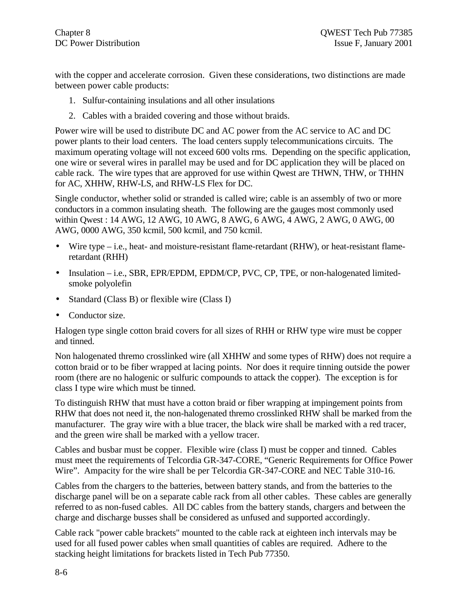with the copper and accelerate corrosion. Given these considerations, two distinctions are made between power cable products:

- 1. Sulfur-containing insulations and all other insulations
- 2. Cables with a braided covering and those without braids.

Power wire will be used to distribute DC and AC power from the AC service to AC and DC power plants to their load centers. The load centers supply telecommunications circuits. The maximum operating voltage will not exceed 600 volts rms. Depending on the specific application, one wire or several wires in parallel may be used and for DC application they will be placed on cable rack. The wire types that are approved for use within Qwest are THWN, THW, or THHN for AC, XHHW, RHW-LS, and RHW-LS Flex for DC.

Single conductor, whether solid or stranded is called wire; cable is an assembly of two or more conductors in a common insulating sheath. The following are the gauges most commonly used within Qwest : 14 AWG, 12 AWG, 10 AWG, 8 AWG, 6 AWG, 4 AWG, 2 AWG, 0 AWG, 00 AWG, 0000 AWG, 350 kcmil, 500 kcmil, and 750 kcmil.

- Wire type  $-i.e.,$  heat- and moisture-resistant flame-retardant  $(RHW)$ , or heat-resistant flameretardant (RHH)
- Insulation i.e., SBR, EPR/EPDM, EPDM/CP, PVC, CP, TPE, or non-halogenated limitedsmoke polyolefin
- Standard (Class B) or flexible wire (Class I)
- Conductor size.

Halogen type single cotton braid covers for all sizes of RHH or RHW type wire must be copper and tinned.

Non halogenated thremo crosslinked wire (all XHHW and some types of RHW) does not require a cotton braid or to be fiber wrapped at lacing points. Nor does it require tinning outside the power room (there are no halogenic or sulfuric compounds to attack the copper). The exception is for class I type wire which must be tinned.

To distinguish RHW that must have a cotton braid or fiber wrapping at impingement points from RHW that does not need it, the non-halogenated thremo crosslinked RHW shall be marked from the manufacturer. The gray wire with a blue tracer, the black wire shall be marked with a red tracer, and the green wire shall be marked with a yellow tracer.

Cables and busbar must be copper. Flexible wire (class I) must be copper and tinned. Cables must meet the requirements of Telcordia GR-347-CORE, "Generic Requirements for Office Power Wire". Ampacity for the wire shall be per Telcordia GR-347-CORE and NEC Table 310-16.

Cables from the chargers to the batteries, between battery stands, and from the batteries to the discharge panel will be on a separate cable rack from all other cables. These cables are generally referred to as non-fused cables. All DC cables from the battery stands, chargers and between the charge and discharge busses shall be considered as unfused and supported accordingly.

Cable rack "power cable brackets" mounted to the cable rack at eighteen inch intervals may be used for all fused power cables when small quantities of cables are required. Adhere to the stacking height limitations for brackets listed in Tech Pub 77350.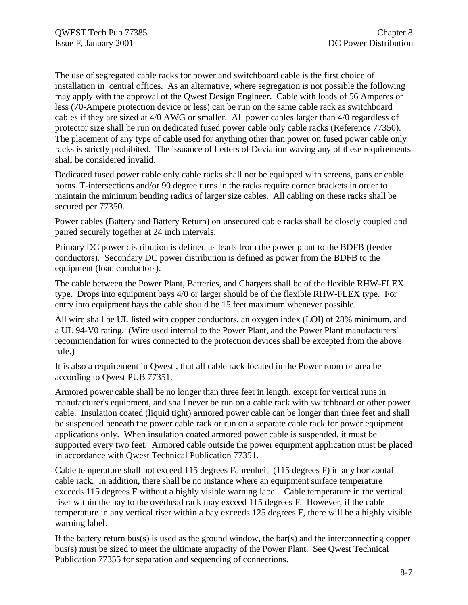The use of segregated cable racks for power and switchboard cable is the first choice of installation in central offices. As an alternative, where segregation is not possible the following may apply with the approval of the Qwest Design Engineer. Cable with loads of 56 Amperes or less (70-Ampere protection device or less) can be run on the same cable rack as switchboard cables if they are sized at 4/0 AWG or smaller. All power cables larger than 4/0 regardless of protector size shall be run on dedicated fused power cable only cable racks (Reference 77350). The placement of any type of cable used for anything other than power on fused power cable only racks is strictly prohibited. The issuance of Letters of Deviation waving any of these requirements shall be considered invalid.

Dedicated fused power cable only cable racks shall not be equipped with screens, pans or cable horns. T-intersections and/or 90 degree turns in the racks require corner brackets in order to maintain the minimum bending radius of larger size cables. All cabling on these racks shall be secured per 77350.

Power cables (Battery and Battery Return) on unsecured cable racks shall be closely coupled and paired securely together at 24 inch intervals.

Primary DC power distribution is defined as leads from the power plant to the BDFB (feeder conductors). Secondary DC power distribution is defined as power from the BDFB to the equipment (load conductors).

The cable between the Power Plant, Batteries, and Chargers shall be of the flexible RHW-FLEX type. Drops into equipment bays 4/0 or larger should be of the flexible RHW-FLEX type. For entry into equipment bays the cable should be 15 feet maximum whenever possible.

All wire shall be UL listed with copper conductors, an oxygen index (LOI) of 28% minimum, and a UL 94-V0 rating. (Wire used internal to the Power Plant, and the Power Plant manufacturers' recommendation for wires connected to the protection devices shall be excepted from the above rule.)

It is also a requirement in Qwest , that all cable rack located in the Power room or area be according to Qwest PUB 77351.

Armored power cable shall be no longer than three feet in length, except for vertical runs in manufacturer's equipment, and shall never be run on a cable rack with switchboard or other power cable. Insulation coated (liquid tight) armored power cable can be longer than three feet and shall be suspended beneath the power cable rack or run on a separate cable rack for power equipment applications only. When insulation coated armored power cable is suspended, it must be supported every two feet. Armored cable outside the power equipment application must be placed in accordance with Qwest Technical Publication 77351.

Cable temperature shall not exceed 115 degrees Fahrenheit (115 degrees F) in any horizontal cable rack. In addition, there shall be no instance where an equipment surface temperature exceeds 115 degrees F without a highly visible warning label. Cable temperature in the vertical riser within the bay to the overhead rack may exceed 115 degrees F. However, if the cable temperature in any vertical riser within a bay exceeds 125 degrees F, there will be a highly visible warning label.

If the battery return bus(s) is used as the ground window, the bar(s) and the interconnecting copper bus(s) must be sized to meet the ultimate ampacity of the Power Plant. See Qwest Technical Publication 77355 for separation and sequencing of connections.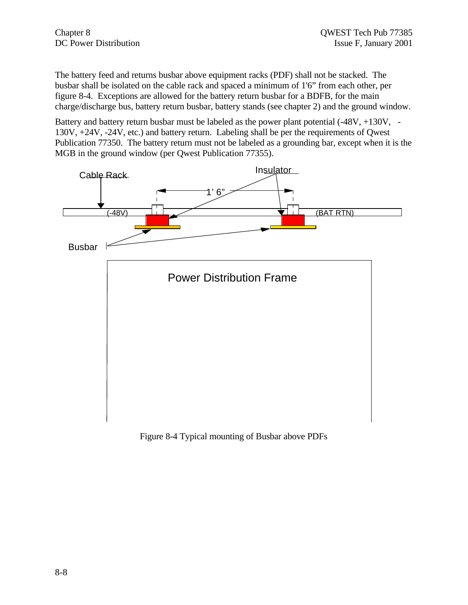The battery feed and returns busbar above equipment racks (PDF) shall not be stacked. The busbar shall be isolated on the cable rack and spaced a minimum of 1'6" from each other, per figure 8-4. Exceptions are allowed for the battery return busbar for a BDFB, for the main charge/discharge bus, battery return busbar, battery stands (see chapter 2) and the ground window.

Battery and battery return busbar must be labeled as the power plant potential  $(-48V, +130V, -12V)$ 130V, +24V, -24V, etc.) and battery return. Labeling shall be per the requirements of Qwest Publication 77350. The battery return must not be labeled as a grounding bar, except when it is the MGB in the ground window (per Qwest Publication 77355).



Figure 8-4 Typical mounting of Busbar above PDFs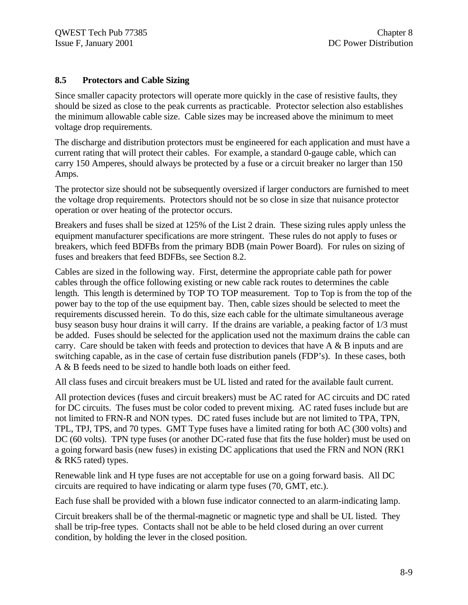#### **8.5 Protectors and Cable Sizing**

Since smaller capacity protectors will operate more quickly in the case of resistive faults, they should be sized as close to the peak currents as practicable. Protector selection also establishes the minimum allowable cable size. Cable sizes may be increased above the minimum to meet voltage drop requirements.

The discharge and distribution protectors must be engineered for each application and must have a current rating that will protect their cables. For example, a standard 0-gauge cable, which can carry 150 Amperes, should always be protected by a fuse or a circuit breaker no larger than 150 Amps.

The protector size should not be subsequently oversized if larger conductors are furnished to meet the voltage drop requirements. Protectors should not be so close in size that nuisance protector operation or over heating of the protector occurs.

Breakers and fuses shall be sized at 125% of the List 2 drain. These sizing rules apply unless the equipment manufacturer specifications are more stringent. These rules do not apply to fuses or breakers, which feed BDFBs from the primary BDB (main Power Board). For rules on sizing of fuses and breakers that feed BDFBs, see Section 8.2.

Cables are sized in the following way. First, determine the appropriate cable path for power cables through the office following existing or new cable rack routes to determines the cable length. This length is determined by TOP TO TOP measurement. Top to Top is from the top of the power bay to the top of the use equipment bay. Then, cable sizes should be selected to meet the requirements discussed herein. To do this, size each cable for the ultimate simultaneous average busy season busy hour drains it will carry. If the drains are variable, a peaking factor of 1/3 must be added. Fuses should be selected for the application used not the maximum drains the cable can carry. Care should be taken with feeds and protection to devices that have A & B inputs and are switching capable, as in the case of certain fuse distribution panels (FDP's). In these cases, both A & B feeds need to be sized to handle both loads on either feed.

All class fuses and circuit breakers must be UL listed and rated for the available fault current.

All protection devices (fuses and circuit breakers) must be AC rated for AC circuits and DC rated for DC circuits. The fuses must be color coded to prevent mixing. AC rated fuses include but are not limited to FRN-R and NON types. DC rated fuses include but are not limited to TPA, TPN, TPL, TPJ, TPS, and 70 types. GMT Type fuses have a limited rating for both AC (300 volts) and DC (60 volts). TPN type fuses (or another DC-rated fuse that fits the fuse holder) must be used on a going forward basis (new fuses) in existing DC applications that used the FRN and NON (RK1 & RK5 rated) types.

Renewable link and H type fuses are not acceptable for use on a going forward basis. All DC circuits are required to have indicating or alarm type fuses (70, GMT, etc.).

Each fuse shall be provided with a blown fuse indicator connected to an alarm-indicating lamp.

Circuit breakers shall be of the thermal-magnetic or magnetic type and shall be UL listed. They shall be trip-free types. Contacts shall not be able to be held closed during an over current condition, by holding the lever in the closed position.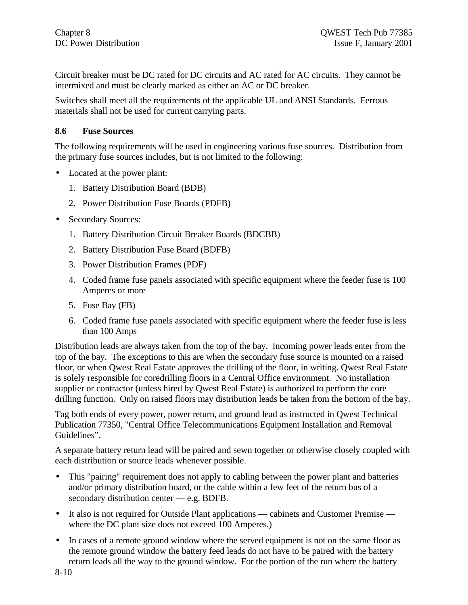Circuit breaker must be DC rated for DC circuits and AC rated for AC circuits. They cannot be intermixed and must be clearly marked as either an AC or DC breaker.

Switches shall meet all the requirements of the applicable UL and ANSI Standards. Ferrous materials shall not be used for current carrying parts.

#### **8.6 Fuse Sources**

The following requirements will be used in engineering various fuse sources. Distribution from the primary fuse sources includes, but is not limited to the following:

- Located at the power plant:
	- 1. Battery Distribution Board (BDB)
	- 2. Power Distribution Fuse Boards (PDFB)
- Secondary Sources:
	- 1. Battery Distribution Circuit Breaker Boards (BDCBB)
	- 2. Battery Distribution Fuse Board (BDFB)
	- 3. Power Distribution Frames (PDF)
	- 4. Coded frame fuse panels associated with specific equipment where the feeder fuse is 100 Amperes or more
	- 5. Fuse Bay (FB)
	- 6. Coded frame fuse panels associated with specific equipment where the feeder fuse is less than 100 Amps

Distribution leads are always taken from the top of the bay. Incoming power leads enter from the top of the bay. The exceptions to this are when the secondary fuse source is mounted on a raised floor, or when Qwest Real Estate approves the drilling of the floor, in writing. Qwest Real Estate is solely responsible for coredrilling floors in a Central Office environment. No installation supplier or contractor (unless hired by Qwest Real Estate) is authorized to perform the core drilling function. Only on raised floors may distribution leads be taken from the bottom of the bay.

Tag both ends of every power, power return, and ground lead as instructed in Qwest Technical Publication 77350, "Central Office Telecommunications Equipment Installation and Removal Guidelines".

A separate battery return lead will be paired and sewn together or otherwise closely coupled with each distribution or source leads whenever possible.

- This "pairing" requirement does not apply to cabling between the power plant and batteries and/or primary distribution board, or the cable within a few feet of the return bus of a secondary distribution center — e.g. BDFB.
- It also is not required for Outside Plant applications cabinets and Customer Premise where the DC plant size does not exceed 100 Amperes.)
- In cases of a remote ground window where the served equipment is not on the same floor as the remote ground window the battery feed leads do not have to be paired with the battery return leads all the way to the ground window. For the portion of the run where the battery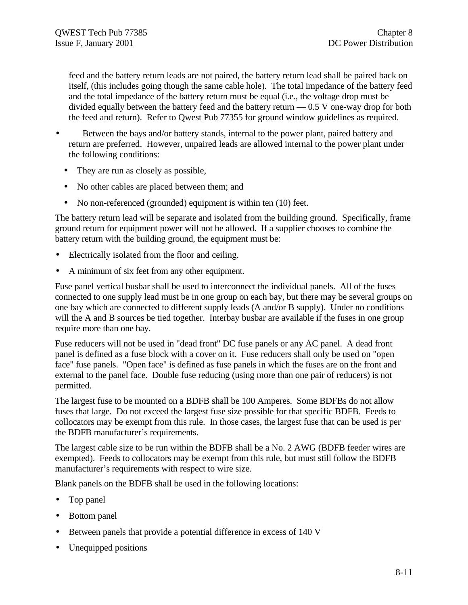feed and the battery return leads are not paired, the battery return lead shall be paired back on itself, (this includes going though the same cable hole). The total impedance of the battery feed and the total impedance of the battery return must be equal (i.e., the voltage drop must be divided equally between the battery feed and the battery return — 0.5 V one-way drop for both the feed and return). Refer to Qwest Pub 77355 for ground window guidelines as required.

- Between the bays and/or battery stands, internal to the power plant, paired battery and return are preferred. However, unpaired leads are allowed internal to the power plant under the following conditions:
	- They are run as closely as possible,
	- No other cables are placed between them; and
	- No non-referenced (grounded) equipment is within ten (10) feet.

The battery return lead will be separate and isolated from the building ground. Specifically, frame ground return for equipment power will not be allowed. If a supplier chooses to combine the battery return with the building ground, the equipment must be:

- Electrically isolated from the floor and ceiling.
- A minimum of six feet from any other equipment.

Fuse panel vertical busbar shall be used to interconnect the individual panels. All of the fuses connected to one supply lead must be in one group on each bay, but there may be several groups on one bay which are connected to different supply leads (A and/or B supply). Under no conditions will the A and B sources be tied together. Interbay busbar are available if the fuses in one group require more than one bay.

Fuse reducers will not be used in "dead front" DC fuse panels or any AC panel. A dead front panel is defined as a fuse block with a cover on it. Fuse reducers shall only be used on "open face" fuse panels. "Open face" is defined as fuse panels in which the fuses are on the front and external to the panel face. Double fuse reducing (using more than one pair of reducers) is not permitted.

The largest fuse to be mounted on a BDFB shall be 100 Amperes. Some BDFBs do not allow fuses that large. Do not exceed the largest fuse size possible for that specific BDFB. Feeds to collocators may be exempt from this rule. In those cases, the largest fuse that can be used is per the BDFB manufacturer's requirements.

The largest cable size to be run within the BDFB shall be a No. 2 AWG (BDFB feeder wires are exempted). Feeds to collocators may be exempt from this rule, but must still follow the BDFB manufacturer's requirements with respect to wire size.

Blank panels on the BDFB shall be used in the following locations:

- Top panel
- Bottom panel
- Between panels that provide a potential difference in excess of 140 V
- Unequipped positions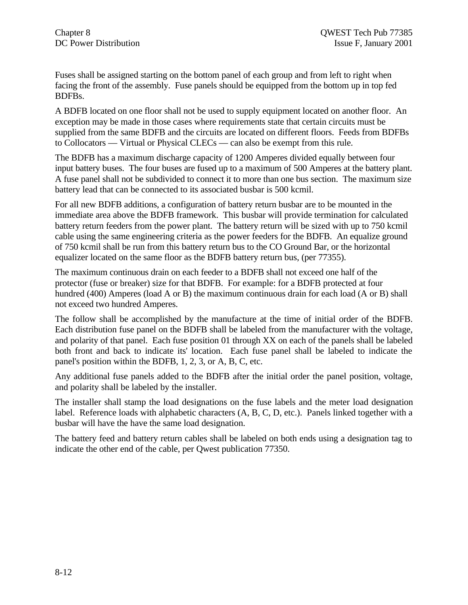Fuses shall be assigned starting on the bottom panel of each group and from left to right when facing the front of the assembly. Fuse panels should be equipped from the bottom up in top fed BDFBs.

A BDFB located on one floor shall not be used to supply equipment located on another floor. An exception may be made in those cases where requirements state that certain circuits must be supplied from the same BDFB and the circuits are located on different floors. Feeds from BDFBs to Collocators — Virtual or Physical CLECs — can also be exempt from this rule.

The BDFB has a maximum discharge capacity of 1200 Amperes divided equally between four input battery buses. The four buses are fused up to a maximum of 500 Amperes at the battery plant. A fuse panel shall not be subdivided to connect it to more than one bus section. The maximum size battery lead that can be connected to its associated busbar is 500 kcmil.

For all new BDFB additions, a configuration of battery return busbar are to be mounted in the immediate area above the BDFB framework. This busbar will provide termination for calculated battery return feeders from the power plant. The battery return will be sized with up to 750 kcmil cable using the same engineering criteria as the power feeders for the BDFB. An equalize ground of 750 kcmil shall be run from this battery return bus to the CO Ground Bar, or the horizontal equalizer located on the same floor as the BDFB battery return bus, (per 77355).

The maximum continuous drain on each feeder to a BDFB shall not exceed one half of the protector (fuse or breaker) size for that BDFB. For example: for a BDFB protected at four hundred (400) Amperes (load A or B) the maximum continuous drain for each load (A or B) shall not exceed two hundred Amperes.

The follow shall be accomplished by the manufacture at the time of initial order of the BDFB. Each distribution fuse panel on the BDFB shall be labeled from the manufacturer with the voltage, and polarity of that panel. Each fuse position 01 through XX on each of the panels shall be labeled both front and back to indicate its' location. Each fuse panel shall be labeled to indicate the panel's position within the BDFB, 1, 2, 3, or A, B, C, etc.

Any additional fuse panels added to the BDFB after the initial order the panel position, voltage, and polarity shall be labeled by the installer.

The installer shall stamp the load designations on the fuse labels and the meter load designation label. Reference loads with alphabetic characters (A, B, C, D, etc.). Panels linked together with a busbar will have the have the same load designation.

The battery feed and battery return cables shall be labeled on both ends using a designation tag to indicate the other end of the cable, per Qwest publication 77350.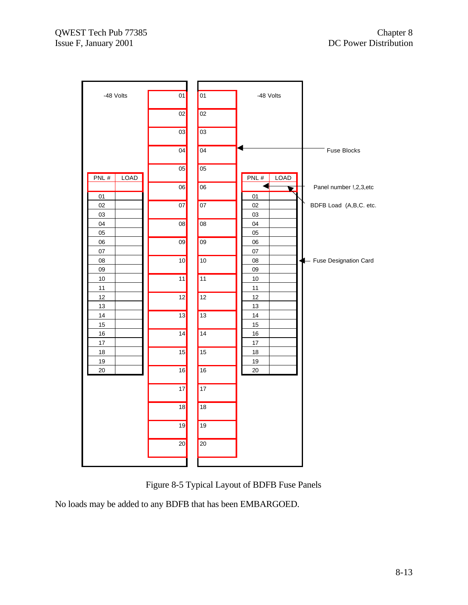

Figure 8-5 Typical Layout of BDFB Fuse Panels

No loads may be added to any BDFB that has been EMBARGOED.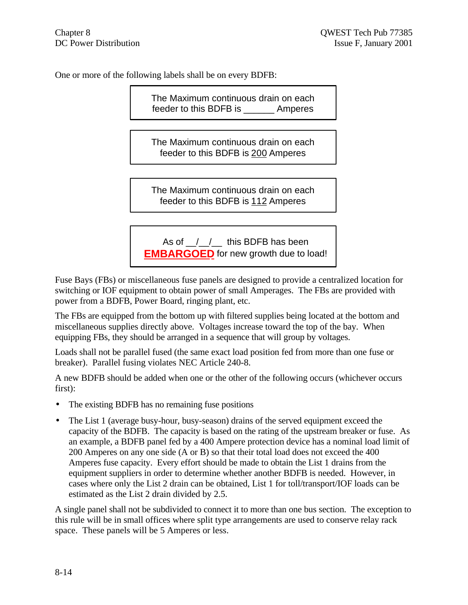One or more of the following labels shall be on every BDFB:

The Maximum continuous drain on each feeder to this BDFB is \_\_\_\_\_\_ Amperes

The Maximum continuous drain on each feeder to this BDFB is 200 Amperes

The Maximum continuous drain on each feeder to this BDFB is 112 Amperes

As of  $\frac{1}{2}$  / this BDFB has been **EMBARGOED** for new growth due to load!

Fuse Bays (FBs) or miscellaneous fuse panels are designed to provide a centralized location for switching or IOF equipment to obtain power of small Amperages. The FBs are provided with power from a BDFB, Power Board, ringing plant, etc.

The FBs are equipped from the bottom up with filtered supplies being located at the bottom and miscellaneous supplies directly above. Voltages increase toward the top of the bay. When equipping FBs, they should be arranged in a sequence that will group by voltages.

Loads shall not be parallel fused (the same exact load position fed from more than one fuse or breaker). Parallel fusing violates NEC Article 240-8.

A new BDFB should be added when one or the other of the following occurs (whichever occurs first):

- The existing BDFB has no remaining fuse positions
- The List 1 (average busy-hour, busy-season) drains of the served equipment exceed the capacity of the BDFB. The capacity is based on the rating of the upstream breaker or fuse. As an example, a BDFB panel fed by a 400 Ampere protection device has a nominal load limit of 200 Amperes on any one side (A or B) so that their total load does not exceed the 400 Amperes fuse capacity. Every effort should be made to obtain the List 1 drains from the equipment suppliers in order to determine whether another BDFB is needed. However, in cases where only the List 2 drain can be obtained, List 1 for toll/transport/IOF loads can be estimated as the List 2 drain divided by 2.5.

A single panel shall not be subdivided to connect it to more than one bus section. The exception to this rule will be in small offices where split type arrangements are used to conserve relay rack space. These panels will be 5 Amperes or less.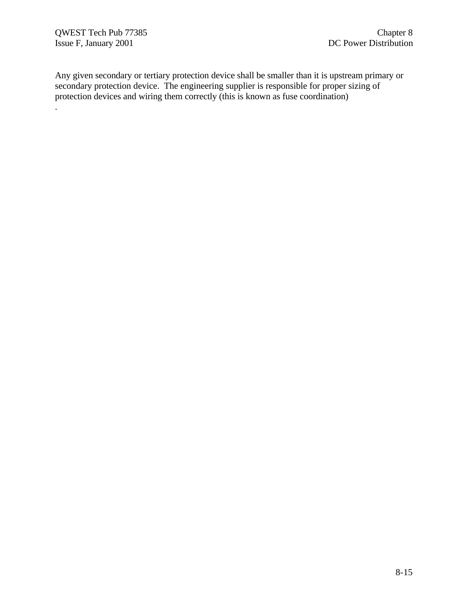Any given secondary or tertiary protection device shall be smaller than it is upstream primary or secondary protection device. The engineering supplier is responsible for proper sizing of protection devices and wiring them correctly (this is known as fuse coordination) .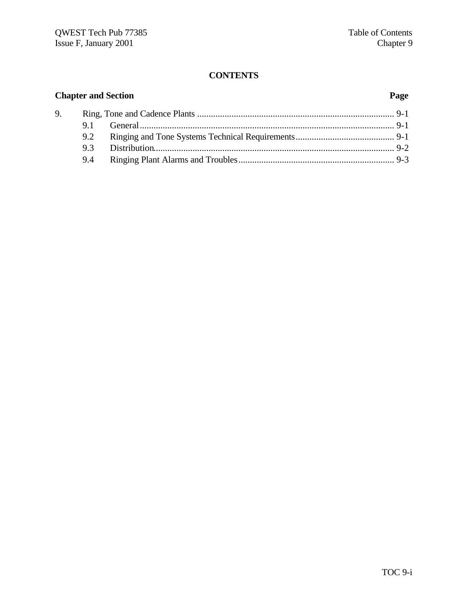#### **CONTENTS**

# **Chapter and Section Page** 9. Ring, Tone and Cadence Plants ...................................................................................... 9-1 9.1 General............................................................................................................... 9-1 9.2 Ringing and Tone Systems Technical Requirements........................................... 9-1 9.3 Distribution......................................................................................................... 9-2 9.4 Ringing Plant Alarms and Troubles.................................................................... 9-3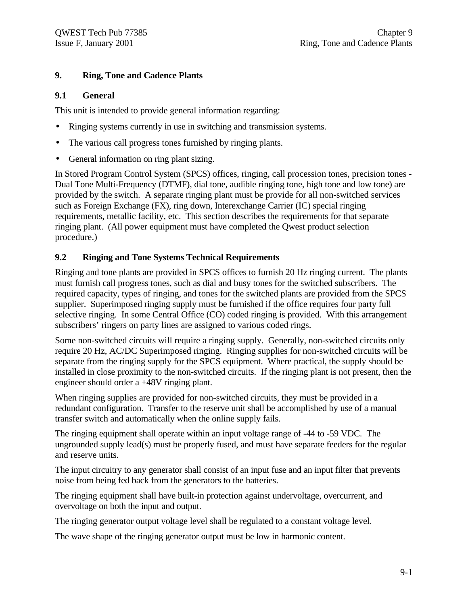## **9. Ring, Tone and Cadence Plants**

#### **9.1 General**

This unit is intended to provide general information regarding:

- Ringing systems currently in use in switching and transmission systems.
- The various call progress tones furnished by ringing plants.
- General information on ring plant sizing.

In Stored Program Control System (SPCS) offices, ringing, call procession tones, precision tones - Dual Tone Multi-Frequency (DTMF), dial tone, audible ringing tone, high tone and low tone) are provided by the switch. A separate ringing plant must be provide for all non-switched services such as Foreign Exchange (FX), ring down, Interexchange Carrier (IC) special ringing requirements, metallic facility, etc. This section describes the requirements for that separate ringing plant. (All power equipment must have completed the Qwest product selection procedure.)

### **9.2 Ringing and Tone Systems Technical Requirements**

Ringing and tone plants are provided in SPCS offices to furnish 20 Hz ringing current. The plants must furnish call progress tones, such as dial and busy tones for the switched subscribers. The required capacity, types of ringing, and tones for the switched plants are provided from the SPCS supplier. Superimposed ringing supply must be furnished if the office requires four party full selective ringing. In some Central Office (CO) coded ringing is provided. With this arrangement subscribers' ringers on party lines are assigned to various coded rings.

Some non-switched circuits will require a ringing supply. Generally, non-switched circuits only require 20 Hz, AC/DC Superimposed ringing. Ringing supplies for non-switched circuits will be separate from the ringing supply for the SPCS equipment. Where practical, the supply should be installed in close proximity to the non-switched circuits. If the ringing plant is not present, then the engineer should order a +48V ringing plant.

When ringing supplies are provided for non-switched circuits, they must be provided in a redundant configuration. Transfer to the reserve unit shall be accomplished by use of a manual transfer switch and automatically when the online supply fails.

The ringing equipment shall operate within an input voltage range of -44 to -59 VDC. The ungrounded supply lead(s) must be properly fused, and must have separate feeders for the regular and reserve units.

The input circuitry to any generator shall consist of an input fuse and an input filter that prevents noise from being fed back from the generators to the batteries.

The ringing equipment shall have built-in protection against undervoltage, overcurrent, and overvoltage on both the input and output.

The ringing generator output voltage level shall be regulated to a constant voltage level.

The wave shape of the ringing generator output must be low in harmonic content.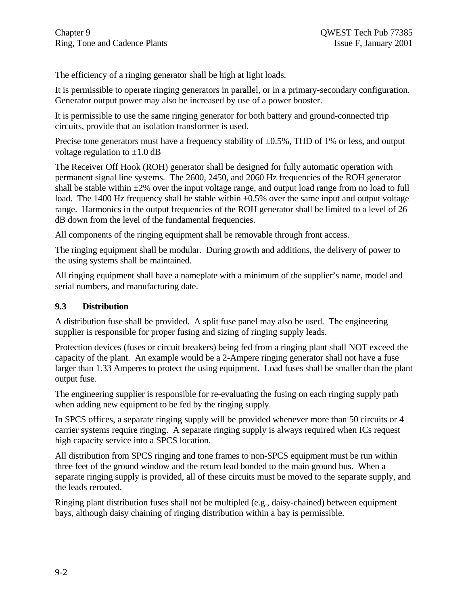The efficiency of a ringing generator shall be high at light loads.

It is permissible to operate ringing generators in parallel, or in a primary-secondary configuration. Generator output power may also be increased by use of a power booster.

It is permissible to use the same ringing generator for both battery and ground-connected trip circuits, provide that an isolation transformer is used.

Precise tone generators must have a frequency stability of  $\pm 0.5\%$ , THD of 1% or less, and output voltage regulation to  $\pm 1.0$  dB

The Receiver Off Hook (ROH) generator shall be designed for fully automatic operation with permanent signal line systems. The 2600, 2450, and 2060 Hz frequencies of the ROH generator shall be stable within  $\pm 2\%$  over the input voltage range, and output load range from no load to full load. The 1400 Hz frequency shall be stable within  $\pm 0.5\%$  over the same input and output voltage range. Harmonics in the output frequencies of the ROH generator shall be limited to a level of 26 dB down from the level of the fundamental frequencies.

All components of the ringing equipment shall be removable through front access.

The ringing equipment shall be modular. During growth and additions, the delivery of power to the using systems shall be maintained.

All ringing equipment shall have a nameplate with a minimum of the supplier's name, model and serial numbers, and manufacturing date.

## **9.3 Distribution**

A distribution fuse shall be provided. A split fuse panel may also be used. The engineering supplier is responsible for proper fusing and sizing of ringing supply leads.

Protection devices (fuses or circuit breakers) being fed from a ringing plant shall NOT exceed the capacity of the plant. An example would be a 2-Ampere ringing generator shall not have a fuse larger than 1.33 Amperes to protect the using equipment. Load fuses shall be smaller than the plant output fuse.

The engineering supplier is responsible for re-evaluating the fusing on each ringing supply path when adding new equipment to be fed by the ringing supply.

In SPCS offices, a separate ringing supply will be provided whenever more than 50 circuits or 4 carrier systems require ringing. A separate ringing supply is always required when ICs request high capacity service into a SPCS location.

All distribution from SPCS ringing and tone frames to non-SPCS equipment must be run within three feet of the ground window and the return lead bonded to the main ground bus. When a separate ringing supply is provided, all of these circuits must be moved to the separate supply, and the leads rerouted.

Ringing plant distribution fuses shall not be multipled (e.g., daisy-chained) between equipment bays, although daisy chaining of ringing distribution within a bay is permissible.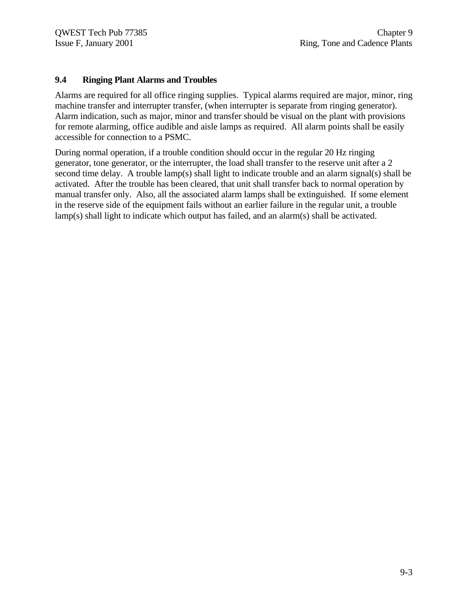#### **9.4 Ringing Plant Alarms and Troubles**

Alarms are required for all office ringing supplies. Typical alarms required are major, minor, ring machine transfer and interrupter transfer, (when interrupter is separate from ringing generator). Alarm indication, such as major, minor and transfer should be visual on the plant with provisions for remote alarming, office audible and aisle lamps as required. All alarm points shall be easily accessible for connection to a PSMC.

During normal operation, if a trouble condition should occur in the regular 20 Hz ringing generator, tone generator, or the interrupter, the load shall transfer to the reserve unit after a 2 second time delay. A trouble lamp(s) shall light to indicate trouble and an alarm signal(s) shall be activated. After the trouble has been cleared, that unit shall transfer back to normal operation by manual transfer only. Also, all the associated alarm lamps shall be extinguished. If some element in the reserve side of the equipment fails without an earlier failure in the regular unit, a trouble lamp(s) shall light to indicate which output has failed, and an alarm(s) shall be activated.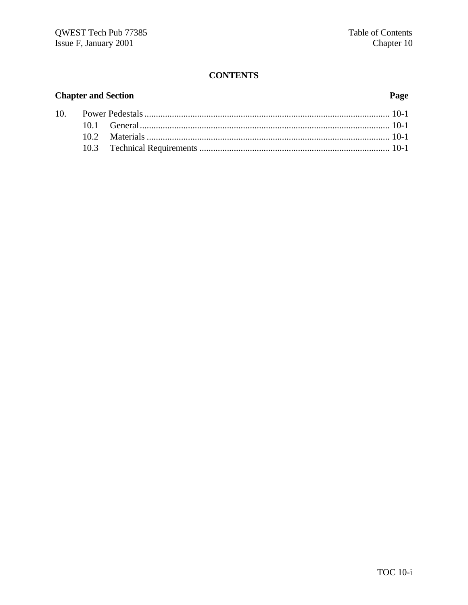## **CONTENTS**

# **Chapter and Section**

# Page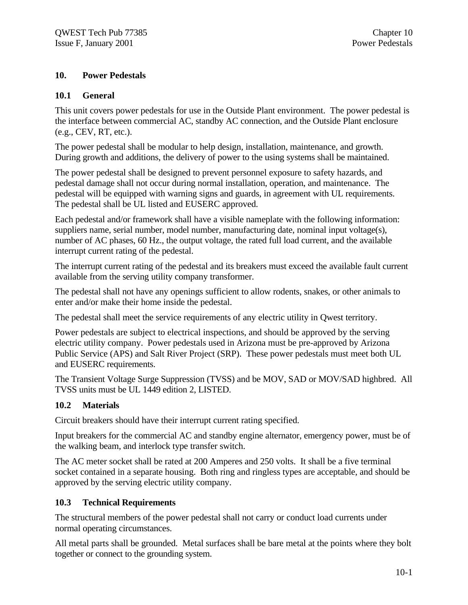## **10. Power Pedestals**

## **10.1 General**

This unit covers power pedestals for use in the Outside Plant environment. The power pedestal is the interface between commercial AC, standby AC connection, and the Outside Plant enclosure (e.g., CEV, RT, etc.).

The power pedestal shall be modular to help design, installation, maintenance, and growth. During growth and additions, the delivery of power to the using systems shall be maintained.

The power pedestal shall be designed to prevent personnel exposure to safety hazards, and pedestal damage shall not occur during normal installation, operation, and maintenance. The pedestal will be equipped with warning signs and guards, in agreement with UL requirements. The pedestal shall be UL listed and EUSERC approved.

Each pedestal and/or framework shall have a visible nameplate with the following information: suppliers name, serial number, model number, manufacturing date, nominal input voltage(s), number of AC phases, 60 Hz., the output voltage, the rated full load current, and the available interrupt current rating of the pedestal.

The interrupt current rating of the pedestal and its breakers must exceed the available fault current available from the serving utility company transformer.

The pedestal shall not have any openings sufficient to allow rodents, snakes, or other animals to enter and/or make their home inside the pedestal.

The pedestal shall meet the service requirements of any electric utility in Qwest territory.

Power pedestals are subject to electrical inspections, and should be approved by the serving electric utility company. Power pedestals used in Arizona must be pre-approved by Arizona Public Service (APS) and Salt River Project (SRP). These power pedestals must meet both UL and EUSERC requirements.

The Transient Voltage Surge Suppression (TVSS) and be MOV, SAD or MOV/SAD highbred. All TVSS units must be UL 1449 edition 2, LISTED.

## **10.2 Materials**

Circuit breakers should have their interrupt current rating specified.

Input breakers for the commercial AC and standby engine alternator, emergency power, must be of the walking beam, and interlock type transfer switch.

The AC meter socket shall be rated at 200 Amperes and 250 volts. It shall be a five terminal socket contained in a separate housing. Both ring and ringless types are acceptable, and should be approved by the serving electric utility company.

## **10.3 Technical Requirements**

The structural members of the power pedestal shall not carry or conduct load currents under normal operating circumstances.

All metal parts shall be grounded. Metal surfaces shall be bare metal at the points where they bolt together or connect to the grounding system.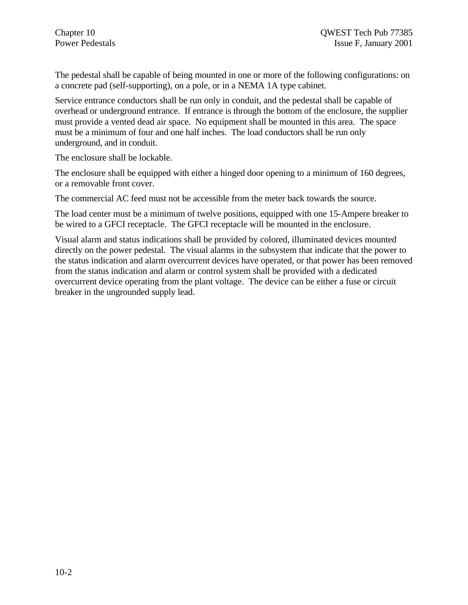The pedestal shall be capable of being mounted in one or more of the following configurations: on a concrete pad (self-supporting), on a pole, or in a NEMA 1A type cabinet.

Service entrance conductors shall be run only in conduit, and the pedestal shall be capable of overhead or underground entrance. If entrance is through the bottom of the enclosure, the supplier must provide a vented dead air space. No equipment shall be mounted in this area. The space must be a minimum of four and one half inches. The load conductors shall be run only underground, and in conduit.

The enclosure shall be lockable.

The enclosure shall be equipped with either a hinged door opening to a minimum of 160 degrees, or a removable front cover.

The commercial AC feed must not be accessible from the meter back towards the source.

The load center must be a minimum of twelve positions, equipped with one 15-Ampere breaker to be wired to a GFCI receptacle. The GFCI receptacle will be mounted in the enclosure.

Visual alarm and status indications shall be provided by colored, illuminated devices mounted directly on the power pedestal. The visual alarms in the subsystem that indicate that the power to the status indication and alarm overcurrent devices have operated, or that power has been removed from the status indication and alarm or control system shall be provided with a dedicated overcurrent device operating from the plant voltage. The device can be either a fuse or circuit breaker in the ungrounded supply lead.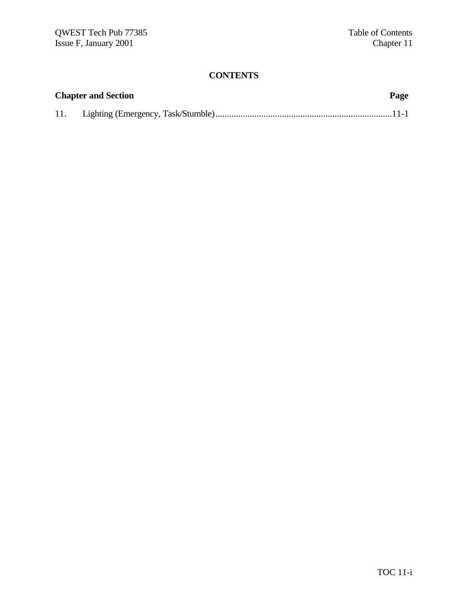## **CONTENTS**

|     | <b>Chapter and Section</b> | Page |
|-----|----------------------------|------|
| 11. |                            |      |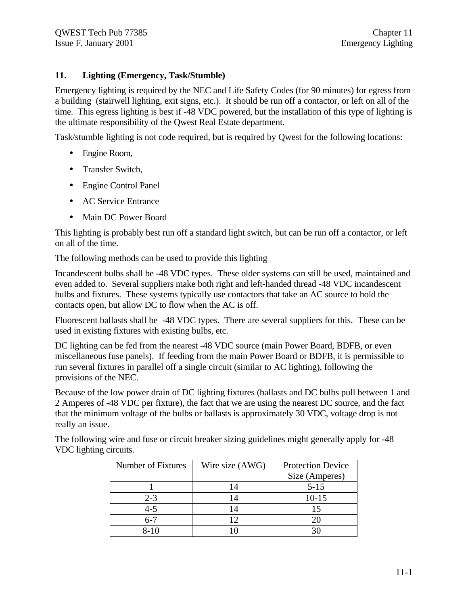## **11. Lighting (Emergency, Task/Stumble)**

Emergency lighting is required by the NEC and Life Safety Codes (for 90 minutes) for egress from a building (stairwell lighting, exit signs, etc.). It should be run off a contactor, or left on all of the time. This egress lighting is best if -48 VDC powered, but the installation of this type of lighting is the ultimate responsibility of the Qwest Real Estate department.

Task/stumble lighting is not code required, but is required by Qwest for the following locations:

- Engine Room,
- Transfer Switch.
- Engine Control Panel
- AC Service Entrance
- Main DC Power Board

This lighting is probably best run off a standard light switch, but can be run off a contactor, or left on all of the time.

The following methods can be used to provide this lighting

Incandescent bulbs shall be -48 VDC types. These older systems can still be used, maintained and even added to. Several suppliers make both right and left-handed thread -48 VDC incandescent bulbs and fixtures. These systems typically use contactors that take an AC source to hold the contacts open, but allow DC to flow when the AC is off.

Fluorescent ballasts shall be -48 VDC types. There are several suppliers for this. These can be used in existing fixtures with existing bulbs, etc.

DC lighting can be fed from the nearest -48 VDC source (main Power Board, BDFB, or even miscellaneous fuse panels). If feeding from the main Power Board or BDFB, it is permissible to run several fixtures in parallel off a single circuit (similar to AC lighting), following the provisions of the NEC.

Because of the low power drain of DC lighting fixtures (ballasts and DC bulbs pull between 1 and 2 Amperes of -48 VDC per fixture), the fact that we are using the nearest DC source, and the fact that the minimum voltage of the bulbs or ballasts is approximately 30 VDC, voltage drop is not really an issue.

| Number of Fixtures | Wire size (AWG) | <b>Protection Device</b> |
|--------------------|-----------------|--------------------------|
|                    |                 | Size (Amperes)           |
|                    |                 | $5 - 15$                 |
| $2 - 3$            |                 | $10 - 15$                |
| $4 - 5$            |                 |                          |
| $6 - 7$            | 12              |                          |
| ≀-1∩               |                 |                          |

The following wire and fuse or circuit breaker sizing guidelines might generally apply for -48 VDC lighting circuits.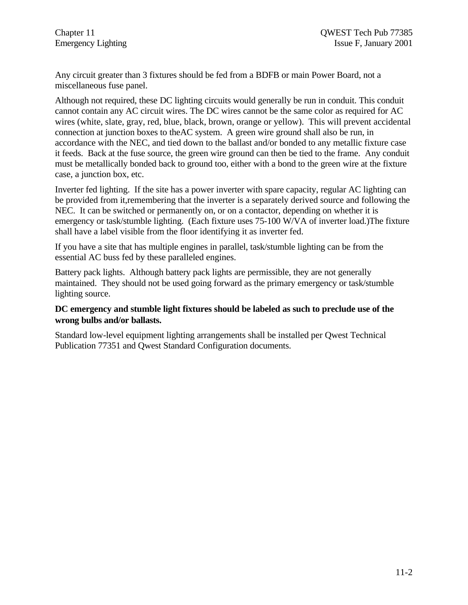Any circuit greater than 3 fixtures should be fed from a BDFB or main Power Board, not a miscellaneous fuse panel.

Although not required, these DC lighting circuits would generally be run in conduit. This conduit cannot contain any AC circuit wires. The DC wires cannot be the same color as required for AC wires (white, slate, gray, red, blue, black, brown, orange or yellow). This will prevent accidental connection at junction boxes to theAC system. A green wire ground shall also be run, in accordance with the NEC, and tied down to the ballast and/or bonded to any metallic fixture case it feeds. Back at the fuse source, the green wire ground can then be tied to the frame. Any conduit must be metallically bonded back to ground too, either with a bond to the green wire at the fixture case, a junction box, etc.

Inverter fed lighting. If the site has a power inverter with spare capacity, regular AC lighting can be provided from it,remembering that the inverter is a separately derived source and following the NEC. It can be switched or permanently on, or on a contactor, depending on whether it is emergency or task/stumble lighting. (Each fixture uses 75-100 W/VA of inverter load.)The fixture shall have a label visible from the floor identifying it as inverter fed.

If you have a site that has multiple engines in parallel, task/stumble lighting can be from the essential AC buss fed by these paralleled engines.

Battery pack lights. Although battery pack lights are permissible, they are not generally maintained. They should not be used going forward as the primary emergency or task/stumble lighting source.

#### **DC emergency and stumble light fixtures should be labeled as such to preclude use of the wrong bulbs and/or ballasts.**

Standard low-level equipment lighting arrangements shall be installed per Qwest Technical Publication 77351 and Qwest Standard Configuration documents.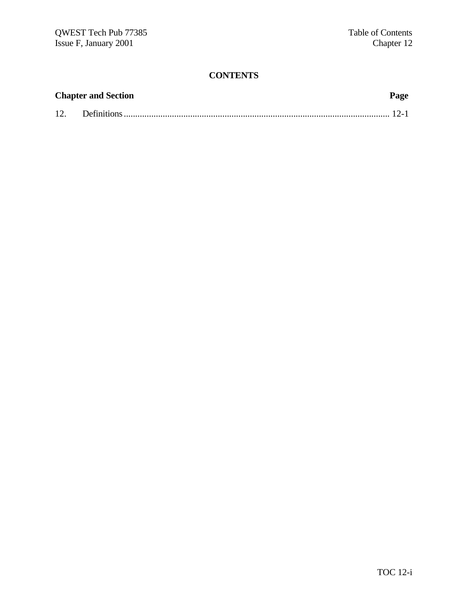## **CONTENTS**

| <b>Chapter and Section</b> |  |  |
|----------------------------|--|--|
|                            |  |  |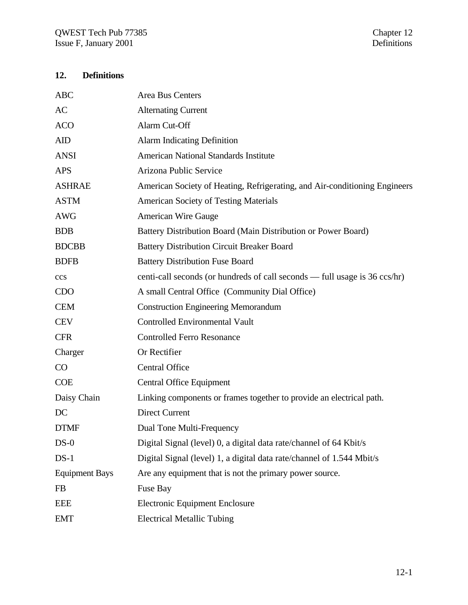## **12. Definitions**

| <b>ABC</b>            | Area Bus Centers                                                           |
|-----------------------|----------------------------------------------------------------------------|
| AC                    | <b>Alternating Current</b>                                                 |
| <b>ACO</b>            | Alarm Cut-Off                                                              |
| <b>AID</b>            | <b>Alarm Indicating Definition</b>                                         |
| <b>ANSI</b>           | <b>American National Standards Institute</b>                               |
| <b>APS</b>            | Arizona Public Service                                                     |
| <b>ASHRAE</b>         | American Society of Heating, Refrigerating, and Air-conditioning Engineers |
| <b>ASTM</b>           | <b>American Society of Testing Materials</b>                               |
| <b>AWG</b>            | <b>American Wire Gauge</b>                                                 |
| <b>BDB</b>            | Battery Distribution Board (Main Distribution or Power Board)              |
| <b>BDCBB</b>          | <b>Battery Distribution Circuit Breaker Board</b>                          |
| <b>BDFB</b>           | <b>Battery Distribution Fuse Board</b>                                     |
| ccs                   | centi-call seconds (or hundreds of call seconds — full usage is 36 ccs/hr) |
| <b>CDO</b>            | A small Central Office (Community Dial Office)                             |
| <b>CEM</b>            | <b>Construction Engineering Memorandum</b>                                 |
| <b>CEV</b>            | <b>Controlled Environmental Vault</b>                                      |
| <b>CFR</b>            | <b>Controlled Ferro Resonance</b>                                          |
| Charger               | Or Rectifier                                                               |
| CO                    | <b>Central Office</b>                                                      |
| <b>COE</b>            | <b>Central Office Equipment</b>                                            |
| Daisy Chain           | Linking components or frames together to provide an electrical path.       |
| DC                    | <b>Direct Current</b>                                                      |
| <b>DTMF</b>           | Dual Tone Multi-Frequency                                                  |
| $DS-0$                | Digital Signal (level) 0, a digital data rate/channel of 64 Kbit/s         |
| $DS-1$                | Digital Signal (level) 1, a digital data rate/channel of 1.544 Mbit/s      |
| <b>Equipment Bays</b> | Are any equipment that is not the primary power source.                    |
| FB                    | Fuse Bay                                                                   |
| <b>EEE</b>            | <b>Electronic Equipment Enclosure</b>                                      |
| <b>EMT</b>            | <b>Electrical Metallic Tubing</b>                                          |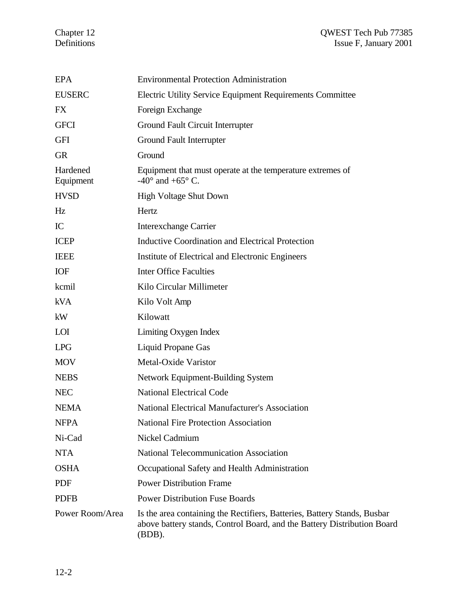#### Chapter 12 QWEST Tech Pub 77385 Definitions Issue F, January 2001

| <b>EPA</b>            | <b>Environmental Protection Administration</b>                                                                                                                   |
|-----------------------|------------------------------------------------------------------------------------------------------------------------------------------------------------------|
| <b>EUSERC</b>         | Electric Utility Service Equipment Requirements Committee                                                                                                        |
| <b>FX</b>             | Foreign Exchange                                                                                                                                                 |
| <b>GFCI</b>           | Ground Fault Circuit Interrupter                                                                                                                                 |
| <b>GFI</b>            | Ground Fault Interrupter                                                                                                                                         |
| <b>GR</b>             | Ground                                                                                                                                                           |
| Hardened<br>Equipment | Equipment that must operate at the temperature extremes of<br>-40 $^{\circ}$ and +65 $^{\circ}$ C.                                                               |
| <b>HVSD</b>           | <b>High Voltage Shut Down</b>                                                                                                                                    |
| Hz                    | Hertz                                                                                                                                                            |
| IC                    | <b>Interexchange Carrier</b>                                                                                                                                     |
| <b>ICEP</b>           | <b>Inductive Coordination and Electrical Protection</b>                                                                                                          |
| <b>IEEE</b>           | Institute of Electrical and Electronic Engineers                                                                                                                 |
| <b>IOF</b>            | <b>Inter Office Faculties</b>                                                                                                                                    |
| kcmil                 | Kilo Circular Millimeter                                                                                                                                         |
| <b>kVA</b>            | Kilo Volt Amp                                                                                                                                                    |
| kW                    | Kilowatt                                                                                                                                                         |
| LOI                   | Limiting Oxygen Index                                                                                                                                            |
| <b>LPG</b>            | Liquid Propane Gas                                                                                                                                               |
| <b>MOV</b>            | Metal-Oxide Varistor                                                                                                                                             |
| <b>NEBS</b>           | Network Equipment-Building System                                                                                                                                |
| <b>NEC</b>            | <b>National Electrical Code</b>                                                                                                                                  |
| <b>NEMA</b>           | <b>National Electrical Manufacturer's Association</b>                                                                                                            |
| <b>NFPA</b>           | <b>National Fire Protection Association</b>                                                                                                                      |
| Ni-Cad                | Nickel Cadmium                                                                                                                                                   |
| <b>NTA</b>            | <b>National Telecommunication Association</b>                                                                                                                    |
| <b>OSHA</b>           | Occupational Safety and Health Administration                                                                                                                    |
| <b>PDF</b>            | <b>Power Distribution Frame</b>                                                                                                                                  |
| <b>PDFB</b>           | <b>Power Distribution Fuse Boards</b>                                                                                                                            |
| Power Room/Area       | Is the area containing the Rectifiers, Batteries, Battery Stands, Busbar<br>above battery stands, Control Board, and the Battery Distribution Board<br>$(BDB)$ . |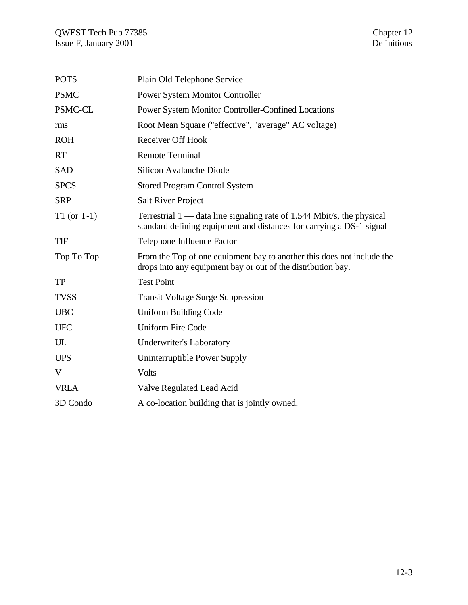| <b>POTS</b>   | Plain Old Telephone Service                                                                                                                      |
|---------------|--------------------------------------------------------------------------------------------------------------------------------------------------|
| <b>PSMC</b>   | <b>Power System Monitor Controller</b>                                                                                                           |
| PSMC-CL       | Power System Monitor Controller-Confined Locations                                                                                               |
| rms           | Root Mean Square ("effective", "average" AC voltage)                                                                                             |
| <b>ROH</b>    | <b>Receiver Off Hook</b>                                                                                                                         |
| <b>RT</b>     | <b>Remote Terminal</b>                                                                                                                           |
| <b>SAD</b>    | <b>Silicon Avalanche Diode</b>                                                                                                                   |
| <b>SPCS</b>   | <b>Stored Program Control System</b>                                                                                                             |
| <b>SRP</b>    | <b>Salt River Project</b>                                                                                                                        |
| $T1$ (or T-1) | Terrestrial $1$ — data line signaling rate of 1.544 Mbit/s, the physical<br>standard defining equipment and distances for carrying a DS-1 signal |
| <b>TIF</b>    | Telephone Influence Factor                                                                                                                       |
| Top To Top    | From the Top of one equipment bay to another this does not include the<br>drops into any equipment bay or out of the distribution bay.           |
| <b>TP</b>     | <b>Test Point</b>                                                                                                                                |
| <b>TVSS</b>   | <b>Transit Voltage Surge Suppression</b>                                                                                                         |
| <b>UBC</b>    | <b>Uniform Building Code</b>                                                                                                                     |
| <b>UFC</b>    | <b>Uniform Fire Code</b>                                                                                                                         |
| UL            | <b>Underwriter's Laboratory</b>                                                                                                                  |
| <b>UPS</b>    | Uninterruptible Power Supply                                                                                                                     |
| V             | <b>Volts</b>                                                                                                                                     |
| <b>VRLA</b>   | Valve Regulated Lead Acid                                                                                                                        |
| 3D Condo      | A co-location building that is jointly owned.                                                                                                    |
|               |                                                                                                                                                  |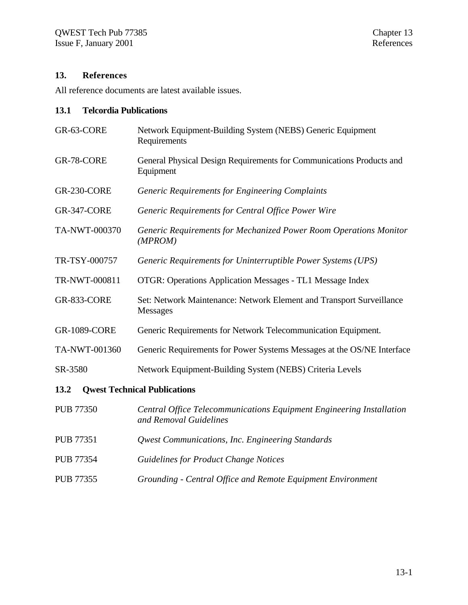### **13. References**

All reference documents are latest available issues.

#### **13.1 Telcordia Publications**

- GR-63-CORE Network Equipment-Building System (NEBS) Generic Equipment Requirements GR-78-CORE General Physical Design Requirements for Communications Products and Equipment GR-230-CORE *Generic Requirements for Engineering Complaints* GR-347-CORE *Generic Requirements for Central Office Power Wire* TA-NWT-000370 *Generic Requirements for Mechanized Power Room Operations Monitor (MPROM)* TR-TSY-000757 *Generic Requirements for Uninterruptible Power Systems (UPS)* TR-NWT-000811 OTGR: Operations Application Messages - TL1 Message Index GR-833-CORE Set: Network Maintenance: Network Element and Transport Surveillance Messages GR-1089-CORE Generic Requirements for Network Telecommunication Equipment. TA-NWT-001360 Generic Requirements for Power Systems Messages at the OS/NE Interface SR-3580 Network Equipment-Building System (NEBS) Criteria Levels **13.2 Qwest Technical Publications** PUB 77350 *Central Office Telecommunications Equipment Engineering Installation and Removal Guidelines* PUB 77351 *Qwest Communications, Inc. Engineering Standards* PUB 77354 *Guidelines for Product Change Notices*
- PUB 77355 *Grounding Central Office and Remote Equipment Environment*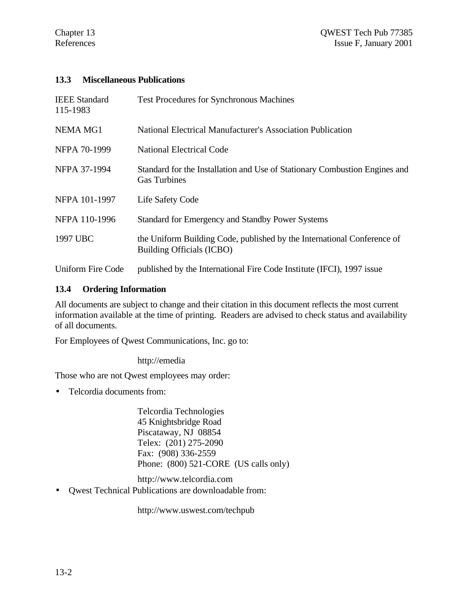### **13.3 Miscellaneous Publications**

| <b>IEEE</b> Standard<br>115-1983 | <b>Test Procedures for Synchronous Machines</b>                                                      |
|----------------------------------|------------------------------------------------------------------------------------------------------|
| <b>NEMA MG1</b>                  | National Electrical Manufacturer's Association Publication                                           |
| NFPA 70-1999                     | <b>National Electrical Code</b>                                                                      |
| NFPA 37-1994                     | Standard for the Installation and Use of Stationary Combustion Engines and<br><b>Gas Turbines</b>    |
| NFPA 101-1997                    | Life Safety Code                                                                                     |
| NFPA 110-1996                    | Standard for Emergency and Standby Power Systems                                                     |
| 1997 UBC                         | the Uniform Building Code, published by the International Conference of<br>Building Officials (ICBO) |
| <b>Uniform Fire Code</b>         | published by the International Fire Code Institute (IFCI), 1997 issue                                |

### **13.4 Ordering Information**

All documents are subject to change and their citation in this document reflects the most current information available at the time of printing. Readers are advised to check status and availability of all documents.

For Employees of Qwest Communications, Inc. go to:

http://emedia

Those who are not Qwest employees may order:

• Telcordia documents from:

Telcordia Technologies 45 Knightsbridge Road Piscataway, NJ 08854 Telex: (201) 275-2090 Fax: (908) 336-2559 Phone: (800) 521-CORE (US calls only)

http://www.telcordia.com

• Qwest Technical Publications are downloadable from:

http://www.uswest.com/techpub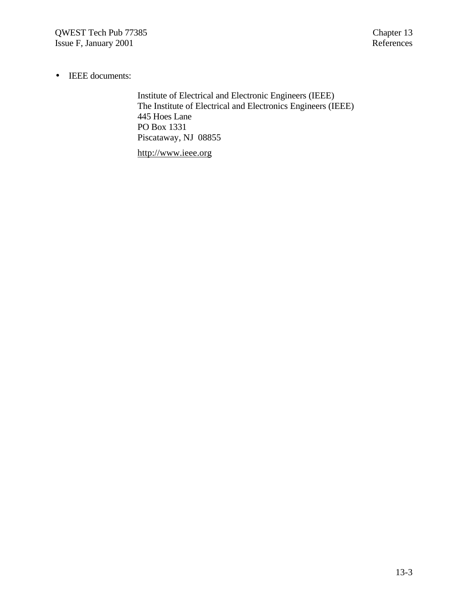• IEEE documents:

Institute of Electrical and Electronic Engineers (IEEE) The Institute of Electrical and Electronics Engineers (IEEE) 445 Hoes Lane PO Box 1331 Piscataway, NJ 08855

http://www.ieee.org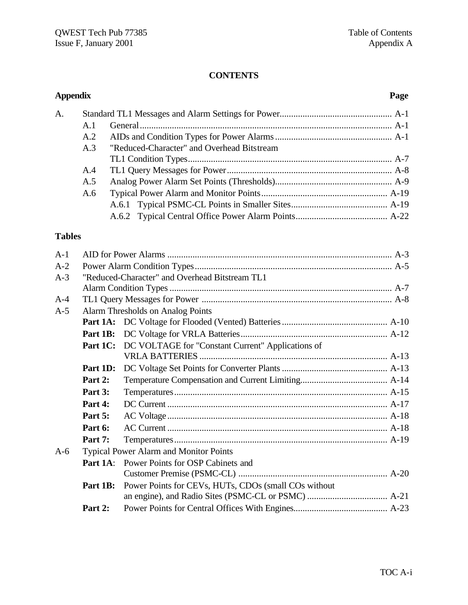# **CONTENTS**

| <b>Appendix</b> |          |                                                      | Page |
|-----------------|----------|------------------------------------------------------|------|
| A.              |          |                                                      |      |
|                 | A.1      |                                                      |      |
|                 | A.2      |                                                      |      |
|                 | A.3      | "Reduced-Character" and Overhead Bitstream           |      |
|                 |          |                                                      |      |
|                 | A.4      |                                                      |      |
|                 | A.5      |                                                      |      |
|                 | A.6      |                                                      |      |
|                 |          |                                                      |      |
|                 |          |                                                      |      |
| <b>Tables</b>   |          |                                                      |      |
| $A-1$           |          |                                                      |      |
| $A-2$           |          |                                                      |      |
| $A-3$           |          | "Reduced-Character" and Overhead Bitstream TL1       |      |
|                 |          |                                                      |      |
| $A-4$           |          |                                                      |      |
| $A-5$           |          | <b>Alarm Thresholds on Analog Points</b>             |      |
|                 |          |                                                      |      |
|                 | Part 1B: |                                                      |      |
|                 | Part 1C: | DC VOLTAGE for "Constant Current" Applications of    |      |
|                 | Part 1D: |                                                      |      |
|                 | Part 2:  |                                                      |      |
|                 | Part 3:  |                                                      |      |
|                 | Part 4:  |                                                      |      |
|                 | Part 5:  |                                                      |      |
|                 | Part 6:  |                                                      |      |
|                 | Part 7:  |                                                      |      |
| $A-6$           |          | <b>Typical Power Alarm and Monitor Points</b>        |      |
|                 | Part 1A: | Power Points for OSP Cabinets and                    |      |
|                 |          |                                                      |      |
|                 | Part 1B: | Power Points for CEVs, HUTs, CDOs (small COs without |      |
|                 |          |                                                      |      |
|                 | Part 2:  |                                                      |      |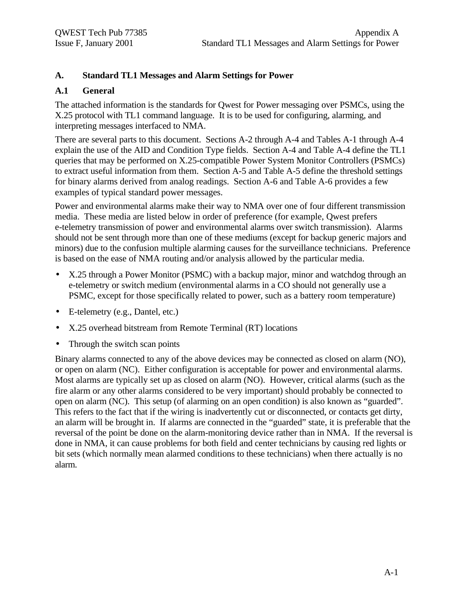## **A. Standard TL1 Messages and Alarm Settings for Power**

## **A.1 General**

The attached information is the standards for Qwest for Power messaging over PSMCs, using the X.25 protocol with TL1 command language. It is to be used for configuring, alarming, and interpreting messages interfaced to NMA.

There are several parts to this document. Sections A-2 through A-4 and Tables A-1 through A-4 explain the use of the AID and Condition Type fields. Section A-4 and Table A-4 define the TL1 queries that may be performed on X.25-compatible Power System Monitor Controllers (PSMCs) to extract useful information from them. Section A-5 and Table A-5 define the threshold settings for binary alarms derived from analog readings. Section A-6 and Table A-6 provides a few examples of typical standard power messages.

Power and environmental alarms make their way to NMA over one of four different transmission media. These media are listed below in order of preference (for example, Qwest prefers e-telemetry transmission of power and environmental alarms over switch transmission). Alarms should not be sent through more than one of these mediums (except for backup generic majors and minors) due to the confusion multiple alarming causes for the surveillance technicians. Preference is based on the ease of NMA routing and/or analysis allowed by the particular media.

- X.25 through a Power Monitor (PSMC) with a backup major, minor and watchdog through an e-telemetry or switch medium (environmental alarms in a CO should not generally use a PSMC, except for those specifically related to power, such as a battery room temperature)
- E-telemetry (e.g., Dantel, etc.)
- X.25 overhead bitstream from Remote Terminal (RT) locations
- Through the switch scan points

Binary alarms connected to any of the above devices may be connected as closed on alarm (NO), or open on alarm (NC). Either configuration is acceptable for power and environmental alarms. Most alarms are typically set up as closed on alarm (NO). However, critical alarms (such as the fire alarm or any other alarms considered to be very important) should probably be connected to open on alarm (NC). This setup (of alarming on an open condition) is also known as "guarded". This refers to the fact that if the wiring is inadvertently cut or disconnected, or contacts get dirty, an alarm will be brought in. If alarms are connected in the "guarded" state, it is preferable that the reversal of the point be done on the alarm-monitoring device rather than in NMA. If the reversal is done in NMA, it can cause problems for both field and center technicians by causing red lights or bit sets (which normally mean alarmed conditions to these technicians) when there actually is no alarm.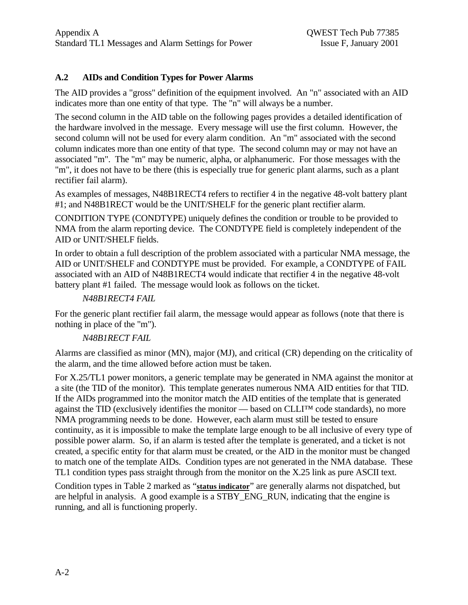# **A.2 AIDs and Condition Types for Power Alarms**

The AID provides a "gross" definition of the equipment involved. An "n" associated with an AID indicates more than one entity of that type. The "n" will always be a number.

The second column in the AID table on the following pages provides a detailed identification of the hardware involved in the message. Every message will use the first column. However, the second column will not be used for every alarm condition. An "m" associated with the second column indicates more than one entity of that type. The second column may or may not have an associated "m". The "m" may be numeric, alpha, or alphanumeric. For those messages with the "m", it does not have to be there (this is especially true for generic plant alarms, such as a plant rectifier fail alarm).

As examples of messages, N48B1RECT4 refers to rectifier 4 in the negative 48-volt battery plant #1; and N48B1RECT would be the UNIT/SHELF for the generic plant rectifier alarm.

CONDITION TYPE (CONDTYPE) uniquely defines the condition or trouble to be provided to NMA from the alarm reporting device. The CONDTYPE field is completely independent of the AID or UNIT/SHELF fields.

In order to obtain a full description of the problem associated with a particular NMA message, the AID or UNIT/SHELF and CONDTYPE must be provided. For example, a CONDTYPE of FAIL associated with an AID of N48B1RECT4 would indicate that rectifier 4 in the negative 48-volt battery plant #1 failed. The message would look as follows on the ticket.

# *N48B1RECT4 FAIL*

For the generic plant rectifier fail alarm, the message would appear as follows (note that there is nothing in place of the "m").

# *N48B1RECT FAIL*

Alarms are classified as minor (MN), major (MJ), and critical (CR) depending on the criticality of the alarm, and the time allowed before action must be taken.

For X.25/TL1 power monitors, a generic template may be generated in NMA against the monitor at a site (the TID of the monitor). This template generates numerous NMA AID entities for that TID. If the AIDs programmed into the monitor match the AID entities of the template that is generated against the TID (exclusively identifies the monitor — based on CLLI™ code standards), no more NMA programming needs to be done. However, each alarm must still be tested to ensure continuity, as it is impossible to make the template large enough to be all inclusive of every type of possible power alarm. So, if an alarm is tested after the template is generated, and a ticket is not created, a specific entity for that alarm must be created, or the AID in the monitor must be changed to match one of the template AIDs. Condition types are not generated in the NMA database. These TL1 condition types pass straight through from the monitor on the X.25 link as pure ASCII text.

Condition types in Table 2 marked as "**status indicator**" are generally alarms not dispatched, but are helpful in analysis. A good example is a STBY\_ENG\_RUN, indicating that the engine is running, and all is functioning properly.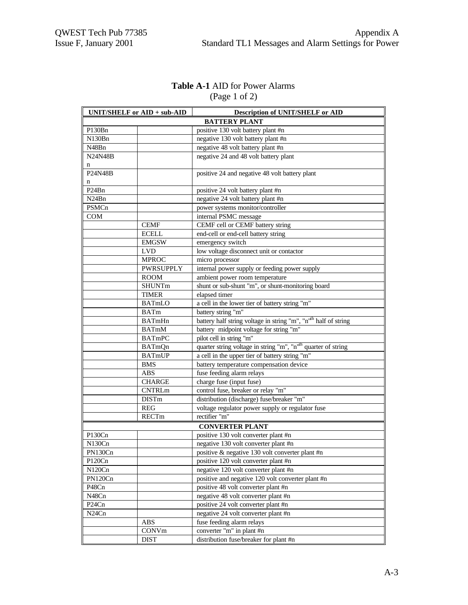# **Table A-1** AID for Power Alarms (Page 1 of 2)

|                                | UNIT/SHELF or AID + sub-AID | <b>Description of UNIT/SHELF or AID</b>                                     |
|--------------------------------|-----------------------------|-----------------------------------------------------------------------------|
|                                |                             | <b>BATTERY PLANT</b>                                                        |
| P130Bn                         |                             | positive 130 volt battery plant #n                                          |
| N130Bn                         |                             | negative 130 volt battery plant #n                                          |
| N48Bn                          |                             | negative 48 volt battery plant #n                                           |
| <b>N24N48B</b>                 |                             | negative 24 and 48 volt battery plant                                       |
| n                              |                             |                                                                             |
| P24N48B                        |                             | positive 24 and negative 48 volt battery plant                              |
| n                              |                             |                                                                             |
| P <sub>24</sub> Bn             |                             | positive 24 volt battery plant #n                                           |
| N <sub>24</sub> B <sub>n</sub> |                             | negative 24 volt battery plant #n                                           |
| PSMCn                          |                             | power systems monitor/controller                                            |
| <b>COM</b>                     |                             | internal PSMC message                                                       |
|                                | <b>CEMF</b>                 | CEMF cell or CEMF battery string                                            |
|                                | <b>ECELL</b>                | end-cell or end-cell battery string                                         |
|                                | <b>EMGSW</b>                | emergency switch                                                            |
|                                | <b>LVD</b>                  | low voltage disconnect unit or contactor                                    |
|                                | <b>MPROC</b>                | micro processor                                                             |
|                                | <b>PWRSUPPLY</b>            | internal power supply or feeding power supply                               |
|                                | <b>ROOM</b>                 | ambient power room temperature                                              |
|                                | <b>SHUNTm</b>               | shunt or sub-shunt "m", or shunt-monitoring board                           |
|                                | <b>TIMER</b>                | elapsed timer                                                               |
|                                | <b>BATmLO</b>               | a cell in the lower tier of battery string "m"                              |
|                                | <b>BATm</b>                 | battery string "m"                                                          |
|                                | <b>BATmHn</b>               | battery half string voltage in string "m", "n" <sup>th</sup> half of string |
|                                | <b>BATmM</b>                | battery midpoint voltage for string "m"                                     |
|                                | <b>BATmPC</b>               | pilot cell in string "m"                                                    |
|                                | BATmQn                      | quarter string voltage in string "m", "n" <sup>th</sup> quarter of string   |
|                                | BATmUP                      | a cell in the upper tier of battery string "m"                              |
|                                | <b>BMS</b>                  | battery temperature compensation device                                     |
|                                | <b>ABS</b>                  | fuse feeding alarm relays                                                   |
|                                | <b>CHARGE</b>               | charge fuse (input fuse)                                                    |
|                                | <b>CNTRLm</b>               | control fuse, breaker or relay "m"                                          |
|                                | <b>DISTm</b>                | distribution (discharge) fuse/breaker "m"                                   |
|                                | <b>REG</b>                  | voltage regulator power supply or regulator fuse                            |
|                                | RECTm                       | rectifier "m"                                                               |
|                                |                             | <b>CONVERTER PLANT</b>                                                      |
| P130Cn                         |                             | positive 130 volt converter plant #n                                        |
| N130Cn                         |                             | negative 130 volt converter plant #n                                        |
| PN130Cn                        |                             | positive & negative 130 volt converter plant #n                             |
| P120Cn                         |                             | positive 120 volt converter plant #n                                        |
| N120Cn                         |                             | negative 120 volt converter plant #n                                        |
| PN120Cn                        |                             | positive and negative 120 volt converter plant #n                           |
| P48Cn                          |                             | positive 48 volt converter plant #n                                         |
| N48Cn                          |                             | negative 48 volt converter plant #n                                         |
| P <sub>24</sub> C <sub>n</sub> |                             | positive 24 volt converter plant #n                                         |
| N <sub>24</sub> C <sub>n</sub> |                             | negative 24 volt converter plant #n                                         |
|                                | <b>ABS</b>                  | fuse feeding alarm relays                                                   |
|                                | CONVm                       | converter "m" in plant #n                                                   |
|                                | <b>DIST</b>                 | distribution fuse/breaker for plant #n                                      |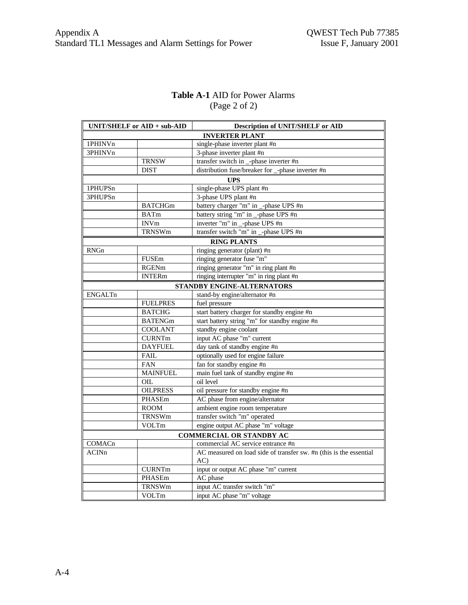# **Table A-1** AID for Power Alarms (Page 2 of 2)

|                | UNIT/SHELF or AID + sub-AID | <b>Description of UNIT/SHELF or AID</b>                            |
|----------------|-----------------------------|--------------------------------------------------------------------|
|                |                             | <b>INVERTER PLANT</b>                                              |
| 1PHINVn        |                             | single-phase inverter plant #n                                     |
| 3PHINVn        |                             | 3-phase inverter plant #n                                          |
|                | <b>TRNSW</b>                | transfer switch in _-phase inverter #n                             |
|                | <b>DIST</b>                 | distribution fuse/breaker for _-phase inverter #n                  |
|                |                             | <b>UPS</b>                                                         |
| 1PHUPSn        |                             | single-phase UPS plant #n                                          |
| 3PHUPSn        |                             | 3-phase UPS plant #n                                               |
|                | <b>BATCHGm</b>              | battery charger "m" in _-phase UPS #n                              |
|                | <b>BATm</b>                 | battery string "m" in _-phase UPS #n                               |
|                | <b>INVm</b>                 | inverter "m" in _-phase UPS #n                                     |
|                | TRNSWm                      | transfer switch "m" in _-phase UPS #n                              |
|                |                             | <b>RING PLANTS</b>                                                 |
| RNGn           |                             | ringing generator (plant) #n                                       |
|                | <b>FUSEm</b>                | ringing generator fuse "m"                                         |
|                | <b>RGENm</b>                | ringing generator "m" in ring plant #n                             |
|                | <b>INTERm</b>               | ringing interrupter "m" in ring plant #n                           |
|                |                             | STANDBY ENGINE-ALTERNATORS                                         |
| <b>ENGALTn</b> |                             | stand-by engine/alternator #n                                      |
|                | <b>FUELPRES</b>             | fuel pressure                                                      |
|                | <b>BATCHG</b>               | start battery charger for standby engine #n                        |
|                | <b>BATENGm</b>              | start battery string "m" for standby engine #n                     |
|                | <b>COOLANT</b>              | standby engine coolant                                             |
|                | <b>CURNTm</b>               | input AC phase "m" current                                         |
|                | <b>DAYFUEL</b>              | day tank of standby engine #n                                      |
|                | FAIL                        | optionally used for engine failure                                 |
|                | <b>FAN</b>                  | fan for standby engine #n                                          |
|                | <b>MAINFUEL</b>             | main fuel tank of standby engine #n                                |
|                | OIL                         | oil level                                                          |
|                | <b>OILPRESS</b>             | oil pressure for standby engine #n                                 |
|                | PHASEm                      | AC phase from engine/alternator                                    |
|                | <b>ROOM</b>                 | ambient engine room temperature                                    |
|                | <b>TRNSWm</b>               | transfer switch "m" operated                                       |
|                | VOLTm                       | engine output AC phase "m" voltage                                 |
|                |                             | <b>COMMERCIAL OR STANDBY AC</b>                                    |
| COMACn         |                             | commercial AC service entrance #n                                  |
| ACINn          |                             | AC measured on load side of transfer sw. #n (this is the essential |
|                |                             | AC)                                                                |
|                | <b>CURNTm</b>               | input or output AC phase "m" current                               |
|                | PHASEm                      | AC phase                                                           |
|                | <b>TRNSWm</b>               | input AC transfer switch "m"                                       |
|                | VOLTm                       | input AC phase "m" voltage                                         |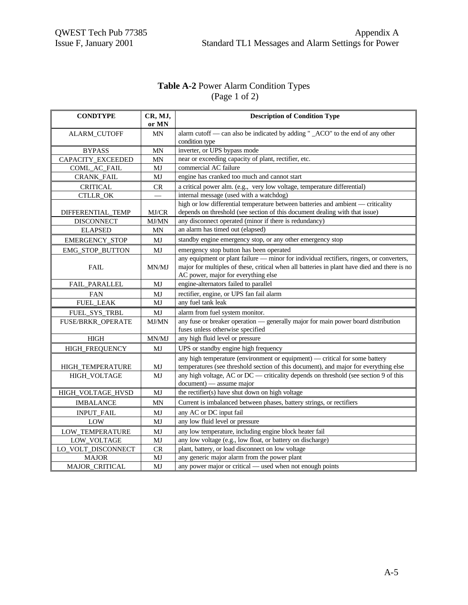# **Table A-2** Power Alarm Condition Types (Page 1 of 2)

| <b>CONDTYPE</b>       | CR, MJ,     | <b>Description of Condition Type</b>                                                             |
|-----------------------|-------------|--------------------------------------------------------------------------------------------------|
|                       | or MN       |                                                                                                  |
| ALARM_CUTOFF          | MΝ          | alarm cutoff — can also be indicated by adding " _ACO" to the end of any other<br>condition type |
| <b>BYPASS</b>         | MΝ          | inverter, or UPS bypass mode                                                                     |
| CAPACITY_EXCEEDED     | MΝ          | near or exceeding capacity of plant, rectifier, etc.                                             |
| COML_AC_FAIL          | MJ          | commercial AC failure                                                                            |
| CRANK_FAIL            | MJ          | engine has cranked too much and cannot start                                                     |
| <b>CRITICAL</b>       | <b>CR</b>   | a critical power alm. (e.g., very low voltage, temperature differential)                         |
| <b>CTLLR OK</b>       |             | internal message (used with a watchdog)                                                          |
|                       |             | high or low differential temperature between batteries and ambient — criticality                 |
| DIFFERENTIAL TEMP     | MJ/CR       | depends on threshold (see section of this document dealing with that issue)                      |
| <b>DISCONNECT</b>     | MJ/MN       | any disconnect operated (minor if there is redundancy)                                           |
| <b>ELAPSED</b>        | MN          | an alarm has timed out (elapsed)                                                                 |
| <b>EMERGENCY_STOP</b> | MJ          | standby engine emergency stop, or any other emergency stop                                       |
| EMG_STOP_BUTTON       | MJ          | emergency stop button has been operated                                                          |
|                       |             | any equipment or plant failure — minor for individual rectifiers, ringers, or converters,        |
| <b>FAIL</b>           | MN/MJ       | major for multiples of these, critical when all batteries in plant have died and there is no     |
|                       |             | AC power, major for everything else                                                              |
| <b>FAIL PARALLEL</b>  | MJ          | engine-alternators failed to parallel                                                            |
| <b>FAN</b>            | MJ          | rectifier, engine, or UPS fan fail alarm                                                         |
| <b>FUEL LEAK</b>      | MJ          | any fuel tank leak                                                                               |
| FUEL SYS_TRBL         | MJ          | alarm from fuel system monitor.                                                                  |
| FUSE/BRKR_OPERATE     | MJ/MN       | any fuse or breaker operation — generally major for main power board distribution                |
|                       |             | fuses unless otherwise specified                                                                 |
| <b>HIGH</b>           | MN/MJ       | any high fluid level or pressure                                                                 |
| HIGH_FREQUENCY        | MJ          | UPS or standby engine high frequency                                                             |
|                       |             | any high temperature (environment or equipment) — critical for some battery                      |
| HIGH_TEMPERATURE      | MJ          | temperatures (see threshold section of this document), and major for everything else             |
| HIGH_VOLTAGE          | MJ          | any high voltage, AC or DC — criticality depends on threshold (see section 9 of this             |
|                       |             | document) — assume major                                                                         |
| HIGH_VOLTAGE_HVSD     | MJ          | the rectifier(s) have shut down on high voltage                                                  |
| <b>IMBALANCE</b>      | MN          | Current is imbalanced between phases, battery strings, or rectifiers                             |
| <b>INPUT_FAIL</b>     | MJ          | any AC or DC input fail                                                                          |
| LOW                   | MJ          | any low fluid level or pressure                                                                  |
| LOW_TEMPERATURE       | MJ          | any low temperature, including engine block heater fail                                          |
| LOW_VOLTAGE           | MJ          | any low voltage (e.g., low float, or battery on discharge)                                       |
| LO_VOLT_DISCONNECT    | ${\cal CR}$ | plant, battery, or load disconnect on low voltage                                                |
| <b>MAJOR</b>          | MJ          | any generic major alarm from the power plant                                                     |
| MAJOR_CRITICAL        | MJ          | any power major or critical - used when not enough points                                        |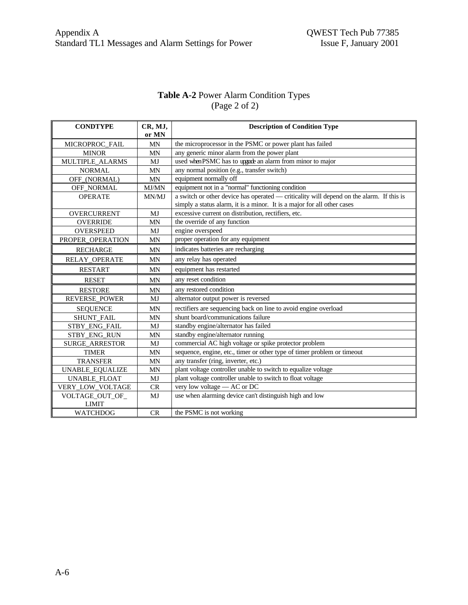# **Table A-2** Power Alarm Condition Types (Page 2 of 2)

| <b>CONDTYPE</b>                 | CR, MJ,<br>or MN | <b>Description of Condition Type</b>                                                                                                                                |
|---------------------------------|------------------|---------------------------------------------------------------------------------------------------------------------------------------------------------------------|
| MICROPROC_FAIL                  | <b>MN</b>        | the microprocessor in the PSMC or power plant has failed                                                                                                            |
| <b>MINOR</b>                    | <b>MN</b>        | any generic minor alarm from the power plant                                                                                                                        |
| MULTIPLE ALARMS                 | MJ               | used when PSMC has to upgade an alarm from minor to major                                                                                                           |
| <b>NORMAL</b>                   | $\text{MN}$      | any normal position (e.g., transfer switch)                                                                                                                         |
| OFF_(NORMAL)                    | MN               | equipment normally off                                                                                                                                              |
| OFF_NORMAL                      | MJ/MN            | equipment not in a "normal" functioning condition                                                                                                                   |
| <b>OPERATE</b>                  | MN/MJ            | a switch or other device has operated — criticality will depend on the alarm. If this is<br>simply a status alarm, it is a minor. It is a major for all other cases |
| OVERCURRENT                     | MJ               | excessive current on distribution, rectifiers, etc.                                                                                                                 |
| <b>OVERRIDE</b>                 | <b>MN</b>        | the override of any function                                                                                                                                        |
| <b>OVERSPEED</b>                | MJ               | engine overspeed                                                                                                                                                    |
| PROPER_OPERATION                | MN               | proper operation for any equipment                                                                                                                                  |
| <b>RECHARGE</b>                 | <b>MN</b>        | indicates batteries are recharging                                                                                                                                  |
| RELAY_OPERATE                   | <b>MN</b>        | any relay has operated                                                                                                                                              |
| <b>RESTART</b>                  | <b>MN</b>        | equipment has restarted                                                                                                                                             |
| <b>RESET</b>                    | <b>MN</b>        | any reset condition                                                                                                                                                 |
| <b>RESTORE</b>                  | <b>MN</b>        | any restored condition                                                                                                                                              |
| <b>REVERSE_POWER</b>            | MJ               | alternator output power is reversed                                                                                                                                 |
| <b>SEQUENCE</b>                 | <b>MN</b>        | rectifiers are sequencing back on line to avoid engine overload                                                                                                     |
| SHUNT_FAIL                      | <b>MN</b>        | shunt board/communications failure                                                                                                                                  |
| STBY_ENG_FAIL                   | MJ               | standby engine/alternator has failed                                                                                                                                |
| STBY_ENG_RUN                    | <b>MN</b>        | standby engine/alternator running                                                                                                                                   |
| SURGE_ARRESTOR                  | MJ               | commercial AC high voltage or spike protector problem                                                                                                               |
| <b>TIMER</b>                    | <b>MN</b>        | sequence, engine, etc., timer or other type of timer problem or timeout                                                                                             |
| <b>TRANSFER</b>                 | <b>MN</b>        | any transfer (ring, inverter, etc.)                                                                                                                                 |
| UNABLE_EQUALIZE                 | <b>MN</b>        | plant voltage controller unable to switch to equalize voltage                                                                                                       |
| UNABLE_FLOAT                    | MJ               | plant voltage controller unable to switch to float voltage                                                                                                          |
| VERY_LOW_VOLTAGE                | CR               | very low voltage - AC or DC                                                                                                                                         |
| VOLTAGE_OUT_OF_<br><b>LIMIT</b> | MJ               | use when alarming device can't distinguish high and low                                                                                                             |
| <b>WATCHDOG</b>                 | CR               | the PSMC is not working                                                                                                                                             |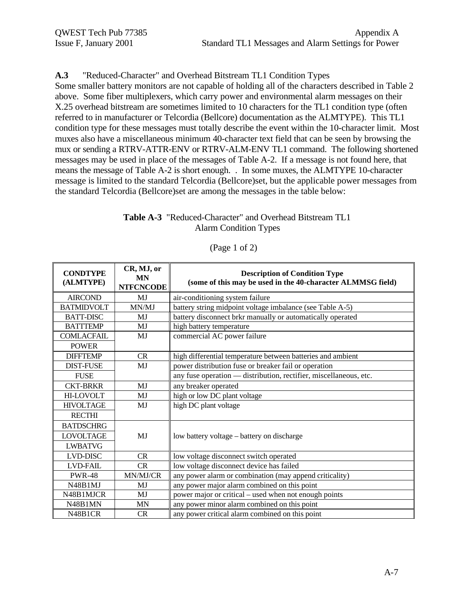## **A.3** "Reduced-Character" and Overhead Bitstream TL1 Condition Types

Some smaller battery monitors are not capable of holding all of the characters described in Table 2 above. Some fiber multiplexers, which carry power and environmental alarm messages on their X.25 overhead bitstream are sometimes limited to 10 characters for the TL1 condition type (often referred to in manufacturer or Telcordia (Bellcore) documentation as the ALMTYPE). This TL1 condition type for these messages must totally describe the event within the 10-character limit. Most muxes also have a miscellaneous minimum 40-character text field that can be seen by browsing the mux or sending a RTRV-ATTR-ENV or RTRV-ALM-ENV TL1 command. The following shortened messages may be used in place of the messages of Table A-2. If a message is not found here, that means the message of Table A-2 is short enough. . In some muxes, the ALMTYPE 10-character message is limited to the standard Telcordia (Bellcore)set, but the applicable power messages from the standard Telcordia (Bellcore)set are among the messages in the table below:

### **Table A-3** "Reduced-Character" and Overhead Bitstream TL1 Alarm Condition Types

| <b>CONDTYPE</b><br>(ALMTYPE) | CR, MJ, or<br><b>MN</b><br><b>NTFCNCODE</b> | <b>Description of Condition Type</b><br>(some of this may be used in the 40-character ALMMSG field) |
|------------------------------|---------------------------------------------|-----------------------------------------------------------------------------------------------------|
| <b>AIRCOND</b>               | MJ                                          | air-conditioning system failure                                                                     |
| <b>BATMIDVOLT</b>            | MN/MJ                                       | battery string midpoint voltage imbalance (see Table A-5)                                           |
| <b>BATT-DISC</b>             | MJ                                          | battery disconnect brkr manually or automatically operated                                          |
| <b>BATTTEMP</b>              | MJ                                          | high battery temperature                                                                            |
| <b>COMLACFAIL</b>            | MJ                                          | commercial AC power failure                                                                         |
| <b>POWER</b>                 |                                             |                                                                                                     |
| <b>DIFFTEMP</b>              | <b>CR</b>                                   | high differential temperature between batteries and ambient                                         |
| <b>DIST-FUSE</b>             | MJ                                          | power distribution fuse or breaker fail or operation                                                |
| <b>FUSE</b>                  |                                             | any fuse operation - distribution, rectifier, miscellaneous, etc.                                   |
| <b>CKT-BRKR</b>              | MJ                                          | any breaker operated                                                                                |
| <b>HI-LOVOLT</b>             | MJ                                          | high or low DC plant voltage                                                                        |
| <b>HIVOLTAGE</b>             | MJ                                          | high DC plant voltage                                                                               |
| <b>RECTHI</b>                |                                             |                                                                                                     |
| <b>BATDSCHRG</b>             |                                             |                                                                                                     |
| <b>LOVOLTAGE</b>             | MJ                                          | low battery voltage – battery on discharge                                                          |
| <b>LWBATVG</b>               |                                             |                                                                                                     |
| <b>LVD-DISC</b>              | <b>CR</b>                                   | low voltage disconnect switch operated                                                              |
| <b>LVD-FAIL</b>              | CR                                          | low voltage disconnect device has failed                                                            |
| <b>PWR-48</b>                | MN/MJ/CR                                    | any power alarm or combination (may append criticality)                                             |
| N48B1MJ                      | MJ                                          | any power major alarm combined on this point                                                        |
| N48B1MJCR                    | MJ                                          | power major or critical – used when not enough points                                               |
| N48B1MN                      | MΝ                                          | any power minor alarm combined on this point                                                        |
| N48B1CR                      | <b>CR</b>                                   | any power critical alarm combined on this point                                                     |

(Page 1 of 2)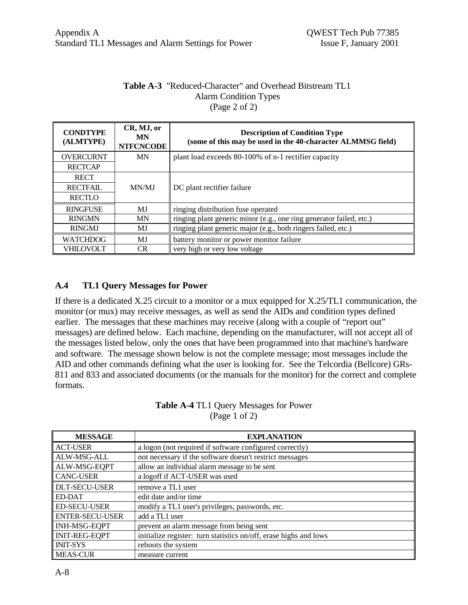### **Table A-3** "Reduced-Character" and Overhead Bitstream TL1 Alarm Condition Types (Page 2 of 2)

| <b>CONDTYPE</b><br>(ALMTYPE) | CR, MJ, or<br>MN<br><b>NTFCNCODE</b> | <b>Description of Condition Type</b><br>(some of this may be used in the 40-character ALMMSG field) |
|------------------------------|--------------------------------------|-----------------------------------------------------------------------------------------------------|
| <b>OVERCURNT</b>             | MN                                   | plant load exceeds 80-100% of n-1 rectifier capacity                                                |
| <b>RECTCAP</b>               |                                      |                                                                                                     |
| <b>RECT</b>                  |                                      |                                                                                                     |
| <b>RECTFAIL</b>              | MN/MJ                                | DC plant rectifier failure                                                                          |
| <b>RECTLO</b>                |                                      |                                                                                                     |
| <b>RINGFUSE</b>              | MJ                                   | ringing distribution fuse operated                                                                  |
| <b>RINGMN</b>                | <b>MN</b>                            | ringing plant generic minor (e.g., one ring generator failed, etc.)                                 |
| <b>RINGMJ</b>                | MJ                                   | ringing plant generic major (e.g., both ringers failed, etc.)                                       |
| <b>WATCHDOG</b>              | МJ                                   | battery monitor or power monitor failure                                                            |
| <b>VHILOVOLT</b>             | <b>CR</b>                            | very high or very low voltage                                                                       |

# **A.4 TL1 Query Messages for Power**

If there is a dedicated X.25 circuit to a monitor or a mux equipped for X.25/TL1 communication, the monitor (or mux) may receive messages, as well as send the AIDs and condition types defined earlier. The messages that these machines may receive (along with a couple of "report out" messages) are defined below. Each machine, depending on the manufacturer, will not accept all of the messages listed below, only the ones that have been programmed into that machine's hardware and software. The message shown below is not the complete message; most messages include the AID and other commands defining what the user is looking for. See the Telcordia (Bellcore) GRs-811 and 833 and associated documents (or the manuals for the monitor) for the correct and complete formats.

| <b>MESSAGE</b>         | <b>EXPLANATION</b>                                                |
|------------------------|-------------------------------------------------------------------|
| <b>ACT-USER</b>        | a logon (not required if software configured correctly)           |
| ALW-MSG-ALL            | not necessary if the software doesn't restrict messages           |
| ALW-MSG-EQPT           | allow an individual alarm message to be sent                      |
| <b>CANC-USER</b>       | a logoff if ACT-USER was used                                     |
| <b>DLT-SECU-USER</b>   | remove a TL1 user                                                 |
| <b>ED-DAT</b>          | edit date and/or time                                             |
| <b>ED-SECU-USER</b>    | modify a TL1 user's privileges, passwords, etc.                   |
| <b>ENTER-SECU-USER</b> | add a TL1 user                                                    |
| <b>INH-MSG-EQPT</b>    | prevent an alarm message from being sent                          |
| <b>INIT-REG-EQPT</b>   | initialize register: turn statistics on/off, erase highs and lows |
| <b>INIT-SYS</b>        | reboots the system                                                |
| <b>MEAS-CUR</b>        | measure current                                                   |

| <b>Table A-4 TL1 Query Messages for Power</b> |  |
|-----------------------------------------------|--|
| (Page 1 of 2)                                 |  |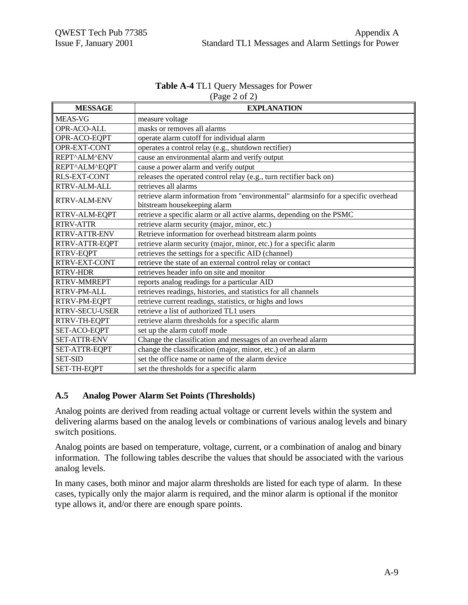| <b>Table A-4 TL1 Query Messages for Power</b> |
|-----------------------------------------------|
| $({\rm Page}\ 2\ of\ 2)$                      |

| <b>MESSAGE</b>        | <b>EXPLANATION</b>                                                                 |
|-----------------------|------------------------------------------------------------------------------------|
| <b>MEAS-VG</b>        | measure voltage                                                                    |
| OPR-ACO-ALL           | masks or removes all alarms                                                        |
| OPR-ACO-EQPT          | operate alarm cutoff for individual alarm                                          |
| OPR-EXT-CONT          | operates a control relay (e.g., shutdown rectifier)                                |
| REPT^ALM^ENV          | cause an environmental alarm and verify output                                     |
| REPT^ALM^EQPT         | cause a power alarm and verify output                                              |
| <b>RLS-EXT-CONT</b>   | releases the operated control relay (e.g., turn rectifier back on)                 |
| RTRV-ALM-ALL          | retrieves all alarms                                                               |
| <b>RTRV-ALM-ENV</b>   | retrieve alarm information from "environmental" alarmsinfo for a specific overhead |
|                       | bitstream housekeeping alarm                                                       |
| RTRV-ALM-EQPT         | retrieve a specific alarm or all active alarms, depending on the PSMC              |
| RTRV-ATTR             | retrieve alarm security (major, minor, etc.)                                       |
| RTRV-ATTR-ENV         | Retrieve information for overhead bitstream alarm points                           |
| RTRV-ATTR-EQPT        | retrieve alarm security (major, minor, etc.) for a specific alarm                  |
| RTRV-EQPT             | retrieves the settings for a specific AID (channel)                                |
| RTRV-EXT-CONT         | retrieve the state of an external control relay or contact                         |
| <b>RTRV-HDR</b>       | retrieves header info on site and monitor                                          |
| <b>RTRV-MMREPT</b>    | reports analog readings for a particular AID                                       |
| RTRV-PM-ALL           | retrieves readings, histories, and statistics for all channels                     |
| RTRV-PM-EQPT          | retrieve current readings, statistics, or highs and lows                           |
| <b>RTRV-SECU-USER</b> | retrieve a list of authorized TL1 users                                            |
| RTRV-TH-EQPT          | retrieve alarm thresholds for a specific alarm                                     |
| SET-ACO-EQPT          | set up the alarm cutoff mode                                                       |
| <b>SET-ATTR-ENV</b>   | Change the classification and messages of an overhead alarm                        |
| SET-ATTR-EQPT         | change the classification (major, minor, etc.) of an alarm                         |
| <b>SET-SID</b>        | set the office name or name of the alarm device                                    |
| SET-TH-EQPT           | set the thresholds for a specific alarm                                            |

## **A.5 Analog Power Alarm Set Points (Thresholds)**

Analog points are derived from reading actual voltage or current levels within the system and delivering alarms based on the analog levels or combinations of various analog levels and binary switch positions.

Analog points are based on temperature, voltage, current, or a combination of analog and binary information. The following tables describe the values that should be associated with the various analog levels.

In many cases, both minor and major alarm thresholds are listed for each type of alarm. In these cases, typically only the major alarm is required, and the minor alarm is optional if the monitor type allows it, and/or there are enough spare points.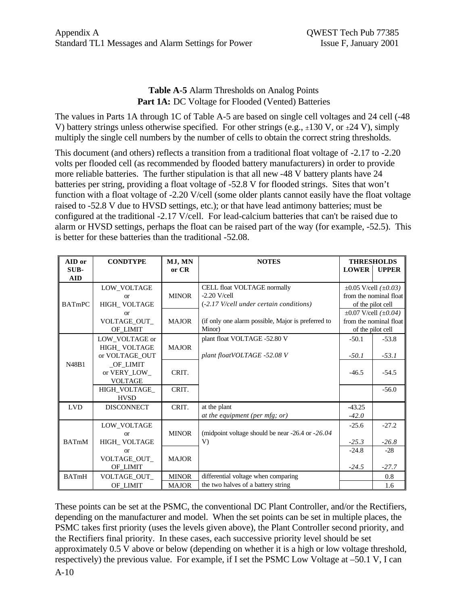## **Table A-5** Alarm Thresholds on Analog Points Part 1A: DC Voltage for Flooded (Vented) Batteries

The values in Parts 1A through 1C of Table A-5 are based on single cell voltages and 24 cell (-48 V) battery strings unless otherwise specified. For other strings (e.g.,  $\pm 130$  V, or  $\pm 24$  V), simply multiply the single cell numbers by the number of cells to obtain the correct string thresholds.

This document (and others) reflects a transition from a traditional float voltage of -2.17 to -2.20 volts per flooded cell (as recommended by flooded battery manufacturers) in order to provide more reliable batteries. The further stipulation is that all new -48 V battery plants have 24 batteries per string, providing a float voltage of -52.8 V for flooded strings. Sites that won't function with a float voltage of -2.20 V/cell (some older plants cannot easily have the float voltage raised to -52.8 V due to HVSD settings, etc.); or that have lead antimony batteries; must be configured at the traditional -2.17 V/cell. For lead-calcium batteries that can't be raised due to alarm or HVSD settings, perhaps the float can be raised part of the way (for example, -52.5). This is better for these batteries than the traditional -52.08.

| AID or<br>SUB-<br><b>AID</b> | <b>CONDTYPE</b>                                  | MJ, MN<br>or CR              | <b>NOTES</b>                                                                             | <b>LOWER</b>        | <b>THRESHOLDS</b><br><b>UPPER</b>                                               |
|------------------------------|--------------------------------------------------|------------------------------|------------------------------------------------------------------------------------------|---------------------|---------------------------------------------------------------------------------|
| <b>BATmPC</b>                | LOW VOLTAGE<br>or<br>HIGH_VOLTAGE                | <b>MINOR</b>                 | CELL float VOLTAGE normally<br>$-2.20$ V/cell<br>(-2.17 V/cell under certain conditions) |                     | $\pm 0.05$ V/cell ( $\pm 0.03$ )<br>from the nominal float<br>of the pilot cell |
|                              | or<br>VOLTAGE_OUT_<br>OF LIMIT                   | <b>MAJOR</b>                 | (if only one alarm possible, Major is preferred to<br>Minor)                             |                     | $\pm 0.07$ V/cell ( $\pm 0.04$ )<br>from the nominal float<br>of the pilot cell |
|                              | LOW VOLTAGE or<br>HIGH VOLTAGE<br>or VOLTAGE OUT | <b>MAJOR</b>                 | plant float VOLTAGE -52.80 V<br>plant floatVOLTAGE -52.08 V                              | $-50.1$<br>$-50.1$  | $-53.8$<br>$-53.1$                                                              |
| N48B1                        | OF LIMIT<br>or VERY_LOW_<br><b>VOLTAGE</b>       | CRIT.                        |                                                                                          | $-46.5$             | $-54.5$                                                                         |
|                              | HIGH VOLTAGE<br><b>HVSD</b>                      | CRIT.                        |                                                                                          |                     | $-56.0$                                                                         |
| <b>LVD</b>                   | <b>DISCONNECT</b>                                | CRIT.                        | at the plant<br>at the equipment (per mfg; or)                                           | $-43.25$<br>$-42.0$ |                                                                                 |
| <b>BATmM</b>                 | LOW VOLTAGE<br>or<br>HIGH_VOLTAGE                | <b>MINOR</b>                 | (midpoint voltage should be near $-26.4$ or $-26.04$ )<br>V)                             | $-25.6$<br>$-25.3$  | $-27.2$<br>$-26.8$                                                              |
|                              | <b>or</b><br>VOLTAGE_OUT_<br>OF LIMIT            | <b>MAJOR</b>                 |                                                                                          | $-24.8$<br>$-24.5$  | $-28$<br>$-27.7$                                                                |
| <b>BATmH</b>                 | VOLTAGE_OUT_<br>OF LIMIT                         | <b>MINOR</b><br><b>MAJOR</b> | differential voltage when comparing<br>the two halves of a battery string                |                     | 0.8<br>1.6                                                                      |

These points can be set at the PSMC, the conventional DC Plant Controller, and/or the Rectifiers, depending on the manufacturer and model. When the set points can be set in multiple places, the PSMC takes first priority (uses the levels given above), the Plant Controller second priority, and the Rectifiers final priority. In these cases, each successive priority level should be set approximately 0.5 V above or below (depending on whether it is a high or low voltage threshold, respectively) the previous value. For example, if I set the PSMC Low Voltage at –50.1 V, I can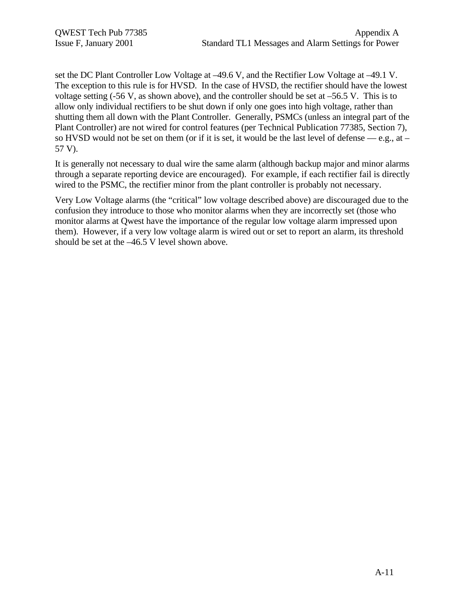set the DC Plant Controller Low Voltage at –49.6 V, and the Rectifier Low Voltage at –49.1 V. The exception to this rule is for HVSD. In the case of HVSD, the rectifier should have the lowest voltage setting  $(-56 \text{ V}, \text{ as shown above})$ , and the controller should be set at  $-56.5 \text{ V}$ . This is to allow only individual rectifiers to be shut down if only one goes into high voltage, rather than shutting them all down with the Plant Controller. Generally, PSMCs (unless an integral part of the Plant Controller) are not wired for control features (per Technical Publication 77385, Section 7), so HVSD would not be set on them (or if it is set, it would be the last level of defense — e.g., at – 57 V).

It is generally not necessary to dual wire the same alarm (although backup major and minor alarms through a separate reporting device are encouraged). For example, if each rectifier fail is directly wired to the PSMC, the rectifier minor from the plant controller is probably not necessary.

Very Low Voltage alarms (the "critical" low voltage described above) are discouraged due to the confusion they introduce to those who monitor alarms when they are incorrectly set (those who monitor alarms at Qwest have the importance of the regular low voltage alarm impressed upon them). However, if a very low voltage alarm is wired out or set to report an alarm, its threshold should be set at the –46.5 V level shown above.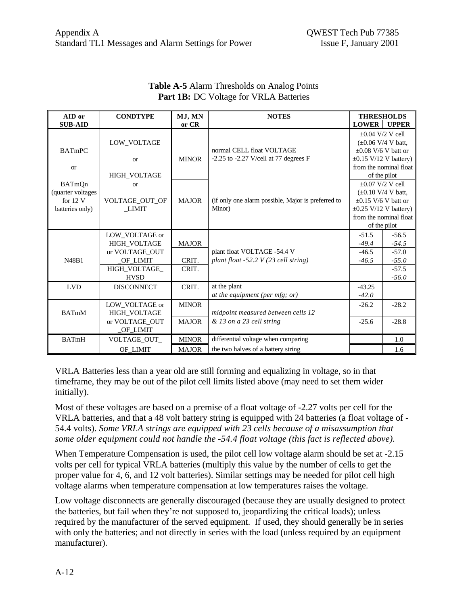| AID or            | <b>CONDTYPE</b>     | MJ, MN       | <b>NOTES</b>                                                 | <b>THRESHOLDS</b>                                |                                                      |
|-------------------|---------------------|--------------|--------------------------------------------------------------|--------------------------------------------------|------------------------------------------------------|
| <b>SUB-AID</b>    |                     | or CR        |                                                              | <b>LOWER</b>                                     | <b>UPPER</b>                                         |
|                   |                     |              |                                                              | $\pm 0.04$ V/2 V cell                            |                                                      |
|                   | LOW VOLTAGE         |              |                                                              | $(\pm 0.06 \text{ V}/4 \text{ V} \text{ batt.})$ |                                                      |
| <b>BATmPC</b>     |                     |              | normal CELL float VOLTAGE                                    | $\pm 0.08$ V/6 V batt or                         |                                                      |
|                   | <b>or</b>           | <b>MINOR</b> | $-2.25$ to $-2.27$ V/cell at 77 degrees F                    |                                                  | $\pm 0.15$ V/12 V battery)                           |
| <b>or</b>         |                     |              |                                                              |                                                  | from the nominal float                               |
|                   | HIGH_VOLTAGE        |              |                                                              | of the pilot                                     |                                                      |
| <b>BATmQn</b>     | <sub>or</sub>       |              |                                                              |                                                  | $+0.07$ V/2 V cell                                   |
| (quarter voltages |                     |              |                                                              |                                                  | $(\pm 0.10 \text{ V}/4 \text{ V} \text{ batt.})$     |
| for $12V$         | VOLTAGE_OUT_OF      | <b>MAJOR</b> | (if only one alarm possible, Major is preferred to<br>Minor) | $\pm 0.15$ V/6 V batt or                         |                                                      |
| batteries only)   | LIMIT               |              |                                                              |                                                  | $\pm 0.25$ V/12 V battery)<br>from the nominal float |
|                   |                     |              |                                                              |                                                  | of the pilot                                         |
|                   | LOW VOLTAGE or      |              |                                                              | $-51.5$                                          | $-56.5$                                              |
|                   | <b>HIGH VOLTAGE</b> | <b>MAJOR</b> |                                                              | $-49.4$                                          | $-54.5$                                              |
|                   | or VOLTAGE OUT      |              | plant float VOLTAGE -54.4 V                                  | $-46.5$                                          | $-57.0$                                              |
| N48B1             | OF LIMIT            | CRIT.        | plant float -52.2 V (23 cell string)                         | $-46.5$                                          | $-55.0$                                              |
|                   | HIGH VOLTAGE        | CRIT.        |                                                              |                                                  | $-57.5$                                              |
|                   | <b>HVSD</b>         |              |                                                              |                                                  | $-56.0$                                              |
| <b>LVD</b>        | <b>DISCONNECT</b>   | CRIT.        | at the plant                                                 | $-43.25$                                         |                                                      |
|                   |                     |              | at the equipment (per mfg; or)                               | $-42.0$                                          |                                                      |
|                   | LOW VOLTAGE or      | <b>MINOR</b> |                                                              | $-26.2$                                          | $-28.2$                                              |
| <b>BATmM</b>      | <b>HIGH VOLTAGE</b> |              | midpoint measured between cells 12                           |                                                  |                                                      |
|                   | or VOLTAGE OUT      | <b>MAJOR</b> | & 13 on a 23 cell string                                     | $-25.6$                                          | $-28.8$                                              |
|                   | OF LIMIT            |              |                                                              |                                                  |                                                      |
| <b>BATmH</b>      | VOLTAGE_OUT_        | <b>MINOR</b> | differential voltage when comparing                          |                                                  | 1.0                                                  |
|                   | OF LIMIT            | <b>MAJOR</b> | the two halves of a battery string                           |                                                  | 1.6                                                  |

### **Table A-5** Alarm Thresholds on Analog Points Part 1B: DC Voltage for VRLA Batteries

VRLA Batteries less than a year old are still forming and equalizing in voltage, so in that timeframe, they may be out of the pilot cell limits listed above (may need to set them wider initially).

Most of these voltages are based on a premise of a float voltage of -2.27 volts per cell for the VRLA batteries, and that a 48 volt battery string is equipped with 24 batteries (a float voltage of - 54.4 volts). *Some VRLA strings are equipped with 23 cells because of a misassumption that some older equipment could not handle the -54.4 float voltage (this fact is reflected above).*

When Temperature Compensation is used, the pilot cell low voltage alarm should be set at -2.15 volts per cell for typical VRLA batteries (multiply this value by the number of cells to get the proper value for 4, 6, and 12 volt batteries). Similar settings may be needed for pilot cell high voltage alarms when temperature compensation at low temperatures raises the voltage.

Low voltage disconnects are generally discouraged (because they are usually designed to protect the batteries, but fail when they're not supposed to, jeopardizing the critical loads); unless required by the manufacturer of the served equipment. If used, they should generally be in series with only the batteries; and not directly in series with the load (unless required by an equipment manufacturer).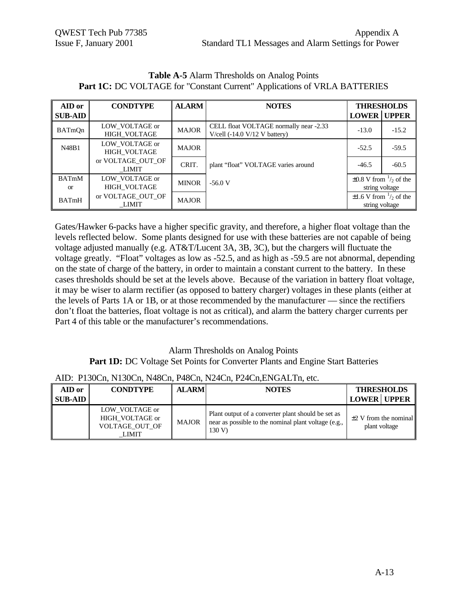|                               |                                       |              | $\mathbf{r}$                                                              |                                                         |                                       |
|-------------------------------|---------------------------------------|--------------|---------------------------------------------------------------------------|---------------------------------------------------------|---------------------------------------|
| AID or                        | <b>CONDTYPE</b>                       | <b>ALARM</b> | <b>NOTES</b>                                                              | <b>THRESHOLDS</b>                                       |                                       |
| <b>SUB-AID</b>                |                                       |              |                                                                           | <b>LOWER</b> UPPER                                      |                                       |
| BATmOn                        | LOW VOLTAGE or<br><b>HIGH VOLTAGE</b> | <b>MAJOR</b> | CELL float VOLTAGE normally near -2.33<br>V/cell $(-14.0 V/12 V$ battery) | $-13.0$                                                 | $-15.2$                               |
| N48B1                         | LOW VOLTAGE or<br><b>HIGH VOLTAGE</b> | <b>MAJOR</b> |                                                                           | $-52.5$                                                 | $-59.5$                               |
|                               | or VOLTAGE OUT OF<br>LIMIT            | CRIT.        | plant "float" VOLTAGE varies around                                       | $-46.5$                                                 | $-60.5$                               |
| <b>BATmM</b><br><sub>or</sub> | LOW VOLTAGE or<br>HIGH_VOLTAGE        | <b>MINOR</b> | $-56.0V$                                                                  | $\pm 0.8$ V from $\frac{1}{2}$ of the<br>string voltage |                                       |
| <b>BATmH</b>                  | or VOLTAGE OUT OF<br>LIMIT            | <b>MAJOR</b> |                                                                           | string voltage                                          | $\pm 1.6$ V from $\frac{1}{2}$ of the |

**Table A-5** Alarm Thresholds on Analog Points **Part 1C:** DC VOLTAGE for "Constant Current" Applications of VRLA BATTERIES

Gates/Hawker 6-packs have a higher specific gravity, and therefore, a higher float voltage than the levels reflected below. Some plants designed for use with these batteries are not capable of being voltage adjusted manually (e.g. AT&T/Lucent 3A, 3B, 3C), but the chargers will fluctuate the voltage greatly. "Float" voltages as low as -52.5, and as high as -59.5 are not abnormal, depending on the state of charge of the battery, in order to maintain a constant current to the battery. In these cases thresholds should be set at the levels above. Because of the variation in battery float voltage, it may be wiser to alarm rectifier (as opposed to battery charger) voltages in these plants (either at the levels of Parts 1A or 1B, or at those recommended by the manufacturer — since the rectifiers don't float the batteries, float voltage is not as critical), and alarm the battery charger currents per Part 4 of this table or the manufacturer's recommendations.

## Alarm Thresholds on Analog Points Part 1D: DC Voltage Set Points for Converter Plants and Engine Start Batteries

#### AID: P130Cn, N130Cn, N48Cn, P48Cn, N24Cn, P24Cn,ENGALTn, etc.

| AID or<br><b>SUB-AID</b> | <b>CONDTYPE</b>                                              | <b>ALARM</b> | <b>NOTES</b>                                                                                                         | <b>THRESHOLDS</b><br><b>LOWER UPPER</b>     |
|--------------------------|--------------------------------------------------------------|--------------|----------------------------------------------------------------------------------------------------------------------|---------------------------------------------|
|                          | LOW VOLTAGE or<br>HIGH VOLTAGE or<br>VOLTAGE OUT OF<br>LIMIT | <b>MAJOR</b> | Plant output of a converter plant should be set as<br>near as possible to the nominal plant voltage (e.g.,<br>130 V) | $\pm 2$ V from the nominal<br>plant voltage |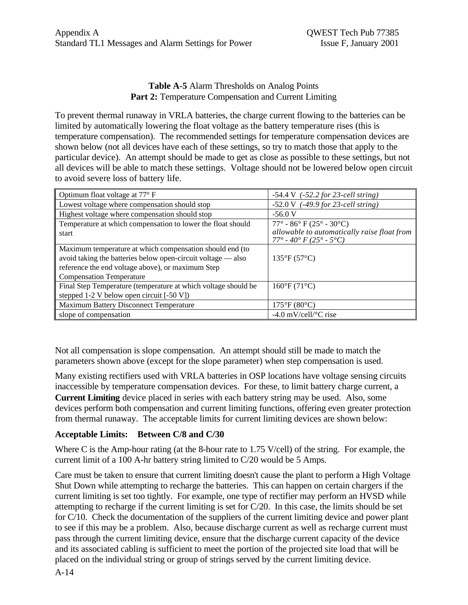## **Table A-5** Alarm Thresholds on Analog Points Part 2: Temperature Compensation and Current Limiting

To prevent thermal runaway in VRLA batteries, the charge current flowing to the batteries can be limited by automatically lowering the float voltage as the battery temperature rises (this is temperature compensation). The recommended settings for temperature compensation devices are shown below (not all devices have each of these settings, so try to match those that apply to the particular device). An attempt should be made to get as close as possible to these settings, but not all devices will be able to match these settings. Voltage should not be lowered below open circuit to avoid severe loss of battery life.

| Optimum float voltage at $77^{\circ}$ F                        | $-54.4 \text{ V}$ ( $-52.2$ for 23-cell string)                                 |
|----------------------------------------------------------------|---------------------------------------------------------------------------------|
| Lowest voltage where compensation should stop                  | $-52.0 \text{ V}$ (-49.9 for 23-cell string)                                    |
| Highest voltage where compensation should stop                 | $-56.0V$                                                                        |
| Temperature at which compensation to lower the float should    | $77^{\circ}$ - 86° F (25° - 30°C)                                               |
| start                                                          | allowable to automatically raise float from<br>$77^{\circ}$ - 40° F (25° - 5°C) |
| Maximum temperature at which compensation should end (to       |                                                                                 |
| avoid taking the batteries below open-circuit voltage — also   | $135^{\circ}F(57^{\circ}C)$                                                     |
| reference the end voltage above), or maximum Step              |                                                                                 |
| <b>Compensation Temperature</b>                                |                                                                                 |
| Final Step Temperature (temperature at which voltage should be | $160^{\circ}F(71^{\circ}C)$                                                     |
| stepped 1-2 V below open circuit [-50 V])                      |                                                                                 |
| <b>Maximum Battery Disconnect Temperature</b>                  | $175^{\circ}F(80^{\circ}C)$                                                     |
| slope of compensation                                          | $-4.0$ mV/cell/ $\rm ^{\circ}C$ rise                                            |

Not all compensation is slope compensation. An attempt should still be made to match the parameters shown above (except for the slope parameter) when step compensation is used.

Many existing rectifiers used with VRLA batteries in OSP locations have voltage sensing circuits inaccessible by temperature compensation devices. For these, to limit battery charge current, a **Current Limiting** device placed in series with each battery string may be used. Also, some devices perform both compensation and current limiting functions, offering even greater protection from thermal runaway. The acceptable limits for current limiting devices are shown below:

## **Acceptable Limits: Between C/8 and C/30**

Where C is the Amp-hour rating (at the 8-hour rate to 1.75 V/cell) of the string. For example, the current limit of a 100 A-hr battery string limited to C/20 would be 5 Amps.

Care must be taken to ensure that current limiting doesn't cause the plant to perform a High Voltage Shut Down while attempting to recharge the batteries. This can happen on certain chargers if the current limiting is set too tightly. For example, one type of rectifier may perform an HVSD while attempting to recharge if the current limiting is set for C/20. In this case, the limits should be set for C/10. Check the documentation of the suppliers of the current limiting device and power plant to see if this may be a problem. Also, because discharge current as well as recharge current must pass through the current limiting device, ensure that the discharge current capacity of the device and its associated cabling is sufficient to meet the portion of the projected site load that will be placed on the individual string or group of strings served by the current limiting device.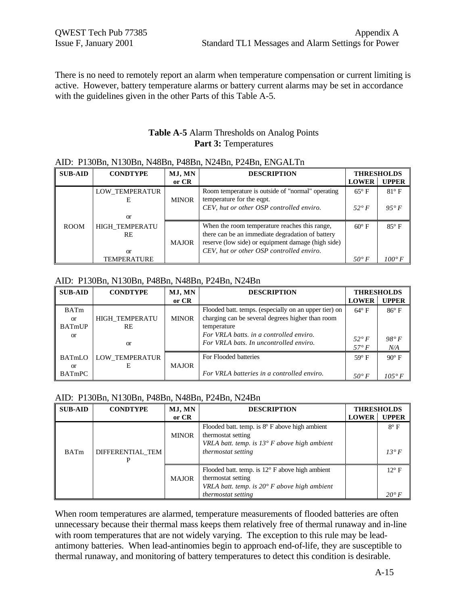There is no need to remotely report an alarm when temperature compensation or current limiting is active. However, battery temperature alarms or battery current alarms may be set in accordance with the guidelines given in the other Parts of this Table A-5.

## **Table A-5** Alarm Thresholds on Analog Points **Part 3:** Temperatures

#### AID: P130Bn, N130Bn, N48Bn, P48Bn, N24Bn, P24Bn, ENGALTn

| <b>SUB-AID</b> | MJ, MN<br><b>CONDTYPE</b> |              | <b>DESCRIPTION</b>                                 |                | <b>THRESHOLDS</b> |
|----------------|---------------------------|--------------|----------------------------------------------------|----------------|-------------------|
|                |                           | or CR        |                                                    | <b>LOWER</b>   | <b>UPPER</b>      |
|                | LOW TEMPERATUR            |              | Room temperature is outside of "normal" operating  | $65^{\circ}$ F | $81^\circ$ F      |
|                | E                         | <b>MINOR</b> | temperature for the eqpt.                          |                |                   |
|                |                           |              | CEV, hut or other OSP controlled enviro.           | 52° F          | $95^{\circ} F$    |
|                | or                        |              |                                                    |                |                   |
| <b>ROOM</b>    | <b>HIGH TEMPERATU</b>     |              | When the room temperature reaches this range,      | $60^\circ$ F   | $85^\circ$ F      |
|                | <b>RE</b>                 |              | there can be an immediate degradation of battery   |                |                   |
|                |                           | <b>MAJOR</b> | reserve (low side) or equipment damage (high side) |                |                   |
|                | <b>or</b>                 |              | CEV, hut or other OSP controlled enviro.           |                |                   |
|                | TEMPERATURE               |              |                                                    | $50^{\circ} F$ | $100^{\circ}$ F   |

#### AID: P130Bn, N130Bn, P48Bn, N48Bn, P24Bn, N24Bn

| <b>SUB-AID</b> | <b>CONDTYPE</b>       | MJ, MN<br><b>DESCRIPTION</b> |                                                       |                | <b>THRESHOLDS</b> |
|----------------|-----------------------|------------------------------|-------------------------------------------------------|----------------|-------------------|
|                |                       | or CR                        |                                                       | <b>LOWER</b>   | <b>UPPER</b>      |
| <b>BATm</b>    |                       |                              | Flooded batt. temps. (especially on an upper tier) on | $64^\circ$ F   | $86^\circ$ F      |
| <sub>or</sub>  | <b>HIGH TEMPERATU</b> | <b>MINOR</b>                 | charging can be several degrees higher than room      |                |                   |
| <b>BATmUP</b>  | <b>RE</b>             |                              | temperature                                           |                |                   |
| <sub>or</sub>  |                       |                              | For VRLA batts, in a controlled enviro.               | 52° F          | $98^{\circ} F$    |
|                | <b>or</b>             |                              | For VRLA bats. In uncontrolled enviro.                |                |                   |
|                |                       |                              |                                                       | $57^\circ F$   | N/A               |
| BATmLO         | LOW TEMPERATUR        |                              | For Flooded batteries                                 | $59^\circ$ F   | $90^\circ$ F      |
| <sub>or</sub>  | E                     | <b>MAJOR</b>                 |                                                       |                |                   |
| <b>BATmPC</b>  |                       |                              | For VRLA batteries in a controlled enviro.            | $50^{\circ} F$ | $105^\circ F$     |

#### AID: P130Bn, N130Bn, P48Bn, N48Bn, P24Bn, N24Bn

| <b>SUB-AID</b> | <b>CONDTYPE</b>  | MJ, MN       | <b>DESCRIPTION</b>                                                                                                                      |              | <b>THRESHOLDS</b> |
|----------------|------------------|--------------|-----------------------------------------------------------------------------------------------------------------------------------------|--------------|-------------------|
|                |                  | or CR        |                                                                                                                                         | <b>LOWER</b> | <b>UPPER</b>      |
|                |                  | <b>MINOR</b> | Flooded batt. temp. is $8^{\circ}$ F above high ambient<br>thermostat setting                                                           |              | $8^\circ$ F       |
| <b>BATm</b>    | DIFFERENTIAL TEM |              | VRLA batt. temp. is $13^{\circ}$ F above high ambient<br><i>thermostat setting</i>                                                      |              | $13^{\circ} F$    |
|                |                  | <b>MAJOR</b> | Flooded batt. temp. is $12^{\circ}$ F above high ambient<br>thermostat setting<br>VRLA batt. temp. is $20^{\circ}$ F above high ambient |              | $12^{\circ}$ F    |
|                |                  |              | <i>thermostat setting</i>                                                                                                               |              | $20^{\circ} F$    |

When room temperatures are alarmed, temperature measurements of flooded batteries are often unnecessary because their thermal mass keeps them relatively free of thermal runaway and in-line with room temperatures that are not widely varying. The exception to this rule may be leadantimony batteries. When lead-antinomies begin to approach end-of-life, they are susceptible to thermal runaway, and monitoring of battery temperatures to detect this condition is desirable.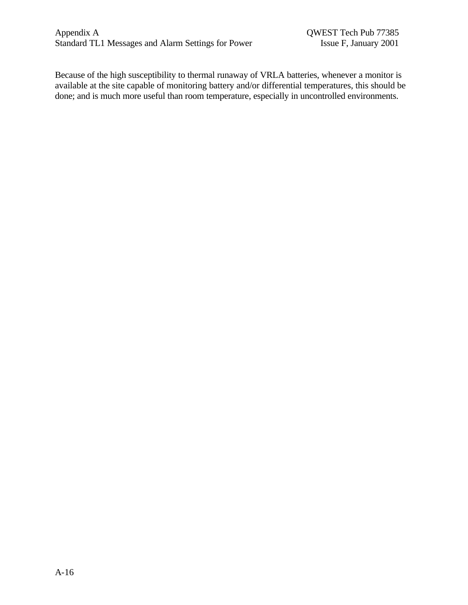Because of the high susceptibility to thermal runaway of VRLA batteries, whenever a monitor is available at the site capable of monitoring battery and/or differential temperatures, this should be done; and is much more useful than room temperature, especially in uncontrolled environments.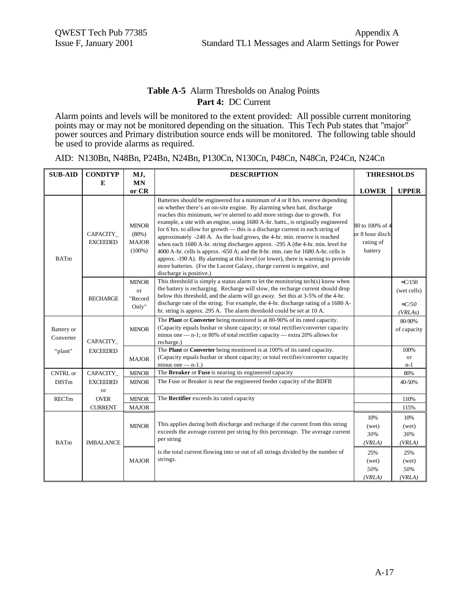## **Table A-5** Alarm Thresholds on Analog Points **Part 4:** DC Current

Alarm points and levels will be monitored to the extent provided: All possible current monitoring points may or may not be monitored depending on the situation. This Tech Pub states that "major" power sources and Primary distribution source ends will be monitored. The following table should be used to provide alarms as required.

|  |  |  | AID: N130Bn, N48Bn, P24Bn, N24Bn, P130Cn, N130Cn, P48Cn, N48Cn, P24Cn, N24Cn |  |  |
|--|--|--|------------------------------------------------------------------------------|--|--|
|  |  |  |                                                                              |  |  |

| <b>SUB-AID</b>                 | <b>CONDTYP</b>                  | MJ,                                                   | <b>DESCRIPTION</b>                                                                                                                                                                                                                                                                                                                                                                                                                                                                                                                                                                                                                                                                                                                                                                                                                                               |                                                             | <b>THRESHOLDS</b>                                             |
|--------------------------------|---------------------------------|-------------------------------------------------------|------------------------------------------------------------------------------------------------------------------------------------------------------------------------------------------------------------------------------------------------------------------------------------------------------------------------------------------------------------------------------------------------------------------------------------------------------------------------------------------------------------------------------------------------------------------------------------------------------------------------------------------------------------------------------------------------------------------------------------------------------------------------------------------------------------------------------------------------------------------|-------------------------------------------------------------|---------------------------------------------------------------|
|                                | E                               | <b>MN</b><br>or CR                                    |                                                                                                                                                                                                                                                                                                                                                                                                                                                                                                                                                                                                                                                                                                                                                                                                                                                                  | <b>LOWER</b>                                                | <b>UPPER</b>                                                  |
| <b>BATm</b>                    | CAPACITY_<br><b>EXCEEDED</b>    | <b>MINOR</b><br>$(80\%)$<br><b>MAJOR</b><br>$(100\%)$ | Batteries should be engineered for a minimum of 4 or 8 hrs. reserve depending<br>on whether there's an on-site engine. By alarming when batt, discharge<br>reaches this minimum, we're alerted to add more strings due to growth. For<br>example, a site with an engine, using 1680 A-hr. batts., is originally engineered<br>for 6 hrs. to allow for growth - this is a discharge current in each string of<br>approximately -240 A. As the load grows, the 4-hr. min. reserve is reached<br>when each 1680 A-hr. string discharges approx. -295 A (the 4-hr. min. level for<br>4000 A-hr. cells is approx. -650 A; and the 8-hr. min. rate for 1680 A-hr. cells is<br>approx. -190 A). By alarming at this level (or lower), there is warning to provide<br>more batteries. (For the Lucent Galaxy, charge current is negative, and<br>discharge is positive.) | 80 to 100% of 4<br>or 8 hour disch.<br>rating of<br>battery |                                                               |
|                                | <b>RECHARGE</b>                 | <b>MINOR</b><br><sub>or</sub><br>"Record<br>Only"     | This threshold is simply a status alarm to let the monitoring tech(s) know when<br>the battery is recharging. Recharge will slow, the recharge current should drop<br>below this threshold, and the alarm will go away. Set this at 3-5% of the 4-hr.<br>discharge rate of the string. For example, the 4-hr. discharge rating of a 1680 A-<br>hr. string is approx. 295 A. The alarm threshold could be set at 10 A.                                                                                                                                                                                                                                                                                                                                                                                                                                            |                                                             | $\approx$ C/150<br>(wet cells)<br>$\mathcal{L}/50$<br>(VRLAS) |
| <b>Battery</b> or<br>Converter | <b>CAPACITY</b>                 | <b>MINOR</b>                                          | The Plant or Converter being monitored is at 80-90% of its rated capacity.<br>(Capacity equals busbar or shunt capacity; or total rectifier/converter capacity<br>minus one $-$ n-1; or 80% of total rectifier capacity $-$ extra 20% allows for<br>recharge.)                                                                                                                                                                                                                                                                                                                                                                                                                                                                                                                                                                                                   |                                                             | 80-90%<br>of capacity                                         |
| "plant"                        | <b>EXCEEDED</b><br><b>MAJOR</b> |                                                       | The Plant or Converter being monitored is at 100% of its rated capacity.<br>(Capacity equals busbar or shunt capacity; or total rectifier/converter capacity<br>minus one $-$ n-1.)                                                                                                                                                                                                                                                                                                                                                                                                                                                                                                                                                                                                                                                                              |                                                             | 100%<br>or<br>n-1                                             |
| <b>CNTRL</b> or                | CAPACITY_                       | <b>MINOR</b>                                          | The Breaker or Fuse is nearing its engineered capacity                                                                                                                                                                                                                                                                                                                                                                                                                                                                                                                                                                                                                                                                                                                                                                                                           |                                                             | 80%                                                           |
| <b>DISTm</b>                   | <b>EXCEEDED</b><br>or           | <b>MINOR</b>                                          | The Fuse or Breaker is near the engineered feeder capacity of the BDFB                                                                                                                                                                                                                                                                                                                                                                                                                                                                                                                                                                                                                                                                                                                                                                                           |                                                             | 40-50%                                                        |
| <b>RECTm</b>                   | <b>OVER</b>                     | <b>MINOR</b>                                          | The Rectifier exceeds its rated capacity                                                                                                                                                                                                                                                                                                                                                                                                                                                                                                                                                                                                                                                                                                                                                                                                                         |                                                             | 110%                                                          |
|                                | <b>CURRENT</b>                  | <b>MAJOR</b>                                          |                                                                                                                                                                                                                                                                                                                                                                                                                                                                                                                                                                                                                                                                                                                                                                                                                                                                  |                                                             | 115%                                                          |
| <b>BATm</b>                    |                                 | <b>MINOR</b><br><b>IMBALANCE</b>                      | This applies during both discharge and recharge if the current from this string<br>exceeds the average current per string by this percentage. The average current<br>per string                                                                                                                                                                                                                                                                                                                                                                                                                                                                                                                                                                                                                                                                                  | 10%<br>(wet)<br>30%<br>(VRLA)                               | 10%<br>(wet)<br>30%<br>(VRLA)                                 |
|                                |                                 | <b>MAJOR</b>                                          | is the total current flowing into or out of all strings divided by the number of<br>strings.                                                                                                                                                                                                                                                                                                                                                                                                                                                                                                                                                                                                                                                                                                                                                                     | 25%<br>(wet)<br>50%<br>(VRLA)                               | 25%<br>(wet)<br>50%<br>(VRLA)                                 |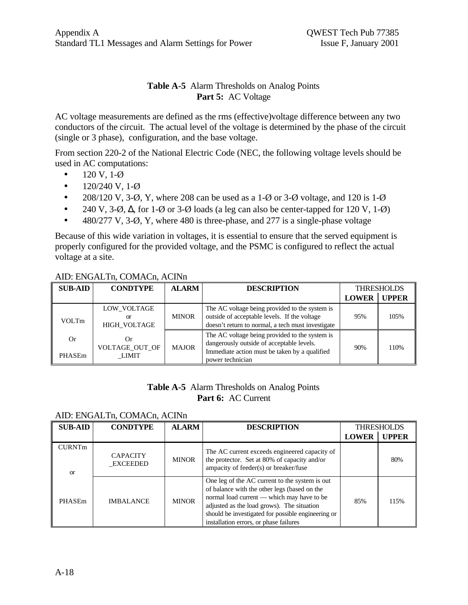## **Table A-5** Alarm Thresholds on Analog Points **Part 5:** AC Voltage

AC voltage measurements are defined as the rms (effective)voltage difference between any two conductors of the circuit. The actual level of the voltage is determined by the phase of the circuit (single or 3 phase), configuration, and the base voltage.

From section 220-2 of the National Electric Code (NEC, the following voltage levels should be used in AC computations:

- $120 \text{ V}, 1-\emptyset$
- $120/240 \text{ V}, 1-\emptyset$
- 208/120 V, 3- $\varnothing$ , Y, where 208 can be used as a 1- $\varnothing$  or 3- $\varnothing$  voltage, and 120 is 1- $\varnothing$
- 240 V, 3- $\varnothing$ ,  $\Delta$ , for 1- $\varnothing$  or 3- $\varnothing$  loads (a leg can also be center-tapped for 120 V, 1- $\varnothing$ )
- 480/277 V, 3-Ø, Y, where 480 is three-phase, and 277 is a single-phase voltage

Because of this wide variation in voltages, it is essential to ensure that the served equipment is properly configured for the provided voltage, and the PSMC is configured to reflect the actual voltage at a site.

## AID: ENGALTn, COMACn, ACINn

| <b>SUB-AID</b> | <b>CONDTYPE</b>                          | <b>ALARM</b> | <b>DESCRIPTION</b>                                                                                                                                               | <b>THRESHOLDS</b> |              |
|----------------|------------------------------------------|--------------|------------------------------------------------------------------------------------------------------------------------------------------------------------------|-------------------|--------------|
|                |                                          |              |                                                                                                                                                                  | <b>LOWER</b>      | <b>UPPER</b> |
| VOLTm          | LOW VOLTAGE<br>or<br><b>HIGH VOLTAGE</b> | <b>MINOR</b> | The AC voltage being provided to the system is<br>outside of acceptable levels. If the voltage<br>doesn't return to normal, a tech must investigate              | 95%               | 105%         |
| Or.<br>PHASEm  | Оr<br>VOLTAGE OUT OF<br>LIMIT            | <b>MAJOR</b> | The AC voltage being provided to the system is<br>dangerously outside of acceptable levels.<br>Immediate action must be taken by a qualified<br>power technician | 90%               | 110%         |

## **Table A-5** Alarm Thresholds on Analog Points **Part 6:** AC Current

### AID: ENGALTn, COMACn, ACINn

| <b>SUB-AID</b>                 | <b>CONDTYPE</b>             | <b>ALARM</b> | <b>DESCRIPTION</b>                                                                                                                                                                                                                                                                         |              | <b>THRESHOLDS</b> |
|--------------------------------|-----------------------------|--------------|--------------------------------------------------------------------------------------------------------------------------------------------------------------------------------------------------------------------------------------------------------------------------------------------|--------------|-------------------|
|                                |                             |              |                                                                                                                                                                                                                                                                                            | <b>LOWER</b> | <b>UPPER</b>      |
| <b>CURNTm</b><br><sub>or</sub> | <b>CAPACITY</b><br>EXCEEDED | <b>MINOR</b> | The AC current exceeds engineered capacity of<br>the protector. Set at 80% of capacity and/or<br>ampacity of feeder(s) or breaker/fuse                                                                                                                                                     |              | 80%               |
| PHASEm                         | <b>IMBALANCE</b>            | <b>MINOR</b> | One leg of the AC current to the system is out<br>of balance with the other legs (based on the<br>normal load current - which may have to be<br>adjusted as the load grows). The situation<br>should be investigated for possible engineering or<br>installation errors, or phase failures | 85%          | 115%              |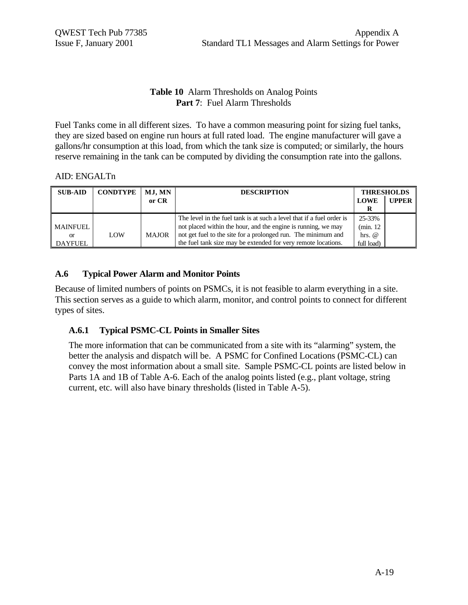## **Table 10** Alarm Thresholds on Analog Points **Part 7**: Fuel Alarm Thresholds

Fuel Tanks come in all different sizes. To have a common measuring point for sizing fuel tanks, they are sized based on engine run hours at full rated load. The engine manufacturer will gave a gallons/hr consumption at this load, from which the tank size is computed; or similarly, the hours reserve remaining in the tank can be computed by dividing the consumption rate into the gallons.

### AID: ENGALTn

| <b>SUB-AID</b> | <b>CONDTYPE</b> | MJ, MN       | <b>DESCRIPTION</b>                                                    |             | <b>THRESHOLDS</b> |
|----------------|-----------------|--------------|-----------------------------------------------------------------------|-------------|-------------------|
|                |                 | or CR        |                                                                       | <b>LOWE</b> | <b>UPPER</b>      |
|                |                 |              |                                                                       |             |                   |
|                |                 |              | The level in the fuel tank is at such a level that if a fuel order is | 25-33%      |                   |
| MAINFUEL       |                 |              | not placed within the hour, and the engine is running, we may         | (min. 12    |                   |
| or             | LOW             | <b>MAJOR</b> | not get fuel to the site for a prolonged run. The minimum and         | hrs. $@$    |                   |
| DAYFUEL        |                 |              | the fuel tank size may be extended for very remote locations.         | full load)  |                   |

## **A.6 Typical Power Alarm and Monitor Points**

Because of limited numbers of points on PSMCs, it is not feasible to alarm everything in a site. This section serves as a guide to which alarm, monitor, and control points to connect for different types of sites.

## **A.6.1 Typical PSMC-CL Points in Smaller Sites**

The more information that can be communicated from a site with its "alarming" system, the better the analysis and dispatch will be. A PSMC for Confined Locations (PSMC-CL) can convey the most information about a small site. Sample PSMC-CL points are listed below in Parts 1A and 1B of Table A-6. Each of the analog points listed (e.g., plant voltage, string current, etc. will also have binary thresholds (listed in Table A-5).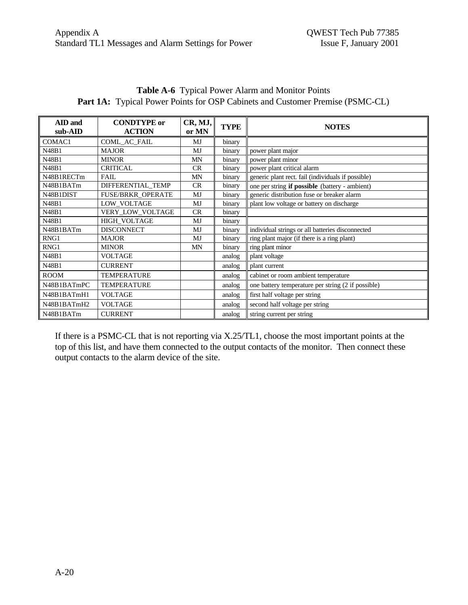| $A$ ID and  | <b>CONDTYPE</b> or       | CR, MJ,   | <b>TYPE</b> | <b>NOTES</b>                                       |
|-------------|--------------------------|-----------|-------------|----------------------------------------------------|
| sub-AID     | <b>ACTION</b>            | or MN     |             |                                                    |
| COMAC1      | COML_AC_FAIL             | MJ        | binary      |                                                    |
| N48B1       | <b>MAJOR</b>             | MJ        | binary      | power plant major                                  |
| N48B1       | <b>MINOR</b>             | MN        | binary      | power plant minor                                  |
| N48B1       | <b>CRITICAL</b>          | CR.       | binary      | power plant critical alarm                         |
| N48B1RECTm  | <b>FAIL</b>              | MN        | binary      | generic plant rect. fail (individuals if possible) |
| N48B1BATm   | DIFFERENTIAL_TEMP        | <b>CR</b> | binary      | one per string if possible (battery - ambient)     |
| N48B1DIST   | <b>FUSE/BRKR OPERATE</b> | MJ        | binary      | generic distribution fuse or breaker alarm         |
| N48B1       | LOW_VOLTAGE              | MJ        | binary      | plant low voltage or battery on discharge          |
| N48B1       | VERY_LOW_VOLTAGE         | CR        | binary      |                                                    |
| N48B1       | HIGH_VOLTAGE             | MJ        | binary      |                                                    |
| N48B1BATm   | <b>DISCONNECT</b>        | MJ        | binary      | individual strings or all batteries disconnected   |
| RNG1        | <b>MAJOR</b>             | MJ        | binary      | ring plant major (if there is a ring plant)        |
| RNG1        | <b>MINOR</b>             | <b>MN</b> | binary      | ring plant minor                                   |
| N48B1       | <b>VOLTAGE</b>           |           | analog      | plant voltage                                      |
| N48B1       | <b>CURRENT</b>           |           | analog      | plant current                                      |
| <b>ROOM</b> | <b>TEMPERATURE</b>       |           | analog      | cabinet or room ambient temperature                |
| N48B1BATmPC | <b>TEMPERATURE</b>       |           | analog      | one battery temperature per string (2 if possible) |
| N48B1BATmH1 | <b>VOLTAGE</b>           |           | analog      | first half voltage per string                      |
| N48B1BATmH2 | <b>VOLTAGE</b>           |           | analog      | second half voltage per string                     |
| N48B1BATm   | <b>CURRENT</b>           |           | analog      | string current per string                          |

**Table A-6** Typical Power Alarm and Monitor Points Part 1A: Typical Power Points for OSP Cabinets and Customer Premise (PSMC-CL)

If there is a PSMC-CL that is not reporting via X.25/TL1, choose the most important points at the top of this list, and have them connected to the output contacts of the monitor. Then connect these output contacts to the alarm device of the site.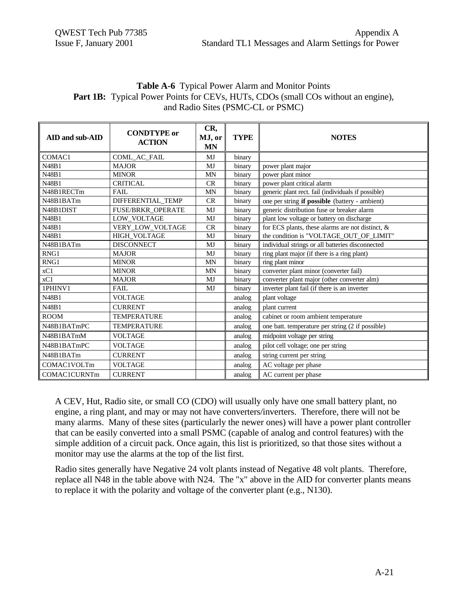| <b>Table A-6</b> Typical Power Alarm and Monitor Points                                  |
|------------------------------------------------------------------------------------------|
| <b>Part 1B:</b> Typical Power Points for CEVs, HUTs, CDOs (small COs without an engine), |
| and Radio Sites (PSMC-CL or PSMC)                                                        |

| AID and sub-AID     | <b>CONDTYPE</b> or<br><b>ACTION</b> | CR,<br>MJ, or<br><b>MN</b> | <b>TYPE</b> | <b>NOTES</b>                                       |
|---------------------|-------------------------------------|----------------------------|-------------|----------------------------------------------------|
| COMAC1              | COML_AC_FAIL                        | MJ                         | binary      |                                                    |
| N48B1               | <b>MAJOR</b>                        | <b>MJ</b>                  | binary      | power plant major                                  |
| N48B1               | <b>MINOR</b>                        | <b>MN</b>                  | binary      | power plant minor                                  |
| N48B1               | <b>CRITICAL</b>                     | CR                         | binary      | power plant critical alarm                         |
| N48B1RECTm          | FAIL                                | <b>MN</b>                  | binary      | generic plant rect. fail (individuals if possible) |
| N48B1BATm           | DIFFERENTIAL_TEMP                   | CR                         | binary      | one per string if possible (battery - ambient)     |
| N48B1DIST           | <b>FUSE/BRKR_OPERATE</b>            | MJ                         | binary      | generic distribution fuse or breaker alarm         |
| N48B1               | LOW_VOLTAGE                         | MJ                         | binary      | plant low voltage or battery on discharge          |
| N48B1               | VERY_LOW_VOLTAGE                    | CR                         | binary      | for ECS plants, these alarms are not distinct, &   |
| N48B1               | HIGH_VOLTAGE                        | MJ                         | binary      | the condition is "VOLTAGE_OUT_OF_LIMIT"            |
| N48B1BATm           | <b>DISCONNECT</b>                   | MJ                         | binary      | individual strings or all batteries disconnected   |
| RNG1                | <b>MAJOR</b>                        | MJ                         | binary      | ring plant major (if there is a ring plant)        |
| RNG1                | <b>MINOR</b>                        | <b>MN</b>                  | binary      | ring plant minor                                   |
| xC1                 | <b>MINOR</b>                        | <b>MN</b>                  | binary      | converter plant minor (converter fail)             |
| xC1                 | <b>MAJOR</b>                        | MJ                         | binary      | converter plant major (other converter alm)        |
| 1PHINV1             | FAIL                                | MJ                         | binary      | inverter plant fail (if there is an inverter       |
| N48B1               | <b>VOLTAGE</b>                      |                            | analog      | plant voltage                                      |
| N48B1               | <b>CURRENT</b>                      |                            | analog      | plant current                                      |
| <b>ROOM</b>         | <b>TEMPERATURE</b>                  |                            | analog      | cabinet or room ambient temperature                |
| N48B1BATmPC         | <b>TEMPERATURE</b>                  |                            | analog      | one batt. temperature per string (2 if possible)   |
| N48B1BATmM          | <b>VOLTAGE</b>                      |                            | analog      | midpoint voltage per string                        |
| N48B1BATmPC         | <b>VOLTAGE</b>                      |                            | analog      | pilot cell voltage; one per string                 |
| N48B1BATm           | <b>CURRENT</b>                      |                            | analog      | string current per string                          |
| COMAC1VOLTm         | <b>VOLTAGE</b>                      |                            | analog      | AC voltage per phase                               |
| <b>COMAC1CURNTm</b> | <b>CURRENT</b>                      |                            | analog      | AC current per phase                               |

A CEV, Hut, Radio site, or small CO (CDO) will usually only have one small battery plant, no engine, a ring plant, and may or may not have converters/inverters. Therefore, there will not be many alarms. Many of these sites (particularly the newer ones) will have a power plant controller that can be easily converted into a small PSMC (capable of analog and control features) with the simple addition of a circuit pack. Once again, this list is prioritized, so that those sites without a monitor may use the alarms at the top of the list first.

Radio sites generally have Negative 24 volt plants instead of Negative 48 volt plants. Therefore, replace all N48 in the table above with N24. The "x" above in the AID for converter plants means to replace it with the polarity and voltage of the converter plant (e.g., N130).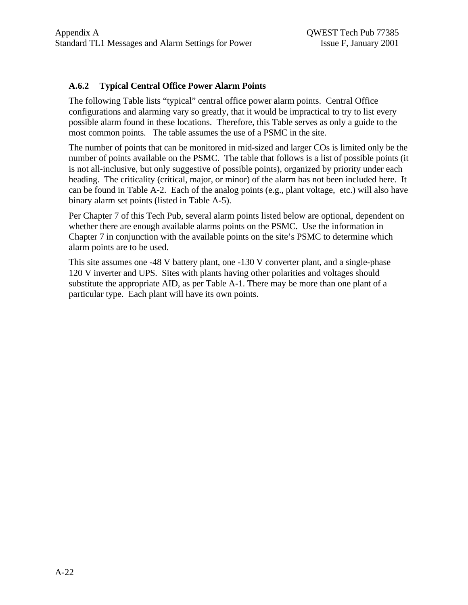## **A.6.2 Typical Central Office Power Alarm Points**

The following Table lists "typical" central office power alarm points. Central Office configurations and alarming vary so greatly, that it would be impractical to try to list every possible alarm found in these locations. Therefore, this Table serves as only a guide to the most common points. The table assumes the use of a PSMC in the site.

The number of points that can be monitored in mid-sized and larger COs is limited only be the number of points available on the PSMC. The table that follows is a list of possible points (it is not all-inclusive, but only suggestive of possible points), organized by priority under each heading. The criticality (critical, major, or minor) of the alarm has not been included here. It can be found in Table A-2. Each of the analog points (e.g., plant voltage, etc.) will also have binary alarm set points (listed in Table A-5).

Per Chapter 7 of this Tech Pub, several alarm points listed below are optional, dependent on whether there are enough available alarms points on the PSMC. Use the information in Chapter 7 in conjunction with the available points on the site's PSMC to determine which alarm points are to be used.

This site assumes one -48 V battery plant, one -130 V converter plant, and a single-phase 120 V inverter and UPS. Sites with plants having other polarities and voltages should substitute the appropriate AID, as per Table A-1. There may be more than one plant of a particular type. Each plant will have its own points.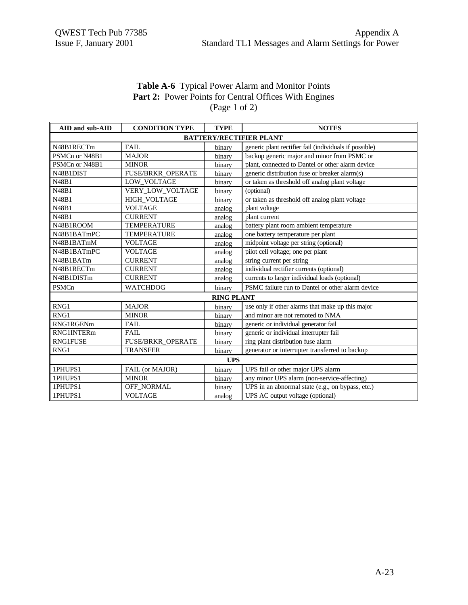# **Table A-6** Typical Power Alarm and Monitor Points Part 2: Power Points for Central Offices With Engines (Page 1 of 2)

| AID and sub-AID                | <b>CONDITION TYPE</b>    | <b>TYPE</b>       | <b>NOTES</b>                                           |  |  |  |
|--------------------------------|--------------------------|-------------------|--------------------------------------------------------|--|--|--|
| <b>BATTERY/RECTIFIER PLANT</b> |                          |                   |                                                        |  |  |  |
| N48B1RECTm                     | FAIL                     | binary            | generic plant rectifier fail (individuals if possible) |  |  |  |
| PSMCn or N48B1                 | <b>MAJOR</b>             | binary            | backup generic major and minor from PSMC or            |  |  |  |
| PSMCn or N48B1                 | <b>MINOR</b>             | binary            | plant, connected to Dantel or other alarm device       |  |  |  |
| N48B1DIST                      | FUSE/BRKR_OPERATE        | binary            | generic distribution fuse or breaker alarm(s)          |  |  |  |
| N48B1                          | LOW_VOLTAGE              | binary            | or taken as threshold off analog plant voltage         |  |  |  |
| N48B1                          | VERY_LOW_VOLTAGE         | binary            | (optional)                                             |  |  |  |
| N48B1                          | HIGH_VOLTAGE             | binary            | or taken as threshold off analog plant voltage         |  |  |  |
| N48B1                          | <b>VOLTAGE</b>           | analog            | plant voltage                                          |  |  |  |
| N48B1                          | <b>CURRENT</b>           | analog            | plant current                                          |  |  |  |
| N48B1ROOM                      | <b>TEMPERATURE</b>       | analog            | battery plant room ambient temperature                 |  |  |  |
| N48B1BATmPC                    | <b>TEMPERATURE</b>       | analog            | one battery temperature per plant                      |  |  |  |
| N48B1BATmM                     | <b>VOLTAGE</b>           | analog            | midpoint voltage per string (optional)                 |  |  |  |
| N48B1BATmPC                    | <b>VOLTAGE</b>           | analog            | pilot cell voltage; one per plant                      |  |  |  |
| N48B1BATm                      | <b>CURRENT</b>           | analog            | string current per string                              |  |  |  |
| N48B1RECTm                     | <b>CURRENT</b>           | analog            | individual rectifier currents (optional)               |  |  |  |
| N48B1DISTm                     | <b>CURRENT</b>           | analog            | currents to larger individual loads (optional)         |  |  |  |
| PSMCn                          | <b>WATCHDOG</b>          | binary            | PSMC failure run to Dantel or other alarm device       |  |  |  |
|                                |                          | <b>RING PLANT</b> |                                                        |  |  |  |
| RNG1                           | <b>MAJOR</b>             | binary            | use only if other alarms that make up this major       |  |  |  |
| RNG1                           | <b>MINOR</b>             | binary            | and minor are not remoted to NMA                       |  |  |  |
| RNG1RGENm                      | <b>FAIL</b>              | binary            | generic or individual generator fail                   |  |  |  |
| <b>RNG1INTERm</b>              | <b>FAIL</b>              | binary            | generic or individual interrupter fail                 |  |  |  |
| <b>RNG1FUSE</b>                | <b>FUSE/BRKR OPERATE</b> | binary            | ring plant distribution fuse alarm                     |  |  |  |
| RNG1                           | <b>TRANSFER</b>          | binary            | generator or interrupter transferred to backup         |  |  |  |
| <b>UPS</b>                     |                          |                   |                                                        |  |  |  |
| 1PHUPS1                        | FAIL (or MAJOR)          | binary            | UPS fail or other major UPS alarm                      |  |  |  |
| 1PHUPS1                        | <b>MINOR</b>             | binary            | any minor UPS alarm (non-service-affecting)            |  |  |  |
| 1PHUPS1                        | OFF_NORMAL               | binary            | UPS in an abnormal state (e.g., on bypass, etc.)       |  |  |  |
| 1PHUPS1                        | <b>VOLTAGE</b>           | analog            | UPS AC output voltage (optional)                       |  |  |  |